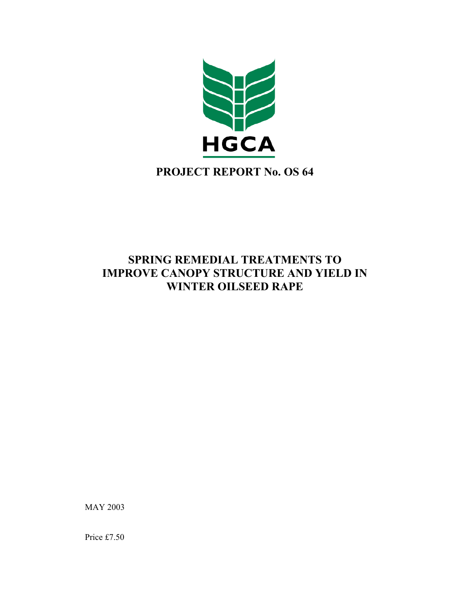

# **PROJECT REPORT No. OS 64**

## **SPRING REMEDIAL TREATMENTS TO IMPROVE CANOPY STRUCTURE AND YIELD IN WINTER OILSEED RAPE**

MAY 2003

Price £7.50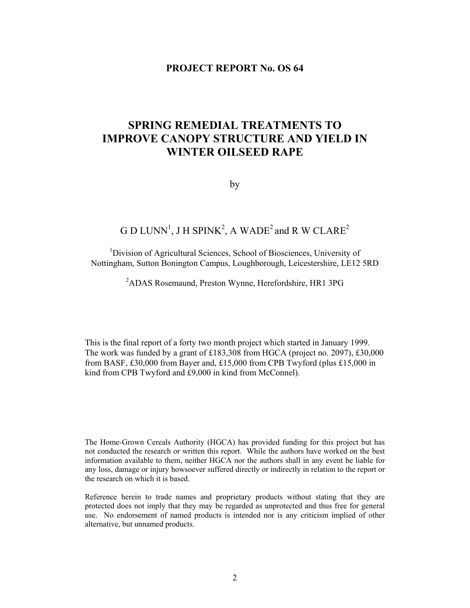### **PROJECT REPORT No. OS 64**

## **SPRING REMEDIAL TREATMENTS TO IMPROVE CANOPY STRUCTURE AND YIELD IN WINTER OILSEED RAPE**

by

## G D LUNN<sup>1</sup>, J H SPINK<sup>2</sup>, A WADE<sup>2</sup> and R W CLARE<sup>2</sup>

<sup>1</sup>Division of Agricultural Sciences, School of Biosciences, University of Nottingham, Sutton Bonington Campus, Loughborough, Leicestershire, LE12 5RD

### <sup>2</sup>ADAS Rosemaund, Preston Wynne, Herefordshire, HR1 3PG

This is the final report of a forty two month project which started in January 1999. The work was funded by a grant of £183,308 from HGCA (project no. 2097), £30,000 from BASF, £30,000 from Bayer and, £15,000 from CPB Twyford (plus £15,000 in kind from CPB Twyford and £9,000 in kind from McConnel).

The Home-Grown Cereals Authority (HGCA) has provided funding for this project but has not conducted the research or written this report. While the authors have worked on the best information available to them, neither HGCA nor the authors shall in any event be liable for any loss, damage or injury howsoever suffered directly or indirectly in relation to the report or the research on which it is based.

Reference herein to trade names and proprietary products without stating that they are protected does not imply that they may be regarded as unprotected and thus free for general use. No endorsement of named products is intended nor is any criticism implied of other alternative, but unnamed products.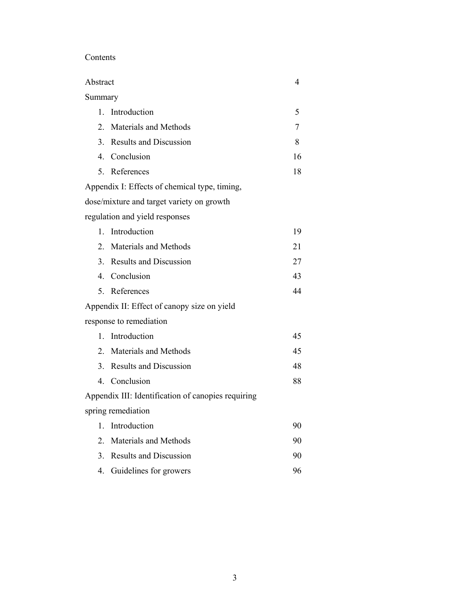### Contents

| Abstract         |                                                    | 4  |
|------------------|----------------------------------------------------|----|
| Summary          |                                                    |    |
| $\mathbf{1}$ .   | Introduction                                       | 5  |
| $\overline{2}$ . | Materials and Methods                              | 7  |
| $\mathcal{E}$    | <b>Results and Discussion</b>                      | 8  |
|                  | 4. Conclusion                                      | 16 |
| 5 <sub>1</sub>   | References                                         | 18 |
|                  | Appendix I: Effects of chemical type, timing,      |    |
|                  | dose/mixture and target variety on growth          |    |
|                  | regulation and yield responses                     |    |
|                  | 1. Introduction                                    | 19 |
| 2 <sub>1</sub>   | Materials and Methods                              | 21 |
| 3 <sub>1</sub>   | <b>Results and Discussion</b>                      | 27 |
|                  | 4. Conclusion                                      | 43 |
| 5.               | References                                         | 44 |
|                  | Appendix II: Effect of canopy size on yield        |    |
|                  | response to remediation                            |    |
| $\mathbf{1}$     | Introduction                                       | 45 |
| 2.               | Materials and Methods                              | 45 |
| 3 <sub>1</sub>   | <b>Results and Discussion</b>                      | 48 |
|                  | 4. Conclusion                                      | 88 |
|                  | Appendix III: Identification of canopies requiring |    |
|                  | spring remediation                                 |    |
| 1.               | Introduction                                       | 90 |
|                  | 2. Materials and Methods                           | 90 |
| 3.               | <b>Results and Discussion</b>                      | 90 |
|                  | 4. Guidelines for growers                          | 96 |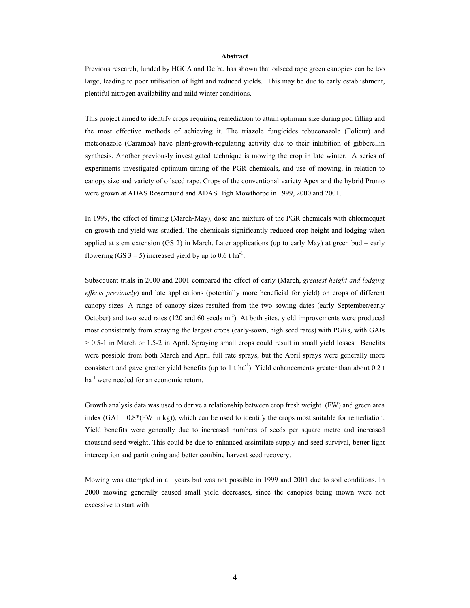#### **Abstract**

Previous research, funded by HGCA and Defra, has shown that oilseed rape green canopies can be too large, leading to poor utilisation of light and reduced yields. This may be due to early establishment, plentiful nitrogen availability and mild winter conditions.

This project aimed to identify crops requiring remediation to attain optimum size during pod filling and the most effective methods of achieving it. The triazole fungicides tebuconazole (Folicur) and metconazole (Caramba) have plant-growth-regulating activity due to their inhibition of gibberellin synthesis. Another previously investigated technique is mowing the crop in late winter. A series of experiments investigated optimum timing of the PGR chemicals, and use of mowing, in relation to canopy size and variety of oilseed rape. Crops of the conventional variety Apex and the hybrid Pronto were grown at ADAS Rosemaund and ADAS High Mowthorpe in 1999, 2000 and 2001.

In 1999, the effect of timing (March-May), dose and mixture of the PGR chemicals with chlormequat on growth and yield was studied. The chemicals significantly reduced crop height and lodging when applied at stem extension (GS 2) in March. Later applications (up to early May) at green bud – early flowering (GS  $3 - 5$ ) increased yield by up to 0.6 t ha<sup>-1</sup>.

Subsequent trials in 2000 and 2001 compared the effect of early (March, *greatest height and lodging effects previously*) and late applications (potentially more beneficial for yield) on crops of different canopy sizes. A range of canopy sizes resulted from the two sowing dates (early September/early October) and two seed rates  $(120 \text{ and } 60 \text{ seeds m}^{-2})$ . At both sites, yield improvements were produced most consistently from spraying the largest crops (early-sown, high seed rates) with PGRs, with GAIs > 0.5-1 in March or 1.5-2 in April. Spraying small crops could result in small yield losses. Benefits were possible from both March and April full rate sprays, but the April sprays were generally more consistent and gave greater yield benefits (up to  $1$  t ha<sup>-1</sup>). Yield enhancements greater than about 0.2 t ha<sup>-1</sup> were needed for an economic return.

Growth analysis data was used to derive a relationship between crop fresh weight (FW) and green area index (GAI =  $0.8*(FW \text{ in kg})$ ), which can be used to identify the crops most suitable for remediation. Yield benefits were generally due to increased numbers of seeds per square metre and increased thousand seed weight. This could be due to enhanced assimilate supply and seed survival, better light interception and partitioning and better combine harvest seed recovery.

Mowing was attempted in all years but was not possible in 1999 and 2001 due to soil conditions. In 2000 mowing generally caused small yield decreases, since the canopies being mown were not excessive to start with.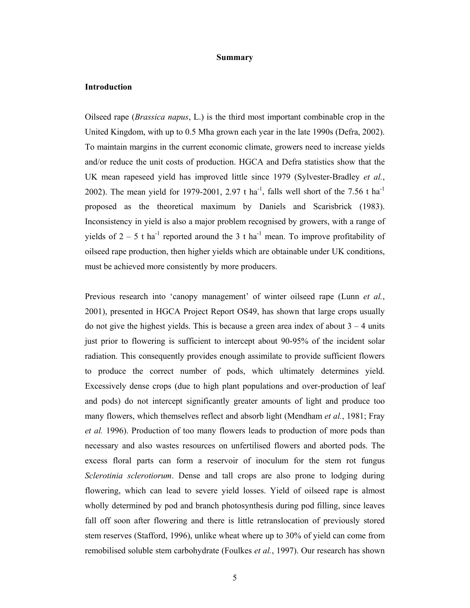#### **Summary**

#### **Introduction**

Oilseed rape (*Brassica napus*, L.) is the third most important combinable crop in the United Kingdom, with up to 0.5 Mha grown each year in the late 1990s (Defra, 2002). To maintain margins in the current economic climate, growers need to increase yields and/or reduce the unit costs of production. HGCA and Defra statistics show that the UK mean rapeseed yield has improved little since 1979 (Sylvester-Bradley *et al.*, 2002). The mean yield for 1979-2001, 2.97 t ha<sup>-1</sup>, falls well short of the 7.56 t ha<sup>-1</sup> proposed as the theoretical maximum by Daniels and Scarisbrick (1983). Inconsistency in yield is also a major problem recognised by growers, with a range of yields of  $2 - 5$  t ha<sup>-1</sup> reported around the 3 t ha<sup>-1</sup> mean. To improve profitability of oilseed rape production, then higher yields which are obtainable under UK conditions, must be achieved more consistently by more producers.

Previous research into 'canopy management' of winter oilseed rape (Lunn *et al.*, 2001), presented in HGCA Project Report OS49, has shown that large crops usually do not give the highest yields. This is because a green area index of about  $3 - 4$  units just prior to flowering is sufficient to intercept about 90-95% of the incident solar radiation. This consequently provides enough assimilate to provide sufficient flowers to produce the correct number of pods, which ultimately determines yield. Excessively dense crops (due to high plant populations and over-production of leaf and pods) do not intercept significantly greater amounts of light and produce too many flowers, which themselves reflect and absorb light (Mendham *et al.*, 1981; Fray *et al.* 1996). Production of too many flowers leads to production of more pods than necessary and also wastes resources on unfertilised flowers and aborted pods. The excess floral parts can form a reservoir of inoculum for the stem rot fungus *Sclerotinia sclerotiorum*. Dense and tall crops are also prone to lodging during flowering, which can lead to severe yield losses. Yield of oilseed rape is almost wholly determined by pod and branch photosynthesis during pod filling, since leaves fall off soon after flowering and there is little retranslocation of previously stored stem reserves (Stafford, 1996), unlike wheat where up to 30% of yield can come from remobilised soluble stem carbohydrate (Foulkes *et al.*, 1997). Our research has shown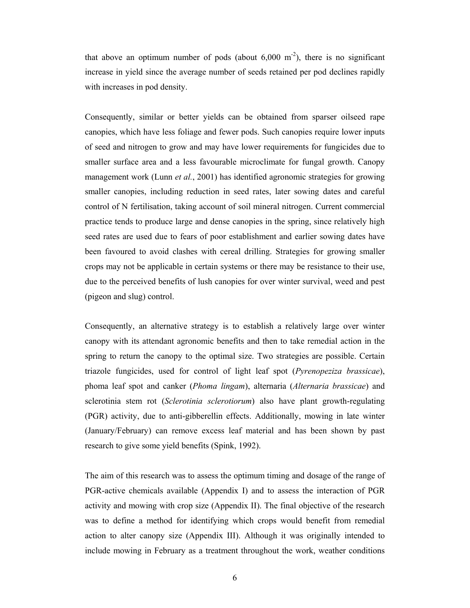that above an optimum number of pods (about  $6,000 \text{ m}^{-2}$ ), there is no significant increase in yield since the average number of seeds retained per pod declines rapidly with increases in pod density.

Consequently, similar or better yields can be obtained from sparser oilseed rape canopies, which have less foliage and fewer pods. Such canopies require lower inputs of seed and nitrogen to grow and may have lower requirements for fungicides due to smaller surface area and a less favourable microclimate for fungal growth. Canopy management work (Lunn *et al.*, 2001) has identified agronomic strategies for growing smaller canopies, including reduction in seed rates, later sowing dates and careful control of N fertilisation, taking account of soil mineral nitrogen. Current commercial practice tends to produce large and dense canopies in the spring, since relatively high seed rates are used due to fears of poor establishment and earlier sowing dates have been favoured to avoid clashes with cereal drilling. Strategies for growing smaller crops may not be applicable in certain systems or there may be resistance to their use, due to the perceived benefits of lush canopies for over winter survival, weed and pest (pigeon and slug) control.

Consequently, an alternative strategy is to establish a relatively large over winter canopy with its attendant agronomic benefits and then to take remedial action in the spring to return the canopy to the optimal size. Two strategies are possible. Certain triazole fungicides, used for control of light leaf spot (*Pyrenopeziza brassicae*), phoma leaf spot and canker (*Phoma lingam*), alternaria (*Alternaria brassicae*) and sclerotinia stem rot (*Sclerotinia sclerotiorum*) also have plant growth-regulating (PGR) activity, due to anti-gibberellin effects. Additionally, mowing in late winter (January/February) can remove excess leaf material and has been shown by past research to give some yield benefits (Spink, 1992).

The aim of this research was to assess the optimum timing and dosage of the range of PGR-active chemicals available (Appendix I) and to assess the interaction of PGR activity and mowing with crop size (Appendix II). The final objective of the research was to define a method for identifying which crops would benefit from remedial action to alter canopy size (Appendix III). Although it was originally intended to include mowing in February as a treatment throughout the work, weather conditions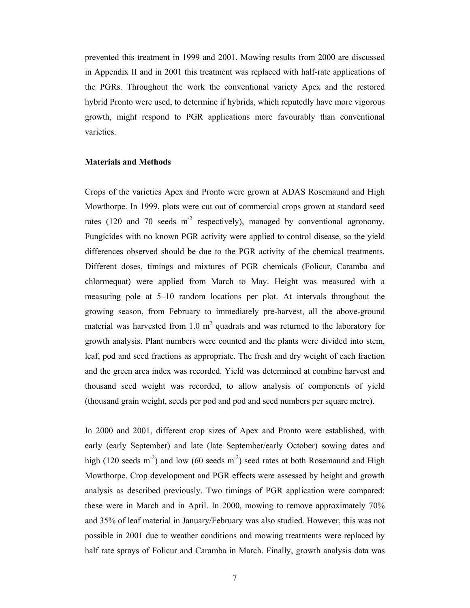prevented this treatment in 1999 and 2001. Mowing results from 2000 are discussed in Appendix II and in 2001 this treatment was replaced with half-rate applications of the PGRs. Throughout the work the conventional variety Apex and the restored hybrid Pronto were used, to determine if hybrids, which reputedly have more vigorous growth, might respond to PGR applications more favourably than conventional varieties.

#### **Materials and Methods**

Crops of the varieties Apex and Pronto were grown at ADAS Rosemaund and High Mowthorpe. In 1999, plots were cut out of commercial crops grown at standard seed rates (120 and 70 seeds  $m<sup>2</sup>$  respectively), managed by conventional agronomy. Fungicides with no known PGR activity were applied to control disease, so the yield differences observed should be due to the PGR activity of the chemical treatments. Different doses, timings and mixtures of PGR chemicals (Folicur, Caramba and chlormequat) were applied from March to May. Height was measured with a measuring pole at 5–10 random locations per plot. At intervals throughout the growing season, from February to immediately pre-harvest, all the above-ground material was harvested from 1.0  $m^2$  quadrats and was returned to the laboratory for growth analysis. Plant numbers were counted and the plants were divided into stem, leaf, pod and seed fractions as appropriate. The fresh and dry weight of each fraction and the green area index was recorded. Yield was determined at combine harvest and thousand seed weight was recorded, to allow analysis of components of yield (thousand grain weight, seeds per pod and pod and seed numbers per square metre).

In 2000 and 2001, different crop sizes of Apex and Pronto were established, with early (early September) and late (late September/early October) sowing dates and high (120 seeds m<sup>-2</sup>) and low (60 seeds m<sup>-2</sup>) seed rates at both Rosemaund and High Mowthorpe. Crop development and PGR effects were assessed by height and growth analysis as described previously. Two timings of PGR application were compared: these were in March and in April. In 2000, mowing to remove approximately 70% and 35% of leaf material in January/February was also studied. However, this was not possible in 2001 due to weather conditions and mowing treatments were replaced by half rate sprays of Folicur and Caramba in March. Finally, growth analysis data was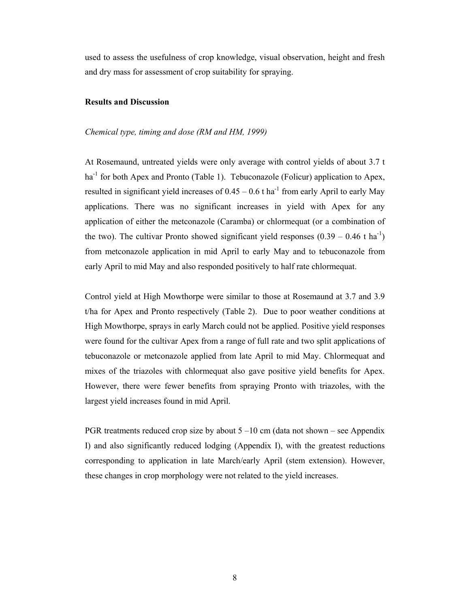used to assess the usefulness of crop knowledge, visual observation, height and fresh and dry mass for assessment of crop suitability for spraying.

#### **Results and Discussion**

#### *Chemical type, timing and dose (RM and HM, 1999)*

At Rosemaund, untreated yields were only average with control yields of about 3.7 t  $ha^{-1}$  for both Apex and Pronto (Table 1). Tebuconazole (Folicur) application to Apex, resulted in significant yield increases of  $0.45 - 0.6$  t ha<sup>-1</sup> from early April to early May applications. There was no significant increases in yield with Apex for any application of either the metconazole (Caramba) or chlormequat (or a combination of the two). The cultivar Pronto showed significant yield responses  $(0.39 - 0.46 \text{ t ha}^{-1})$ from metconazole application in mid April to early May and to tebuconazole from early April to mid May and also responded positively to half rate chlormequat.

Control yield at High Mowthorpe were similar to those at Rosemaund at 3.7 and 3.9 t/ha for Apex and Pronto respectively (Table 2). Due to poor weather conditions at High Mowthorpe, sprays in early March could not be applied. Positive yield responses were found for the cultivar Apex from a range of full rate and two split applications of tebuconazole or metconazole applied from late April to mid May. Chlormequat and mixes of the triazoles with chlormequat also gave positive yield benefits for Apex. However, there were fewer benefits from spraying Pronto with triazoles, with the largest yield increases found in mid April.

PGR treatments reduced crop size by about  $5 - 10$  cm (data not shown – see Appendix I) and also significantly reduced lodging (Appendix I), with the greatest reductions corresponding to application in late March/early April (stem extension). However, these changes in crop morphology were not related to the yield increases.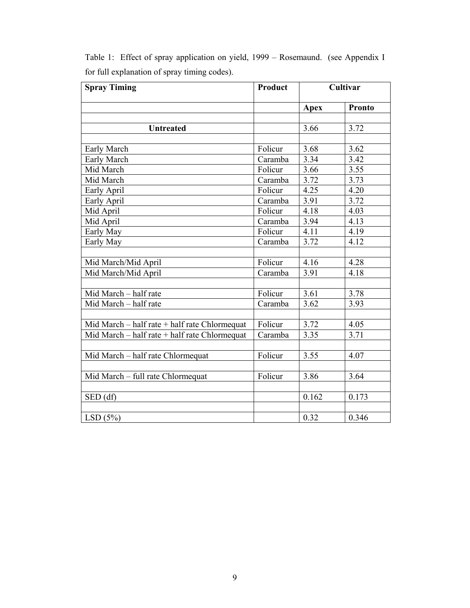| <b>Spray Timing</b>                           | Product |             | Cultivar |
|-----------------------------------------------|---------|-------------|----------|
|                                               |         | <b>Apex</b> | Pronto   |
|                                               |         |             |          |
| <b>Untreated</b>                              |         | 3.66        | 3.72     |
|                                               |         |             |          |
| Early March                                   | Folicur | 3.68        | 3.62     |
| Early March                                   | Caramba | 3.34        | 3.42     |
| Mid March                                     | Folicur | 3.66        | 3.55     |
| Mid March                                     | Caramba | 3.72        | 3.73     |
| Early April                                   | Folicur | 4.25        | 4.20     |
| Early April                                   | Caramba | 3.91        | 3.72     |
| Mid April                                     | Folicur | 4.18        | 4.03     |
| Mid April                                     | Caramba | 3.94        | 4.13     |
| Early May                                     | Folicur | 4.11        | 4.19     |
| Early May                                     | Caramba | 3.72        | 4.12     |
|                                               |         |             |          |
| Mid March/Mid April                           | Folicur | 4.16        | 4.28     |
| Mid March/Mid April                           | Caramba | 3.91        | 4.18     |
|                                               |         |             |          |
| Mid March - half rate                         | Folicur | 3.61        | 3.78     |
| Mid March - half rate                         | Caramba | 3.62        | 3.93     |
|                                               |         |             |          |
| Mid March – half rate + half rate Chlormequat | Folicur | 3.72        | 4.05     |
| Mid March - half rate + half rate Chlormequat | Caramba | 3.35        | 3.71     |
|                                               |         |             |          |
| Mid March - half rate Chlormequat             | Folicur | 3.55        | 4.07     |
|                                               |         |             |          |
| Mid March - full rate Chlormequat             | Folicur | 3.86        | 3.64     |
|                                               |         |             |          |
| SED(df)                                       |         | 0.162       | 0.173    |
|                                               |         |             |          |
| LSD(5%)                                       |         | 0.32        | 0.346    |

Table 1: Effect of spray application on yield, 1999 – Rosemaund. (see Appendix I for full explanation of spray timing codes).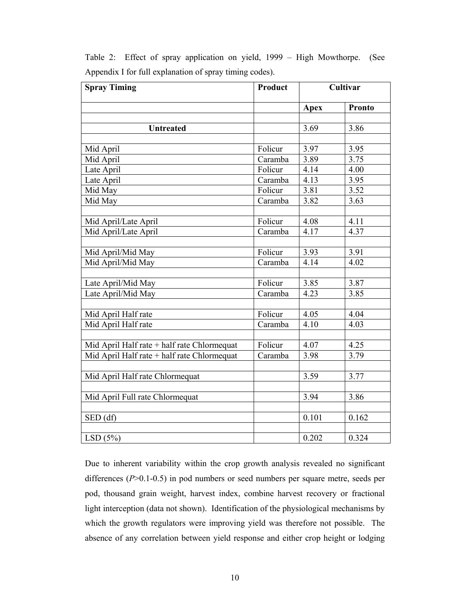| <b>Spray Timing</b>                         | Product |             | Cultivar      |
|---------------------------------------------|---------|-------------|---------------|
|                                             |         | <b>Apex</b> | <b>Pronto</b> |
|                                             |         |             |               |
| <b>Untreated</b>                            |         | 3.69        | 3.86          |
| Mid April                                   | Folicur | 3.97        | 3.95          |
| Mid April                                   | Caramba | 3.89        | 3.75          |
| Late April                                  | Folicur | 4.14        | 4.00          |
| Late April                                  | Caramba | 4.13        | 3.95          |
| Mid May                                     | Folicur | 3.81        | 3.52          |
| Mid May                                     | Caramba | 3.82        | 3.63          |
|                                             |         |             |               |
| Mid April/Late April                        | Folicur | 4.08        | 4.11          |
| Mid April/Late April                        | Caramba | 4.17        | 4.37          |
|                                             |         |             |               |
| Mid April/Mid May                           | Folicur | 3.93        | 3.91          |
| Mid April/Mid May                           | Caramba | 4.14        | 4.02          |
|                                             |         |             |               |
| Late April/Mid May                          | Folicur | 3.85        | 3.87          |
| Late April/Mid May                          | Caramba | 4.23        | 3.85          |
|                                             |         |             |               |
| Mid April Half rate                         | Folicur | 4.05        | 4.04          |
| Mid April Half rate                         | Caramba | 4.10        | 4.03          |
|                                             |         |             |               |
| Mid April Half rate + half rate Chlormequat | Folicur | 4.07        | 4.25          |
| Mid April Half rate + half rate Chlormequat | Caramba | 3.98        | 3.79          |
|                                             |         |             |               |
| Mid April Half rate Chlormequat             |         | 3.59        | 3.77          |
|                                             |         |             |               |
| Mid April Full rate Chlormequat             |         | 3.94        | 3.86          |
|                                             |         |             |               |
| SED (df)                                    |         | 0.101       | 0.162         |
|                                             |         |             |               |
| LSD(5%)                                     |         | 0.202       | 0.324         |

Table 2:Effect of spray application on yield, 1999 – High Mowthorpe. (See Appendix I for full explanation of spray timing codes).

Due to inherent variability within the crop growth analysis revealed no significant differences (*P*>0.1-0.5) in pod numbers or seed numbers per square metre, seeds per pod, thousand grain weight, harvest index, combine harvest recovery or fractional light interception (data not shown). Identification of the physiological mechanisms by which the growth regulators were improving yield was therefore not possible. The absence of any correlation between yield response and either crop height or lodging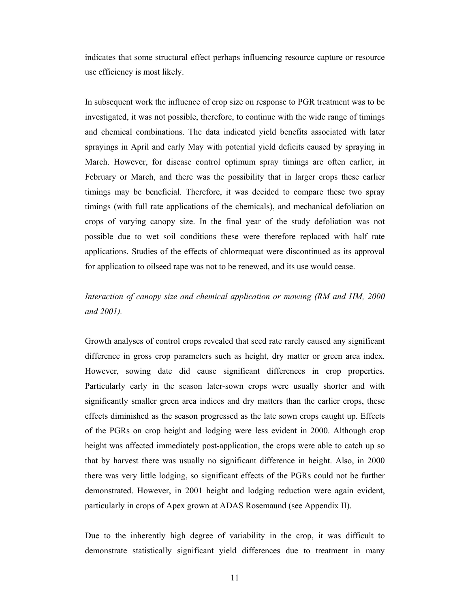indicates that some structural effect perhaps influencing resource capture or resource use efficiency is most likely.

In subsequent work the influence of crop size on response to PGR treatment was to be investigated, it was not possible, therefore, to continue with the wide range of timings and chemical combinations. The data indicated yield benefits associated with later sprayings in April and early May with potential yield deficits caused by spraying in March. However, for disease control optimum spray timings are often earlier, in February or March, and there was the possibility that in larger crops these earlier timings may be beneficial. Therefore, it was decided to compare these two spray timings (with full rate applications of the chemicals), and mechanical defoliation on crops of varying canopy size. In the final year of the study defoliation was not possible due to wet soil conditions these were therefore replaced with half rate applications. Studies of the effects of chlormequat were discontinued as its approval for application to oilseed rape was not to be renewed, and its use would cease.

## *Interaction of canopy size and chemical application or mowing (RM and HM, 2000 and 2001).*

Growth analyses of control crops revealed that seed rate rarely caused any significant difference in gross crop parameters such as height, dry matter or green area index. However, sowing date did cause significant differences in crop properties. Particularly early in the season later-sown crops were usually shorter and with significantly smaller green area indices and dry matters than the earlier crops, these effects diminished as the season progressed as the late sown crops caught up. Effects of the PGRs on crop height and lodging were less evident in 2000. Although crop height was affected immediately post-application, the crops were able to catch up so that by harvest there was usually no significant difference in height. Also, in 2000 there was very little lodging, so significant effects of the PGRs could not be further demonstrated. However, in 2001 height and lodging reduction were again evident, particularly in crops of Apex grown at ADAS Rosemaund (see Appendix II).

Due to the inherently high degree of variability in the crop, it was difficult to demonstrate statistically significant yield differences due to treatment in many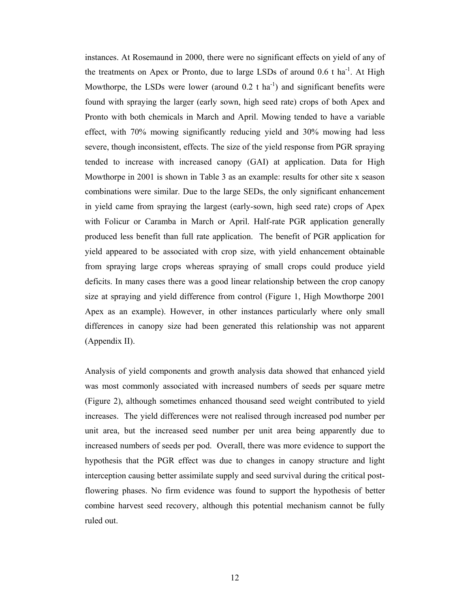instances. At Rosemaund in 2000, there were no significant effects on yield of any of the treatments on Apex or Pronto, due to large LSDs of around  $0.6$  t ha<sup>-1</sup>. At High Mowthorpe, the LSDs were lower (around  $0.2$  t ha<sup>-1</sup>) and significant benefits were found with spraying the larger (early sown, high seed rate) crops of both Apex and Pronto with both chemicals in March and April. Mowing tended to have a variable effect, with 70% mowing significantly reducing yield and 30% mowing had less severe, though inconsistent, effects. The size of the yield response from PGR spraying tended to increase with increased canopy (GAI) at application. Data for High Mowthorpe in 2001 is shown in Table 3 as an example: results for other site x season combinations were similar. Due to the large SEDs, the only significant enhancement in yield came from spraying the largest (early-sown, high seed rate) crops of Apex with Folicur or Caramba in March or April. Half-rate PGR application generally produced less benefit than full rate application. The benefit of PGR application for yield appeared to be associated with crop size, with yield enhancement obtainable from spraying large crops whereas spraying of small crops could produce yield deficits. In many cases there was a good linear relationship between the crop canopy size at spraying and yield difference from control (Figure 1, High Mowthorpe 2001 Apex as an example). However, in other instances particularly where only small differences in canopy size had been generated this relationship was not apparent (Appendix II).

Analysis of yield components and growth analysis data showed that enhanced yield was most commonly associated with increased numbers of seeds per square metre (Figure 2), although sometimes enhanced thousand seed weight contributed to yield increases. The yield differences were not realised through increased pod number per unit area, but the increased seed number per unit area being apparently due to increased numbers of seeds per pod. Overall, there was more evidence to support the hypothesis that the PGR effect was due to changes in canopy structure and light interception causing better assimilate supply and seed survival during the critical postflowering phases. No firm evidence was found to support the hypothesis of better combine harvest seed recovery, although this potential mechanism cannot be fully ruled out.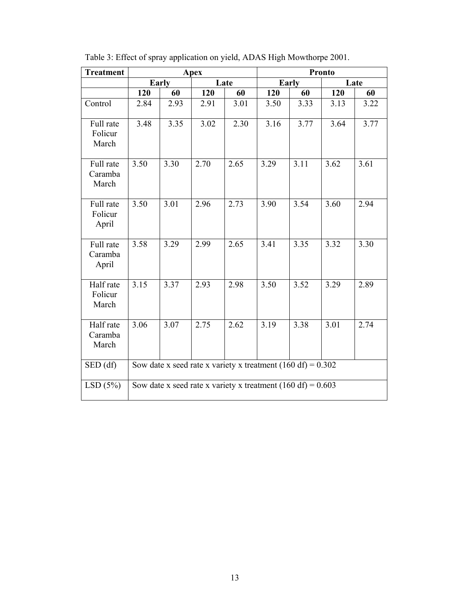| <b>Treatment</b>              |                                                               |       | Apex |      | Pronto |       |      |      |
|-------------------------------|---------------------------------------------------------------|-------|------|------|--------|-------|------|------|
|                               |                                                               | Early |      | Late |        | Early |      | Late |
|                               | 120                                                           | 60    | 120  | 60   | 120    | 60    | 120  | 60   |
| Control                       | 2.84                                                          | 2.93  | 2.91 | 3.01 | 3.50   | 3.33  | 3.13 | 3.22 |
| Full rate<br>Folicur<br>March | 3.48                                                          | 3.35  | 3.02 | 2.30 | 3.16   | 3.77  | 3.64 | 3.77 |
| Full rate<br>Caramba<br>March | 3.50                                                          | 3.30  | 2.70 | 2.65 | 3.29   | 3.11  | 3.62 | 3.61 |
| Full rate<br>Folicur<br>April | 3.50                                                          | 3.01  | 2.96 | 2.73 | 3.90   | 3.54  | 3.60 | 2.94 |
| Full rate<br>Caramba<br>April | 3.58                                                          | 3.29  | 2.99 | 2.65 | 3.41   | 3.35  | 3.32 | 3.30 |
| Half rate<br>Folicur<br>March | 3.15                                                          | 3.37  | 2.93 | 2.98 | 3.50   | 3.52  | 3.29 | 2.89 |
| Half rate<br>Caramba<br>March | 3.06                                                          | 3.07  | 2.75 | 2.62 | 3.19   | 3.38  | 3.01 | 2.74 |
| SED(df)                       | Sow date x seed rate x variety x treatment $(160 df) = 0.302$ |       |      |      |        |       |      |      |
| LSD(5%)                       | Sow date x seed rate x variety x treatment $(160 df) = 0.603$ |       |      |      |        |       |      |      |

Table 3: Effect of spray application on yield, ADAS High Mowthorpe 2001.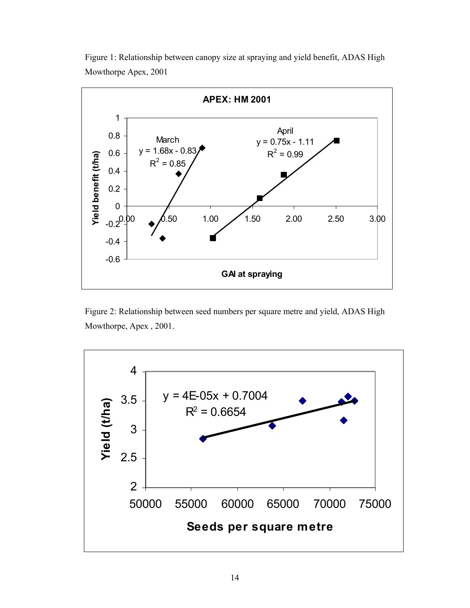



Figure 2: Relationship between seed numbers per square metre and yield, ADAS High Mowthorpe, Apex , 2001.

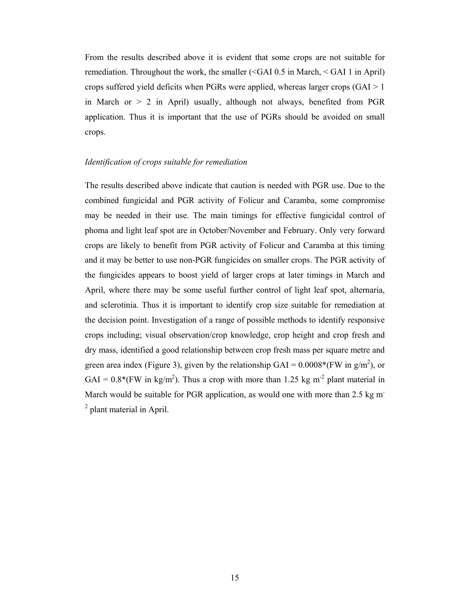From the results described above it is evident that some crops are not suitable for remediation. Throughout the work, the smaller (<GAI 0.5 in March, < GAI 1 in April) crops suffered yield deficits when PGRs were applied, whereas larger crops (GAI > 1 in March or  $> 2$  in April) usually, although not always, benefited from PGR application. Thus it is important that the use of PGRs should be avoided on small crops.

#### *Identification of crops suitable for remediation*

The results described above indicate that caution is needed with PGR use. Due to the combined fungicidal and PGR activity of Folicur and Caramba, some compromise may be needed in their use. The main timings for effective fungicidal control of phoma and light leaf spot are in October/November and February. Only very forward crops are likely to benefit from PGR activity of Folicur and Caramba at this timing and it may be better to use non-PGR fungicides on smaller crops. The PGR activity of the fungicides appears to boost yield of larger crops at later timings in March and April, where there may be some useful further control of light leaf spot, alternaria, and sclerotinia. Thus it is important to identify crop size suitable for remediation at the decision point. Investigation of a range of possible methods to identify responsive crops including; visual observation/crop knowledge, crop height and crop fresh and dry mass, identified a good relationship between crop fresh mass per square metre and green area index (Figure 3), given by the relationship GAI =  $0.0008*(FW \text{ in g/m}^2)$ , or  $GAI = 0.8*(FW in kg/m<sup>2</sup>)$ . Thus a crop with more than 1.25 kg m<sup>-2</sup> plant material in March would be suitable for PGR application, as would one with more than 2.5 kg m<sup>-</sup> <sup>2</sup> plant material in April.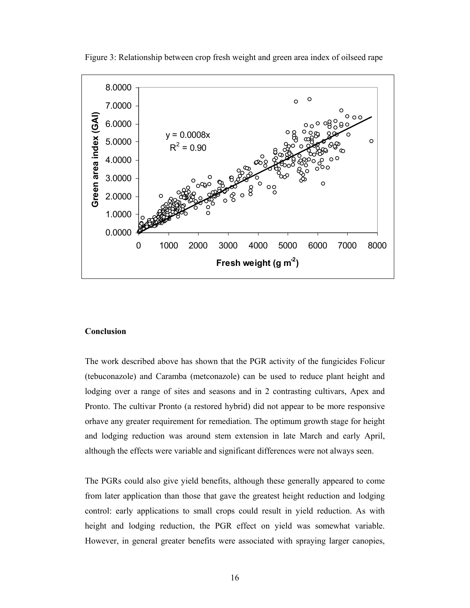

Figure 3: Relationship between crop fresh weight and green area index of oilseed rape

#### **Conclusion**

The work described above has shown that the PGR activity of the fungicides Folicur (tebuconazole) and Caramba (metconazole) can be used to reduce plant height and lodging over a range of sites and seasons and in 2 contrasting cultivars, Apex and Pronto. The cultivar Pronto (a restored hybrid) did not appear to be more responsive orhave any greater requirement for remediation. The optimum growth stage for height and lodging reduction was around stem extension in late March and early April, although the effects were variable and significant differences were not always seen.

The PGRs could also give yield benefits, although these generally appeared to come from later application than those that gave the greatest height reduction and lodging control: early applications to small crops could result in yield reduction. As with height and lodging reduction, the PGR effect on yield was somewhat variable. However, in general greater benefits were associated with spraying larger canopies,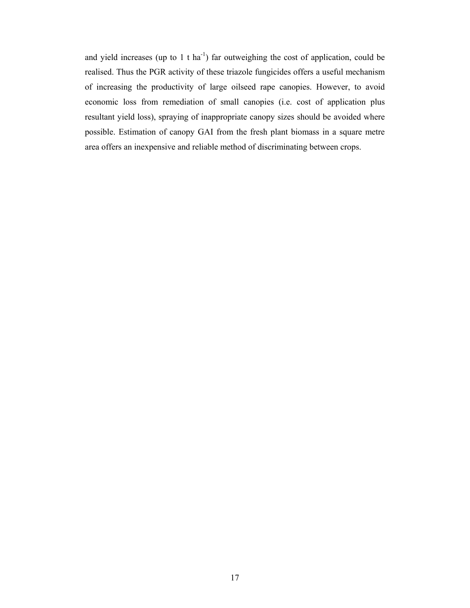and yield increases (up to 1 t ha<sup>-1</sup>) far outweighing the cost of application, could be realised. Thus the PGR activity of these triazole fungicides offers a useful mechanism of increasing the productivity of large oilseed rape canopies. However, to avoid economic loss from remediation of small canopies (i.e. cost of application plus resultant yield loss), spraying of inappropriate canopy sizes should be avoided where possible. Estimation of canopy GAI from the fresh plant biomass in a square metre area offers an inexpensive and reliable method of discriminating between crops.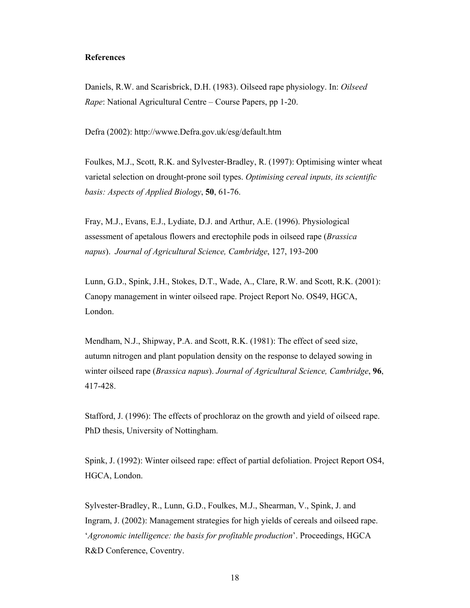#### **References**

Daniels, R.W. and Scarisbrick, D.H. (1983). Oilseed rape physiology. In: *Oilseed Rape*: National Agricultural Centre – Course Papers, pp 1-20.

Defra (2002): http://wwwe.Defra.gov.uk/esg/default.htm

Foulkes, M.J., Scott, R.K. and Sylvester-Bradley, R. (1997): Optimising winter wheat varietal selection on drought-prone soil types. *Optimising cereal inputs, its scientific basis: Aspects of Applied Biology*, **50**, 61-76.

Fray, M.J., Evans, E.J., Lydiate, D.J. and Arthur, A.E. (1996). Physiological assessment of apetalous flowers and erectophile pods in oilseed rape (*Brassica napus*). *Journal of Agricultural Science, Cambridge*, 127, 193-200

Lunn, G.D., Spink, J.H., Stokes, D.T., Wade, A., Clare, R.W. and Scott, R.K. (2001): Canopy management in winter oilseed rape. Project Report No. OS49, HGCA, London.

Mendham, N.J., Shipway, P.A. and Scott, R.K. (1981): The effect of seed size, autumn nitrogen and plant population density on the response to delayed sowing in winter oilseed rape (*Brassica napus*). *Journal of Agricultural Science, Cambridge*, **96**, 417-428.

Stafford, J. (1996): The effects of prochloraz on the growth and yield of oilseed rape. PhD thesis, University of Nottingham.

Spink, J. (1992): Winter oilseed rape: effect of partial defoliation. Project Report OS4, HGCA, London.

Sylvester-Bradley, R., Lunn, G.D., Foulkes, M.J., Shearman, V., Spink, J. and Ingram, J. (2002): Management strategies for high yields of cereals and oilseed rape. '*Agronomic intelligence: the basis for profitable production*'. Proceedings, HGCA R&D Conference, Coventry.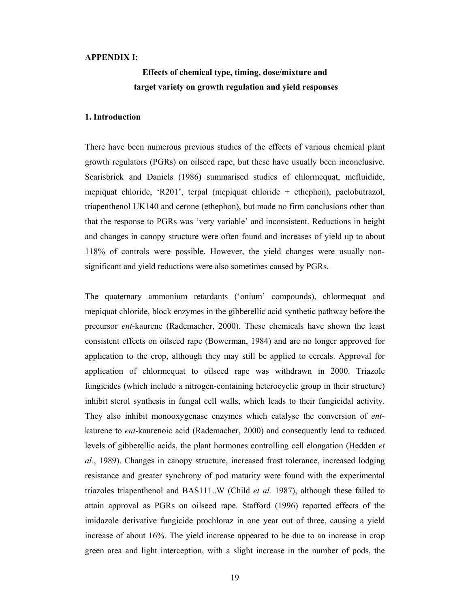#### **APPENDIX I:**

## **Effects of chemical type, timing, dose/mixture and target variety on growth regulation and yield responses**

#### **1. Introduction**

There have been numerous previous studies of the effects of various chemical plant growth regulators (PGRs) on oilseed rape, but these have usually been inconclusive. Scarisbrick and Daniels (1986) summarised studies of chlormequat, mefluidide, mepiquat chloride, 'R201', terpal (mepiquat chloride + ethephon), paclobutrazol, triapenthenol UK140 and cerone (ethephon), but made no firm conclusions other than that the response to PGRs was 'very variable' and inconsistent. Reductions in height and changes in canopy structure were often found and increases of yield up to about 118% of controls were possible. However, the yield changes were usually nonsignificant and yield reductions were also sometimes caused by PGRs.

The quaternary ammonium retardants ('onium' compounds), chlormequat and mepiquat chloride, block enzymes in the gibberellic acid synthetic pathway before the precursor *ent*-kaurene (Rademacher, 2000). These chemicals have shown the least consistent effects on oilseed rape (Bowerman, 1984) and are no longer approved for application to the crop, although they may still be applied to cereals. Approval for application of chlormequat to oilseed rape was withdrawn in 2000. Triazole fungicides (which include a nitrogen-containing heterocyclic group in their structure) inhibit sterol synthesis in fungal cell walls, which leads to their fungicidal activity. They also inhibit monooxygenase enzymes which catalyse the conversion of *ent*kaurene to *ent*-kaurenoic acid (Rademacher, 2000) and consequently lead to reduced levels of gibberellic acids, the plant hormones controlling cell elongation (Hedden *et al.*, 1989). Changes in canopy structure, increased frost tolerance, increased lodging resistance and greater synchrony of pod maturity were found with the experimental triazoles triapenthenol and BAS111..W (Child *et al.* 1987), although these failed to attain approval as PGRs on oilseed rape. Stafford (1996) reported effects of the imidazole derivative fungicide prochloraz in one year out of three, causing a yield increase of about 16%. The yield increase appeared to be due to an increase in crop green area and light interception, with a slight increase in the number of pods, the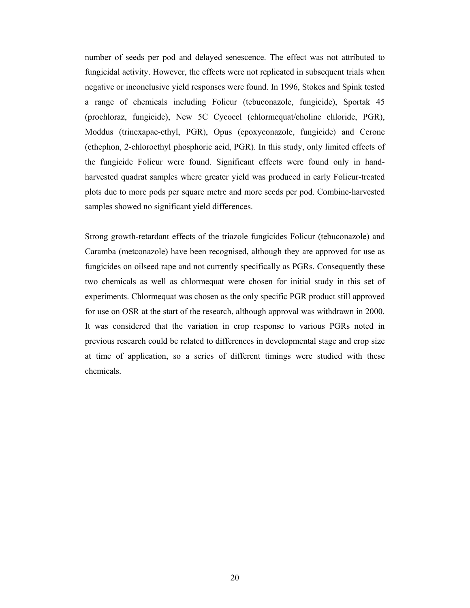number of seeds per pod and delayed senescence. The effect was not attributed to fungicidal activity. However, the effects were not replicated in subsequent trials when negative or inconclusive yield responses were found. In 1996, Stokes and Spink tested a range of chemicals including Folicur (tebuconazole, fungicide), Sportak 45 (prochloraz, fungicide), New 5C Cycocel (chlormequat/choline chloride, PGR), Moddus (trinexapac-ethyl, PGR), Opus (epoxyconazole, fungicide) and Cerone (ethephon, 2-chloroethyl phosphoric acid, PGR). In this study, only limited effects of the fungicide Folicur were found. Significant effects were found only in handharvested quadrat samples where greater yield was produced in early Folicur-treated plots due to more pods per square metre and more seeds per pod. Combine-harvested samples showed no significant yield differences.

Strong growth-retardant effects of the triazole fungicides Folicur (tebuconazole) and Caramba (metconazole) have been recognised, although they are approved for use as fungicides on oilseed rape and not currently specifically as PGRs. Consequently these two chemicals as well as chlormequat were chosen for initial study in this set of experiments. Chlormequat was chosen as the only specific PGR product still approved for use on OSR at the start of the research, although approval was withdrawn in 2000. It was considered that the variation in crop response to various PGRs noted in previous research could be related to differences in developmental stage and crop size at time of application, so a series of different timings were studied with these chemicals.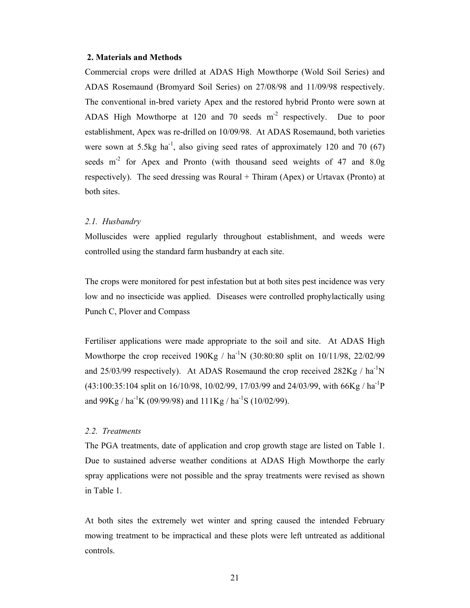#### **2. Materials and Methods**

Commercial crops were drilled at ADAS High Mowthorpe (Wold Soil Series) and ADAS Rosemaund (Bromyard Soil Series) on 27/08/98 and 11/09/98 respectively. The conventional in-bred variety Apex and the restored hybrid Pronto were sown at ADAS High Mowthorpe at 120 and 70 seeds  $m<sup>2</sup>$  respectively. Due to poor establishment, Apex was re-drilled on 10/09/98. At ADAS Rosemaund, both varieties were sown at 5.5kg ha<sup>-1</sup>, also giving seed rates of approximately 120 and 70 (67) seeds m<sup>-2</sup> for Apex and Pronto (with thousand seed weights of 47 and 8.0g) respectively). The seed dressing was Roural + Thiram (Apex) or Urtavax (Pronto) at both sites.

#### *2.1. Husbandry*

Molluscides were applied regularly throughout establishment, and weeds were controlled using the standard farm husbandry at each site.

The crops were monitored for pest infestation but at both sites pest incidence was very low and no insecticide was applied. Diseases were controlled prophylactically using Punch C, Plover and Compass

Fertiliser applications were made appropriate to the soil and site. At ADAS High Mowthorpe the crop received  $190Kg / ha^{-1}N (30:80:80 \text{ split on } 10/11/98, 22/02/99)$ and 25/03/99 respectively). At ADAS Rosemaund the crop received  $282Kg / ha^{-1}N$  $(43:100:35:104$  split on  $16/10/98$ ,  $10/02/99$ ,  $17/03/99$  and  $24/03/99$ , with  $66\text{Kg}/\text{ha}^{-1}\text{P}$ and  $99Kg / ha^{-1}K (09/99/98)$  and  $111Kg / ha^{-1}S (10/02/99)$ .

#### *2.2. Treatments*

The PGA treatments, date of application and crop growth stage are listed on Table 1. Due to sustained adverse weather conditions at ADAS High Mowthorpe the early spray applications were not possible and the spray treatments were revised as shown in Table 1.

At both sites the extremely wet winter and spring caused the intended February mowing treatment to be impractical and these plots were left untreated as additional controls.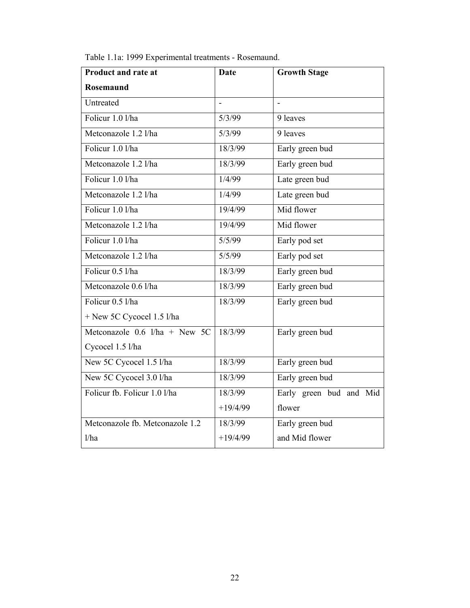| Table 1.1a: 1999 Experimental treatments - Rosemaund. |
|-------------------------------------------------------|
|-------------------------------------------------------|

| <b>Product and rate at</b>      | <b>Date</b> | <b>Growth Stage</b>     |
|---------------------------------|-------------|-------------------------|
| <b>Rosemaund</b>                |             |                         |
| Untreated                       |             | $\overline{a}$          |
| Folicur 1.0 l/ha                | 5/3/99      | 9 leaves                |
| Metconazole 1.2 l/ha            | 5/3/99      | 9 leaves                |
| Folicur 1.0 l/ha                | 18/3/99     | Early green bud         |
| Metconazole 1.2 l/ha            | 18/3/99     | Early green bud         |
| Folicur 1.0 l/ha                | 1/4/99      | Late green bud          |
| Metconazole 1.2 l/ha            | 1/4/99      | Late green bud          |
| Folicur 1.0 l/ha                | 19/4/99     | Mid flower              |
| Metconazole 1.2 l/ha            | 19/4/99     | Mid flower              |
| Folicur 1.0 l/ha                | 5/5/99      | Early pod set           |
| Metconazole 1.2 l/ha            | 5/5/99      | Early pod set           |
| Folicur 0.5 l/ha                | 18/3/99     | Early green bud         |
| Metconazole 0.6 l/ha            | 18/3/99     | Early green bud         |
| Folicur 0.5 l/ha                | 18/3/99     | Early green bud         |
| + New 5C Cycocel 1.5 l/ha       |             |                         |
| Metconazole $0.6$ l/ha + New 5C | 18/3/99     | Early green bud         |
| Cycocel 1.5 l/ha                |             |                         |
| New 5C Cycocel 1.5 l/ha         | 18/3/99     | Early green bud         |
| New 5C Cycocel 3.0 l/ha         | 18/3/99     | Early green bud         |
| Folicur fb. Folicur 1.0 l/ha    | 18/3/99     | Early green bud and Mid |
|                                 | $+19/4/99$  | flower                  |
| Metconazole fb. Metconazole 1.2 | 18/3/99     | Early green bud         |
| 1/ha                            | $+19/4/99$  | and Mid flower          |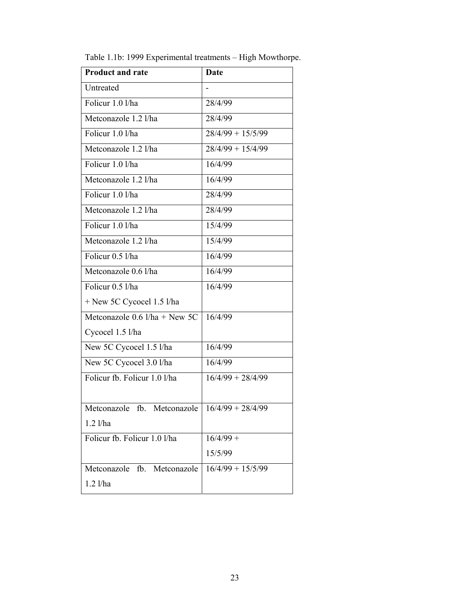| <b>Product and rate</b>           | <b>Date</b>         |
|-----------------------------------|---------------------|
| Untreated                         |                     |
| Folicur 1.0 l/ha                  | 28/4/99             |
| Metconazole 1.2 l/ha              | 28/4/99             |
| Folicur 1.0 l/ha                  | $28/4/99 + 15/5/99$ |
| Metconazole 1.2 l/ha              | $28/4/99 + 15/4/99$ |
| Folicur 1.0 l/ha                  | 16/4/99             |
| Metconazole 1.2 l/ha              | 16/4/99             |
| Folicur 1.0 l/ha                  | 28/4/99             |
| Metconazole 1.2 l/ha              | 28/4/99             |
| Folicur 1.0 l/ha                  | 15/4/99             |
| Metconazole 1.2 l/ha              | 15/4/99             |
| Folicur 0.5 l/ha                  | 16/4/99             |
| Metconazole 0.6 l/ha              | 16/4/99             |
| Folicur 0.5 l/ha                  | 16/4/99             |
| + New 5C Cycocel 1.5 l/ha         |                     |
| Metconazole $0.6$ l/ha + New 5C   | 16/4/99             |
| Cycocel 1.5 l/ha                  |                     |
| New 5C Cycocel 1.5 l/ha           | 16/4/99             |
| New 5C Cycocel 3.0 l/ha           | 16/4/99             |
| Folicur fb. Folicur 1.0 l/ha      | $16/4/99 + 28/4/99$ |
|                                   |                     |
| Metconazole<br>fb.<br>Metconazole | $16/4/99 + 28/4/99$ |
| $1.2$ $1/ha$                      |                     |
| Folicur fb. Folicur 1.0 l/ha      | $16/4/99 +$         |
|                                   | 15/5/99             |
| Metconazole fb. Metconazole       | $16/4/99 + 15/5/99$ |
| $1.2$ l/ha                        |                     |

Table 1.1b: 1999 Experimental treatments – High Mowthorpe.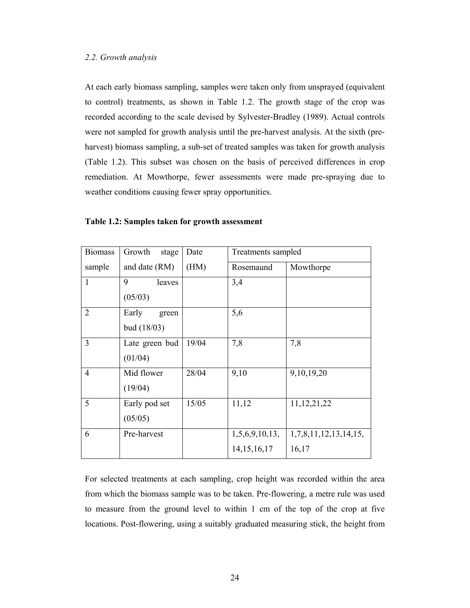At each early biomass sampling, samples were taken only from unsprayed (equivalent to control) treatments, as shown in Table 1.2. The growth stage of the crop was recorded according to the scale devised by Sylvester-Bradley (1989). Actual controls were not sampled for growth analysis until the pre-harvest analysis. At the sixth (preharvest) biomass sampling, a sub-set of treated samples was taken for growth analysis (Table 1.2). This subset was chosen on the basis of perceived differences in crop remediation. At Mowthorpe, fewer assessments were made pre-spraying due to weather conditions causing fewer spray opportunities.

| <b>Biomass</b> | Growth<br>stage | Date  | Treatments sampled |                       |  |
|----------------|-----------------|-------|--------------------|-----------------------|--|
| sample         | and date (RM)   | (HM)  | Rosemaund          | Mowthorpe             |  |
| $\mathbf{1}$   | 9<br>leaves     |       | 3,4                |                       |  |
|                | (05/03)         |       |                    |                       |  |
| $\overline{2}$ | Early<br>green  |       | 5,6                |                       |  |
|                | bud(18/03)      |       |                    |                       |  |
| 3              | Late green bud  | 19/04 | 7,8                | 7,8                   |  |
|                | (01/04)         |       |                    |                       |  |
| $\overline{4}$ | Mid flower      | 28/04 | 9,10               | 9,10,19,20            |  |
|                | (19/04)         |       |                    |                       |  |
| 5              | Early pod set   | 15/05 | 11,12              | 11, 12, 21, 22        |  |
|                | (05/05)         |       |                    |                       |  |
| 6              | Pre-harvest     |       | 1,5,6,9,10,13,     | 1,7,8,11,12,13,14,15, |  |
|                |                 |       | 14, 15, 16, 17     | 16,17                 |  |

#### **Table 1.2: Samples taken for growth assessment**

For selected treatments at each sampling, crop height was recorded within the area from which the biomass sample was to be taken. Pre-flowering, a metre rule was used to measure from the ground level to within 1 cm of the top of the crop at five locations. Post-flowering, using a suitably graduated measuring stick, the height from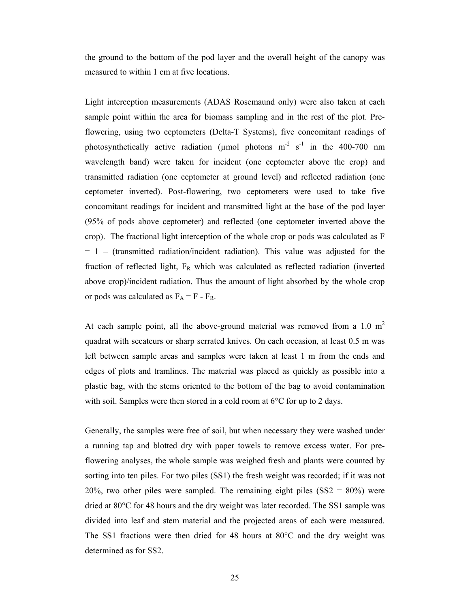the ground to the bottom of the pod layer and the overall height of the canopy was measured to within 1 cm at five locations.

Light interception measurements (ADAS Rosemaund only) were also taken at each sample point within the area for biomass sampling and in the rest of the plot. Preflowering, using two ceptometers (Delta-T Systems), five concomitant readings of photosynthetically active radiation (umol photons  $m<sup>2</sup> s<sup>-1</sup>$  in the 400-700 nm wavelength band) were taken for incident (one ceptometer above the crop) and transmitted radiation (one ceptometer at ground level) and reflected radiation (one ceptometer inverted). Post-flowering, two ceptometers were used to take five concomitant readings for incident and transmitted light at the base of the pod layer (95% of pods above ceptometer) and reflected (one ceptometer inverted above the crop). The fractional light interception of the whole crop or pods was calculated as F  $= 1 -$  (transmitted radiation/incident radiation). This value was adjusted for the fraction of reflected light,  $F_R$  which was calculated as reflected radiation (inverted above crop)/incident radiation. Thus the amount of light absorbed by the whole crop or pods was calculated as  $F_A = F - F_R$ .

At each sample point, all the above-ground material was removed from a 1.0  $m<sup>2</sup>$ quadrat with secateurs or sharp serrated knives. On each occasion, at least 0.5 m was left between sample areas and samples were taken at least 1 m from the ends and edges of plots and tramlines. The material was placed as quickly as possible into a plastic bag, with the stems oriented to the bottom of the bag to avoid contamination with soil. Samples were then stored in a cold room at 6<sup>o</sup>C for up to 2 days.

Generally, the samples were free of soil, but when necessary they were washed under a running tap and blotted dry with paper towels to remove excess water. For preflowering analyses, the whole sample was weighed fresh and plants were counted by sorting into ten piles. For two piles (SS1) the fresh weight was recorded; if it was not 20%, two other piles were sampled. The remaining eight piles  $(SS2 = 80%)$  were dried at 80°C for 48 hours and the dry weight was later recorded. The SS1 sample was divided into leaf and stem material and the projected areas of each were measured. The SS1 fractions were then dried for 48 hours at 80°C and the dry weight was determined as for SS2.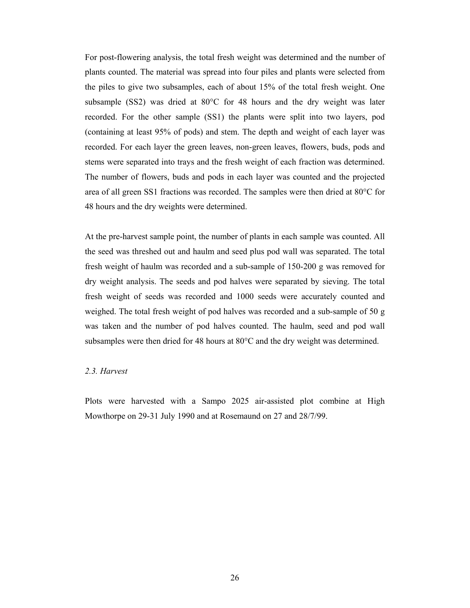For post-flowering analysis, the total fresh weight was determined and the number of plants counted. The material was spread into four piles and plants were selected from the piles to give two subsamples, each of about 15% of the total fresh weight. One subsample (SS2) was dried at 80°C for 48 hours and the dry weight was later recorded. For the other sample (SS1) the plants were split into two layers, pod (containing at least 95% of pods) and stem. The depth and weight of each layer was recorded. For each layer the green leaves, non-green leaves, flowers, buds, pods and stems were separated into trays and the fresh weight of each fraction was determined. The number of flowers, buds and pods in each layer was counted and the projected area of all green SS1 fractions was recorded. The samples were then dried at 80°C for 48 hours and the dry weights were determined.

At the pre-harvest sample point, the number of plants in each sample was counted. All the seed was threshed out and haulm and seed plus pod wall was separated. The total fresh weight of haulm was recorded and a sub-sample of 150-200 g was removed for dry weight analysis. The seeds and pod halves were separated by sieving. The total fresh weight of seeds was recorded and 1000 seeds were accurately counted and weighed. The total fresh weight of pod halves was recorded and a sub-sample of 50 g was taken and the number of pod halves counted. The haulm, seed and pod wall subsamples were then dried for 48 hours at 80°C and the dry weight was determined.

#### *2.3. Harvest*

Plots were harvested with a Sampo 2025 air-assisted plot combine at High Mowthorpe on 29-31 July 1990 and at Rosemaund on 27 and 28/7/99.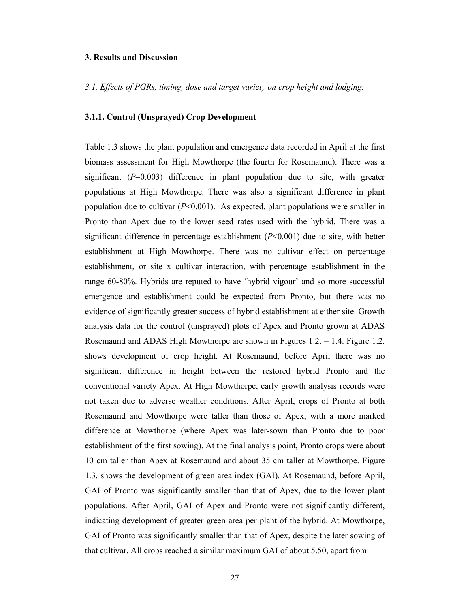#### **3. Results and Discussion**

*3.1. Effects of PGRs, timing, dose and target variety on crop height and lodging.* 

#### **3.1.1. Control (Unsprayed) Crop Development**

Table 1.3 shows the plant population and emergence data recorded in April at the first biomass assessment for High Mowthorpe (the fourth for Rosemaund). There was a significant  $(P=0.003)$  difference in plant population due to site, with greater populations at High Mowthorpe. There was also a significant difference in plant population due to cultivar (*P*<0.001). As expected, plant populations were smaller in Pronto than Apex due to the lower seed rates used with the hybrid. There was a significant difference in percentage establishment  $(P<0.001)$  due to site, with better establishment at High Mowthorpe. There was no cultivar effect on percentage establishment, or site x cultivar interaction, with percentage establishment in the range 60-80%. Hybrids are reputed to have 'hybrid vigour' and so more successful emergence and establishment could be expected from Pronto, but there was no evidence of significantly greater success of hybrid establishment at either site. Growth analysis data for the control (unsprayed) plots of Apex and Pronto grown at ADAS Rosemaund and ADAS High Mowthorpe are shown in Figures 1.2. – 1.4. Figure 1.2. shows development of crop height. At Rosemaund, before April there was no significant difference in height between the restored hybrid Pronto and the conventional variety Apex. At High Mowthorpe, early growth analysis records were not taken due to adverse weather conditions. After April, crops of Pronto at both Rosemaund and Mowthorpe were taller than those of Apex, with a more marked difference at Mowthorpe (where Apex was later-sown than Pronto due to poor establishment of the first sowing). At the final analysis point, Pronto crops were about 10 cm taller than Apex at Rosemaund and about 35 cm taller at Mowthorpe. Figure 1.3. shows the development of green area index (GAI). At Rosemaund, before April, GAI of Pronto was significantly smaller than that of Apex, due to the lower plant populations. After April, GAI of Apex and Pronto were not significantly different, indicating development of greater green area per plant of the hybrid. At Mowthorpe, GAI of Pronto was significantly smaller than that of Apex, despite the later sowing of that cultivar. All crops reached a similar maximum GAI of about 5.50, apart from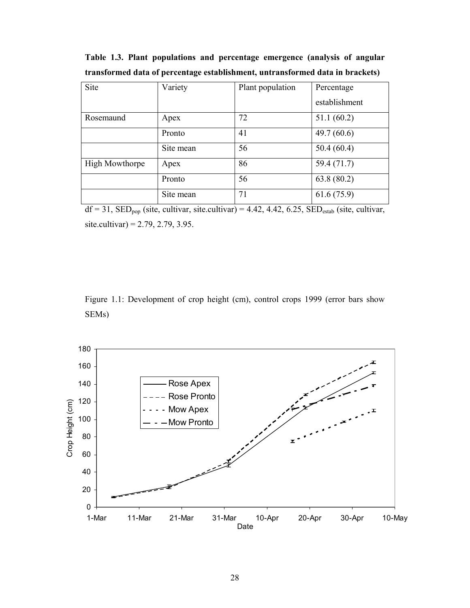| Site                  | Variety   | Plant population | Percentage    |
|-----------------------|-----------|------------------|---------------|
|                       |           |                  | establishment |
| Rosemaund             | Apex      | 72               | 51.1(60.2)    |
|                       | Pronto    | 41               | 49.7(60.6)    |
|                       | Site mean | 56               | 50.4(60.4)    |
| <b>High Mowthorpe</b> | Apex      | 86               | 59.4 (71.7)   |
|                       | Pronto    | 56               | 63.8(80.2)    |
|                       | Site mean | 71               | 61.6(75.9)    |

**Table 1.3. Plant populations and percentage emergence (analysis of angular transformed data of percentage establishment, untransformed data in brackets)**

 $df = 31$ ,  $SED<sub>pop</sub>$  (site, cultivar, site.cultivar) = 4.42, 4.42, 6.25,  $SED<sub>estab</sub>$  (site, cultivar, site.cultivar) =  $2.79, 2.79, 3.95$ .

Figure 1.1: Development of crop height (cm), control crops 1999 (error bars show SEMs)

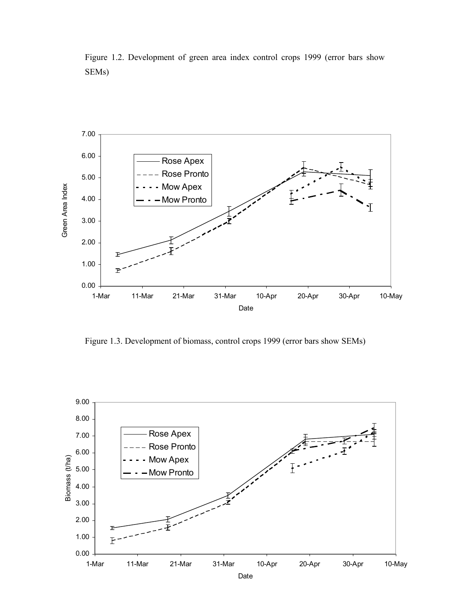Figure 1.2. Development of green area index control crops 1999 (error bars show SEMs)



Figure 1.3. Development of biomass, control crops 1999 (error bars show SEMs)

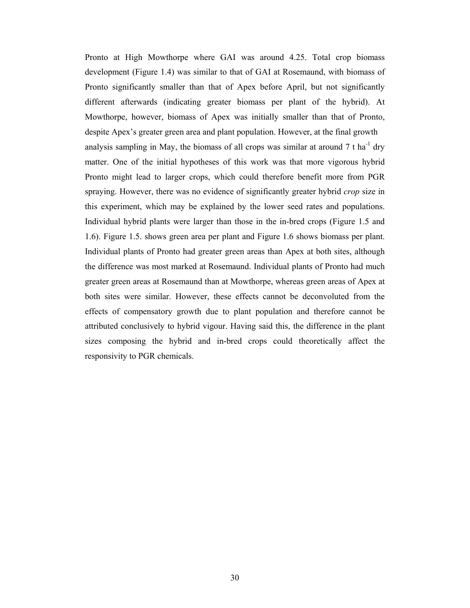Pronto at High Mowthorpe where GAI was around 4.25. Total crop biomass development (Figure 1.4) was similar to that of GAI at Rosemaund, with biomass of Pronto significantly smaller than that of Apex before April, but not significantly different afterwards (indicating greater biomass per plant of the hybrid). At Mowthorpe, however, biomass of Apex was initially smaller than that of Pronto, despite Apex's greater green area and plant population. However, at the final growth analysis sampling in May, the biomass of all crops was similar at around  $7 \text{ t}$  ha<sup>-1</sup> dry matter. One of the initial hypotheses of this work was that more vigorous hybrid Pronto might lead to larger crops, which could therefore benefit more from PGR spraying. However, there was no evidence of significantly greater hybrid *crop* size in this experiment, which may be explained by the lower seed rates and populations. Individual hybrid plants were larger than those in the in-bred crops (Figure 1.5 and 1.6). Figure 1.5. shows green area per plant and Figure 1.6 shows biomass per plant. Individual plants of Pronto had greater green areas than Apex at both sites, although the difference was most marked at Rosemaund. Individual plants of Pronto had much greater green areas at Rosemaund than at Mowthorpe, whereas green areas of Apex at both sites were similar. However, these effects cannot be deconvoluted from the effects of compensatory growth due to plant population and therefore cannot be attributed conclusively to hybrid vigour. Having said this, the difference in the plant sizes composing the hybrid and in-bred crops could theoretically affect the responsivity to PGR chemicals.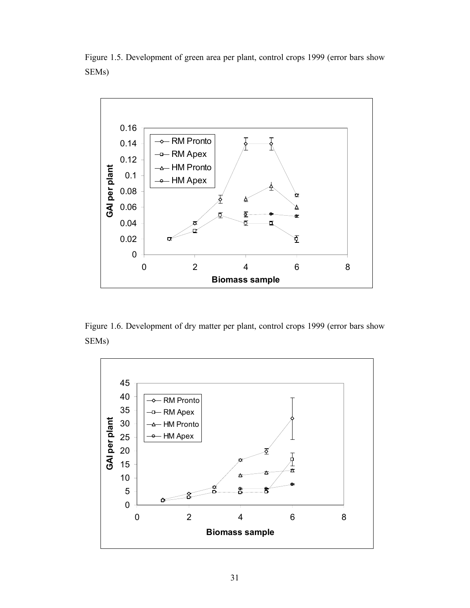Figure 1.5. Development of green area per plant, control crops 1999 (error bars show SEMs)



Figure 1.6. Development of dry matter per plant, control crops 1999 (error bars show SEMs)

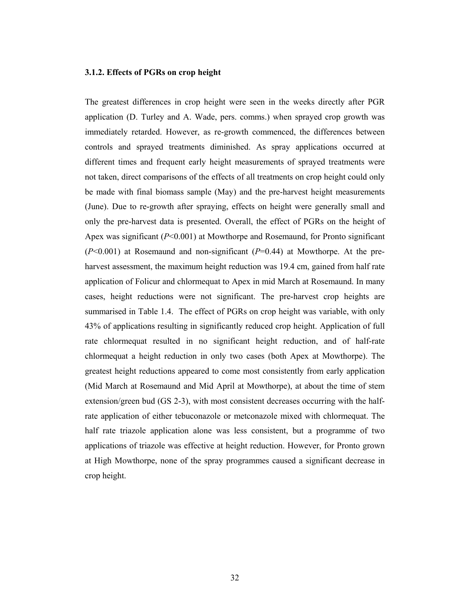#### **3.1.2. Effects of PGRs on crop height**

The greatest differences in crop height were seen in the weeks directly after PGR application (D. Turley and A. Wade, pers. comms.) when sprayed crop growth was immediately retarded. However, as re-growth commenced, the differences between controls and sprayed treatments diminished. As spray applications occurred at different times and frequent early height measurements of sprayed treatments were not taken, direct comparisons of the effects of all treatments on crop height could only be made with final biomass sample (May) and the pre-harvest height measurements (June). Due to re-growth after spraying, effects on height were generally small and only the pre-harvest data is presented. Overall, the effect of PGRs on the height of Apex was significant (*P*<0.001) at Mowthorpe and Rosemaund, for Pronto significant (*P*<0.001) at Rosemaund and non-significant (*P*=0.44) at Mowthorpe. At the preharvest assessment, the maximum height reduction was 19.4 cm, gained from half rate application of Folicur and chlormequat to Apex in mid March at Rosemaund. In many cases, height reductions were not significant. The pre-harvest crop heights are summarised in Table 1.4. The effect of PGRs on crop height was variable, with only 43% of applications resulting in significantly reduced crop height. Application of full rate chlormequat resulted in no significant height reduction, and of half-rate chlormequat a height reduction in only two cases (both Apex at Mowthorpe). The greatest height reductions appeared to come most consistently from early application (Mid March at Rosemaund and Mid April at Mowthorpe), at about the time of stem extension/green bud (GS 2-3), with most consistent decreases occurring with the halfrate application of either tebuconazole or metconazole mixed with chlormequat. The half rate triazole application alone was less consistent, but a programme of two applications of triazole was effective at height reduction. However, for Pronto grown at High Mowthorpe, none of the spray programmes caused a significant decrease in crop height.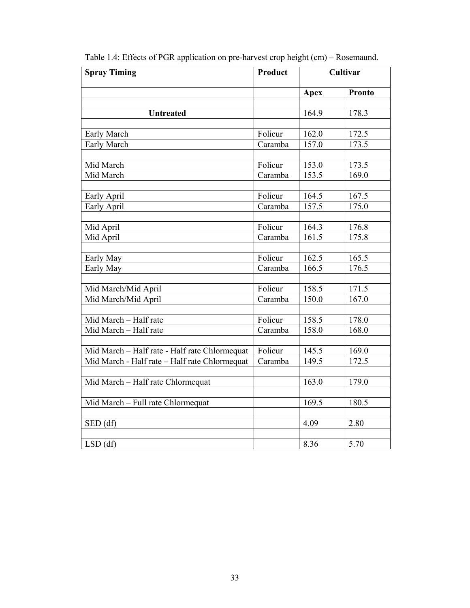| <b>Spray Timing</b>                           | <b>Product</b>              |             | Cultivar           |
|-----------------------------------------------|-----------------------------|-------------|--------------------|
|                                               |                             | <b>Apex</b> | <b>Pronto</b>      |
|                                               |                             |             |                    |
| <b>Untreated</b>                              |                             | 164.9       | 178.3              |
| Early March                                   | Folicur                     | 162.0       | 172.5              |
| Early March                                   | Caramba                     | 157.0       | 173.5              |
|                                               |                             |             |                    |
| Mid March                                     | Folicur                     | 153.0       | 173.5              |
| Mid March                                     | Caramba                     | 153.5       | 169.0              |
| Early April                                   | Folicur                     | 164.5       | 167.5              |
| Early April                                   | Caramba                     | 157.5       | 175.0              |
|                                               |                             |             |                    |
| Mid April                                     | Folicur                     | 164.3       | 176.8              |
| Mid April                                     | $\overline{\text{Caramba}}$ | 161.5       | 175.8              |
|                                               |                             |             |                    |
| Early May                                     | Folicur                     | 162.5       | $\overline{165.5}$ |
| Early May                                     | Caramba                     | 166.5       | 176.5              |
|                                               |                             |             |                    |
| Mid March/Mid April                           | Folicur                     | 158.5       | 171.5              |
| Mid March/Mid April                           | Caramba                     | 150.0       | 167.0              |
|                                               |                             |             |                    |
| Mid March - Half rate                         | Folicur                     | 158.5       | 178.0              |
| Mid March - Half rate                         | $\overline{C}$ aramba       | 158.0       | 168.0              |
|                                               |                             |             |                    |
| Mid March - Half rate - Half rate Chlormequat | Folicur                     | 145.5       | 169.0              |
| Mid March - Half rate - Half rate Chlormequat | Caramba                     | 149.5       | 172.5              |
| Mid March - Half rate Chlormequat             |                             | 163.0       | 179.0              |
|                                               |                             |             |                    |
| Mid March - Full rate Chlormequat             |                             | 169.5       | 180.5              |
|                                               |                             |             |                    |
| SED (df)                                      |                             | 4.09        | 2.80               |
| $LSD$ (df)                                    |                             | 8.36        | 5.70               |

Table 1.4: Effects of PGR application on pre-harvest crop height (cm) – Rosemaund.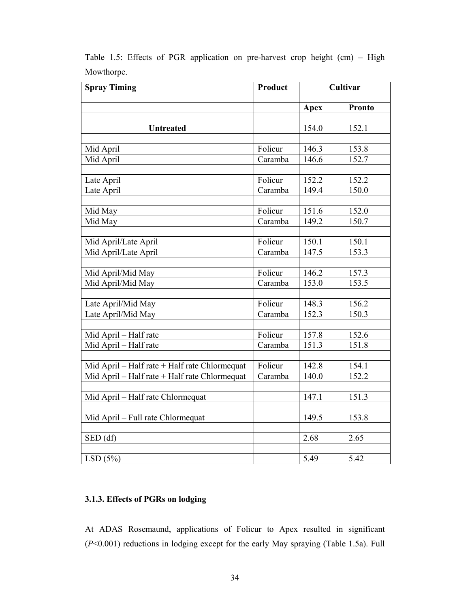| <b>Spray Timing</b>                           | Product | Cultivar    |               |
|-----------------------------------------------|---------|-------------|---------------|
|                                               |         | <b>Apex</b> | <b>Pronto</b> |
|                                               |         |             |               |
| <b>Untreated</b>                              |         | 154.0       | 152.1         |
|                                               |         |             |               |
| Mid April                                     | Folicur | 146.3       | 153.8         |
| Mid April                                     | Caramba | 146.6       | 152.7         |
|                                               |         |             |               |
| Late April                                    | Folicur | 152.2       | 152.2         |
| Late April                                    | Caramba | 149.4       | 150.0         |
|                                               |         |             |               |
| Mid May                                       | Folicur | 151.6       | 152.0         |
| Mid May                                       | Caramba | 149.2       | 150.7         |
|                                               |         |             |               |
| Mid April/Late April                          | Folicur | 150.1       | 150.1         |
| Mid April/Late April                          | Caramba | 147.5       | 153.3         |
|                                               |         |             |               |
| Mid April/Mid May                             | Folicur | 146.2       | 157.3         |
| Mid April/Mid May                             | Caramba | 153.0       | 153.5         |
|                                               |         |             |               |
| Late April/Mid May                            | Folicur | 148.3       | 156.2         |
| Late April/Mid May                            | Caramba | 152.3       | 150.3         |
|                                               |         |             |               |
| Mid April - Half rate                         | Folicur | 157.8       | 152.6         |
| Mid April - Half rate                         | Caramba | 151.3       | 151.8         |
|                                               |         |             |               |
| Mid April - Half rate + Half rate Chlormequat | Folicur | 142.8       | 154.1         |
| Mid April - Half rate + Half rate Chlormequat | Caramba | 140.0       | 152.2         |
|                                               |         |             |               |
| Mid April - Half rate Chlormequat             |         | 147.1       | 151.3         |
|                                               |         |             |               |
| Mid April - Full rate Chlormequat             |         | 149.5       | 153.8         |
|                                               |         |             |               |
| SED (df)                                      |         | 2.68        | 2.65          |
|                                               |         |             |               |
| LSD(5%)                                       |         | 5.49        | 5.42          |

Table 1.5: Effects of PGR application on pre-harvest crop height (cm) – High Mowthorpe.

### **3.1.3. Effects of PGRs on lodging**

At ADAS Rosemaund, applications of Folicur to Apex resulted in significant (*P*<0.001) reductions in lodging except for the early May spraying (Table 1.5a). Full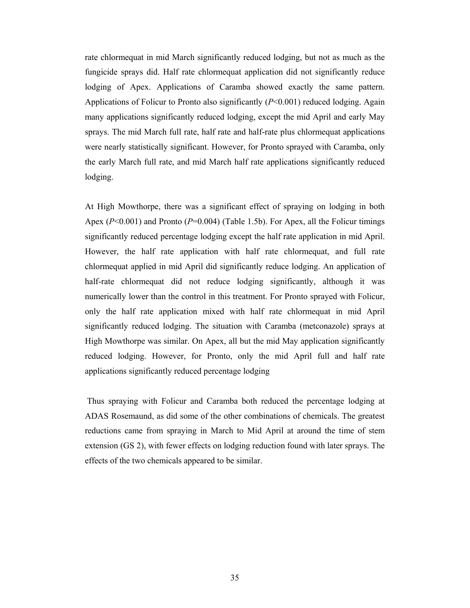rate chlormequat in mid March significantly reduced lodging, but not as much as the fungicide sprays did. Half rate chlormequat application did not significantly reduce lodging of Apex. Applications of Caramba showed exactly the same pattern. Applications of Folicur to Pronto also significantly (*P*<0.001) reduced lodging. Again many applications significantly reduced lodging, except the mid April and early May sprays. The mid March full rate, half rate and half-rate plus chlormequat applications were nearly statistically significant. However, for Pronto sprayed with Caramba, only the early March full rate, and mid March half rate applications significantly reduced lodging.

At High Mowthorpe, there was a significant effect of spraying on lodging in both Apex ( $P<0.001$ ) and Pronto ( $P=0.004$ ) (Table 1.5b). For Apex, all the Folicur timings significantly reduced percentage lodging except the half rate application in mid April. However, the half rate application with half rate chlormequat, and full rate chlormequat applied in mid April did significantly reduce lodging. An application of half-rate chlormequat did not reduce lodging significantly, although it was numerically lower than the control in this treatment. For Pronto sprayed with Folicur, only the half rate application mixed with half rate chlormequat in mid April significantly reduced lodging. The situation with Caramba (metconazole) sprays at High Mowthorpe was similar. On Apex, all but the mid May application significantly reduced lodging. However, for Pronto, only the mid April full and half rate applications significantly reduced percentage lodging

 Thus spraying with Folicur and Caramba both reduced the percentage lodging at ADAS Rosemaund, as did some of the other combinations of chemicals. The greatest reductions came from spraying in March to Mid April at around the time of stem extension (GS 2), with fewer effects on lodging reduction found with later sprays. The effects of the two chemicals appeared to be similar.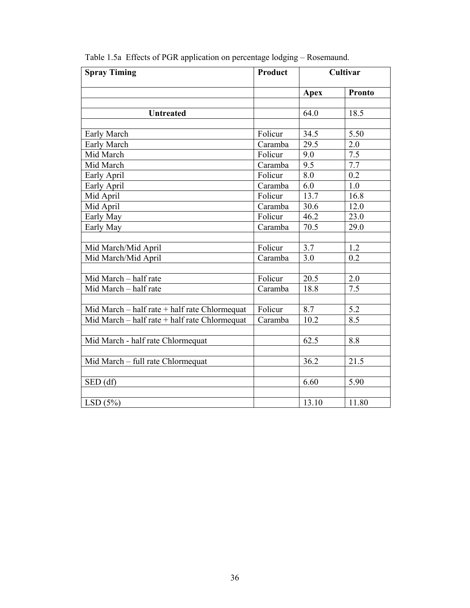| <b>Spray Timing</b>                           | <b>Product</b> |                  | Cultivar         |
|-----------------------------------------------|----------------|------------------|------------------|
|                                               |                | <b>Apex</b>      | <b>Pronto</b>    |
|                                               |                |                  |                  |
| <b>Untreated</b>                              |                | 64.0             | 18.5             |
|                                               |                |                  |                  |
| Early March                                   | Folicur        | 34.5             | 5.50             |
| Early March                                   | Caramba        | 29.5             | 2.0              |
| Mid March                                     | Folicur        | 9.0              | 7.5              |
| Mid March                                     | Caramba        | 9.5              | 7.7              |
| Early April                                   | Folicur        | 8.0              | $\overline{0.2}$ |
| Early April                                   | Caramba        | 6.0              | 1.0              |
| Mid April                                     | Folicur        | 13.7             | 16.8             |
| Mid April                                     | Caramba        | 30.6             | 12.0             |
| Early May                                     | Folicur        | 46.2             | 23.0             |
| Early May                                     | Caramba        | 70.5             | 29.0             |
|                                               |                |                  |                  |
| Mid March/Mid April                           | Folicur        | $\overline{3.7}$ | $\overline{1.2}$ |
| Mid March/Mid April                           | Caramba        | $3.0\,$          | 0.2              |
|                                               |                |                  |                  |
| Mid March - half rate                         | Folicur        | 20.5             | 2.0              |
| Mid March - half rate                         | Caramba        | 18.8             | 7.5              |
|                                               |                |                  |                  |
| Mid March – half rate + half rate Chlormequat | Folicur        | 8.7              | 5.2              |
| Mid March - half rate + half rate Chlormequat | Caramba        | 10.2             | 8.5              |
|                                               |                |                  |                  |
| Mid March - half rate Chlormequat             |                | 62.5             | 8.8              |
|                                               |                |                  |                  |
| Mid March - full rate Chlormequat             |                | 36.2             | 21.5             |
|                                               |                |                  |                  |
| SED (df)                                      |                | 6.60             | 5.90             |
|                                               |                |                  |                  |
| LSD(5%)                                       |                | 13.10            | 11.80            |

Table 1.5a Effects of PGR application on percentage lodging – Rosemaund.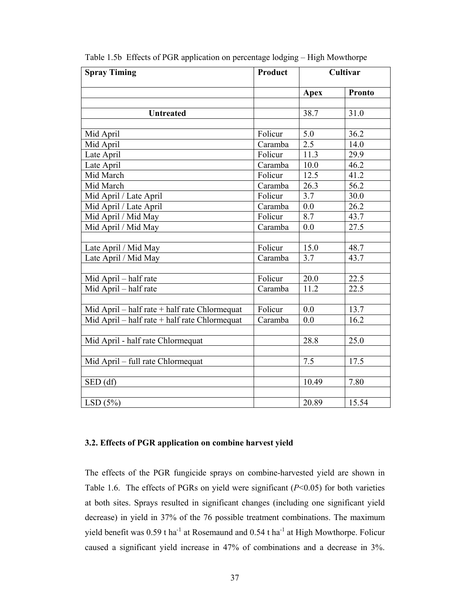| <b>Spray Timing</b>                           | Product | Cultivar    |               |  |
|-----------------------------------------------|---------|-------------|---------------|--|
|                                               |         | <b>Apex</b> | <b>Pronto</b> |  |
|                                               |         |             |               |  |
| <b>Untreated</b>                              |         | 38.7        | 31.0          |  |
|                                               |         |             |               |  |
| Mid April                                     | Folicur | 5.0         | 36.2          |  |
| Mid April                                     | Caramba | 2.5         | 14.0          |  |
| Late April                                    | Folicur | 11.3        | 29.9          |  |
| Late April                                    | Caramba | 10.0        | 46.2          |  |
| Mid March                                     | Folicur | 12.5        | 41.2          |  |
| Mid March                                     | Caramba | 26.3        | 56.2          |  |
| Mid April / Late April                        | Folicur | 3.7         | 30.0          |  |
| Mid April / Late April                        | Caramba | 0.0         | 26.2          |  |
| Mid April / Mid May                           | Folicur | 8.7         | 43.7          |  |
| Mid April / Mid May                           | Caramba | 0.0         | 27.5          |  |
|                                               |         |             |               |  |
| Late April / Mid May                          | Folicur | 15.0        | 48.7          |  |
| Late April / Mid May                          | Caramba | 3.7         | 43.7          |  |
|                                               |         |             |               |  |
| Mid April - half rate                         | Folicur | 20.0        | 22.5          |  |
| Mid April - half rate                         | Caramba | 11.2        | 22.5          |  |
|                                               |         |             |               |  |
| Mid April – half rate + half rate Chlormequat | Folicur | 0.0         | 13.7          |  |
| Mid April - half rate + half rate Chlormequat | Caramba | 0.0         | 16.2          |  |
|                                               |         |             |               |  |
| Mid April - half rate Chlormequat             |         | 28.8        | 25.0          |  |
|                                               |         |             |               |  |
| Mid April – full rate Chlormequat             |         | 7.5         | 17.5          |  |
|                                               |         |             |               |  |
| $SED$ (df)                                    |         | 10.49       | 7.80          |  |
|                                               |         |             |               |  |
| LSD(5%)                                       |         | 20.89       | 15.54         |  |

Table 1.5b Effects of PGR application on percentage lodging – High Mowthorpe

## **3.2. Effects of PGR application on combine harvest yield**

The effects of the PGR fungicide sprays on combine-harvested yield are shown in Table 1.6. The effects of PGRs on yield were significant (*P*<0.05) for both varieties at both sites. Sprays resulted in significant changes (including one significant yield decrease) in yield in 37% of the 76 possible treatment combinations. The maximum yield benefit was  $0.59$  t ha<sup>-1</sup> at Rosemaund and  $0.54$  t ha<sup>-1</sup> at High Mowthorpe. Folicur caused a significant yield increase in 47% of combinations and a decrease in 3%.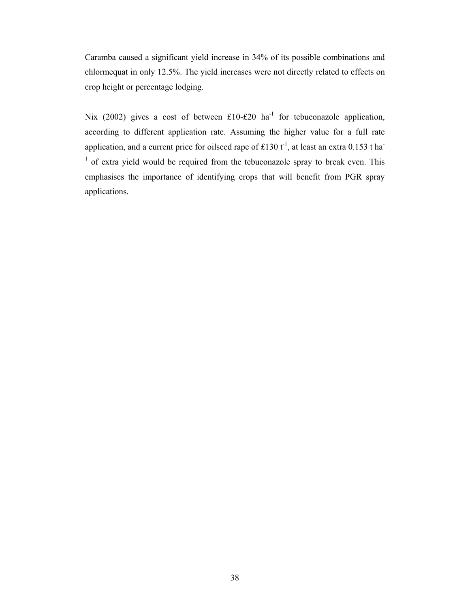Caramba caused a significant yield increase in 34% of its possible combinations and chlormequat in only 12.5%. The yield increases were not directly related to effects on crop height or percentage lodging.

Nix (2002) gives a cost of between £10-£20 ha<sup>-1</sup> for tebuconazole application, according to different application rate. Assuming the higher value for a full rate application, and a current price for oilseed rape of £130  $t^{-1}$ , at least an extra 0.153 t ha<sup>-</sup>  $<sup>1</sup>$  of extra yield would be required from the tebuconazole spray to break even. This</sup> emphasises the importance of identifying crops that will benefit from PGR spray applications.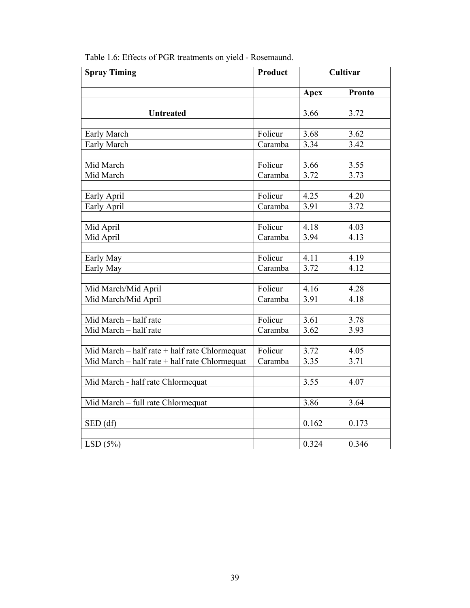| <b>Spray Timing</b>                           | Product |             | Cultivar          |
|-----------------------------------------------|---------|-------------|-------------------|
|                                               |         | <b>Apex</b> | <b>Pronto</b>     |
|                                               |         |             |                   |
| <b>Untreated</b>                              |         | 3.66        | 3.72              |
|                                               |         |             |                   |
| Early March                                   | Folicur | 3.68        | 3.62              |
| Early March                                   | Caramba | 3.34        | 3.42              |
|                                               |         |             |                   |
| Mid March                                     | Folicur | 3.66        | 3.55              |
| Mid March                                     | Caramba | 3.72        | 3.73              |
| Early April                                   | Folicur | 4.25        | 4.20              |
| Early April                                   | Caramba | 3.91        | 3.72              |
|                                               |         |             |                   |
| Mid April                                     | Folicur | 4.18        | 4.03              |
| Mid April                                     | Caramba | 3.94        | 4.13              |
|                                               |         |             |                   |
| Early May                                     | Folicur | 4.11        | 4.19              |
| Early May                                     | Caramba | 3.72        | $4.\overline{12}$ |
|                                               |         |             |                   |
| Mid March/Mid April                           | Folicur | 4.16        | 4.28              |
| Mid March/Mid April                           | Caramba | 3.91        | 4.18              |
|                                               |         |             |                   |
| Mid March - half rate                         | Folicur | 3.61        | 3.78              |
| Mid March - half rate                         | Caramba | 3.62        | 3.93              |
|                                               |         |             |                   |
| Mid March - half rate + half rate Chlormequat | Folicur | 3.72        | 4.05              |
| Mid March - half rate + half rate Chlormequat | Caramba | 3.35        | 3.71              |
|                                               |         | 3.55        | 4.07              |
| Mid March - half rate Chlormequat             |         |             |                   |
| Mid March - full rate Chlormequat             |         | 3.86        | 3.64              |
|                                               |         |             |                   |
| SED (df)                                      |         | 0.162       | 0.173             |
|                                               |         |             |                   |
| LSD(5%)                                       |         | 0.324       | 0.346             |

Table 1.6: Effects of PGR treatments on yield - Rosemaund.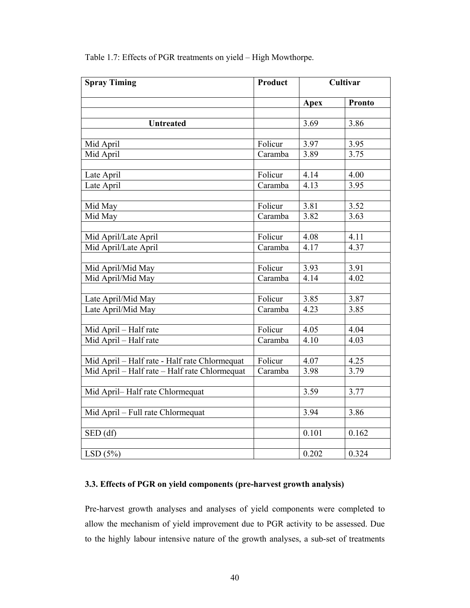| <b>Spray Timing</b>                           | Product |             | Cultivar      |
|-----------------------------------------------|---------|-------------|---------------|
|                                               |         | <b>Apex</b> | <b>Pronto</b> |
|                                               |         |             |               |
| <b>Untreated</b>                              |         | 3.69        | 3.86          |
|                                               |         |             |               |
| Mid April                                     | Folicur | 3.97        | 3.95          |
| Mid April                                     | Caramba | 3.89        | 3.75          |
|                                               |         |             |               |
| Late April                                    | Folicur | 4.14        | 4.00          |
| Late April                                    | Caramba | 4.13        | 3.95          |
|                                               |         |             |               |
| Mid May                                       | Folicur | 3.81        | 3.52          |
| Mid May                                       | Caramba | 3.82        | 3.63          |
|                                               |         |             |               |
| Mid April/Late April                          | Folicur | 4.08        | 4.11          |
| Mid April/Late April                          | Caramba | 4.17        | 4.37          |
|                                               |         |             |               |
| Mid April/Mid May                             | Folicur | 3.93        | 3.91          |
| Mid April/Mid May                             | Caramba | 4.14        | 4.02          |
|                                               |         |             |               |
| Late April/Mid May                            | Folicur | 3.85        | 3.87          |
| Late April/Mid May                            | Caramba | 4.23        | 3.85          |
|                                               |         |             |               |
| Mid April - Half rate                         | Folicur | 4.05        | 4.04          |
| Mid April - Half rate                         | Caramba | 4.10        | 4.03          |
|                                               |         |             |               |
| Mid April - Half rate - Half rate Chlormequat | Folicur | 4.07        | 4.25          |
| Mid April - Half rate - Half rate Chlormequat | Caramba | 3.98        | 3.79          |
|                                               |         |             |               |
| Mid April-Half rate Chlormequat               |         | 3.59        | 3.77          |
|                                               |         |             |               |
| Mid April - Full rate Chlormequat             |         | 3.94        | 3.86          |
|                                               |         |             |               |
| SED(df)                                       |         | 0.101       | 0.162         |
|                                               |         |             |               |
| LSD(5%)                                       |         | 0.202       | 0.324         |

Table 1.7: Effects of PGR treatments on yield – High Mowthorpe.

# **3.3. Effects of PGR on yield components (pre-harvest growth analysis)**

Pre-harvest growth analyses and analyses of yield components were completed to allow the mechanism of yield improvement due to PGR activity to be assessed. Due to the highly labour intensive nature of the growth analyses, a sub-set of treatments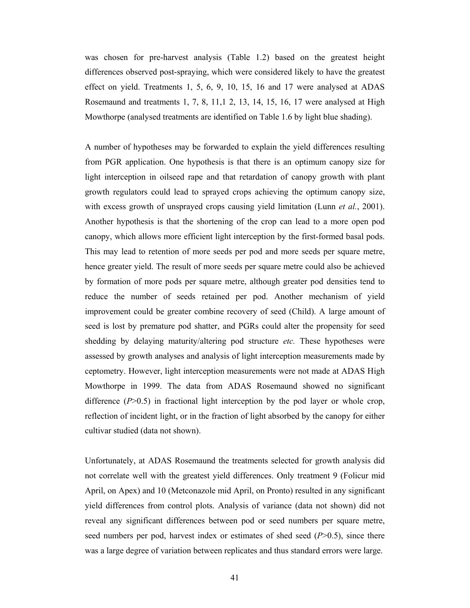was chosen for pre-harvest analysis (Table 1.2) based on the greatest height differences observed post-spraying, which were considered likely to have the greatest effect on yield. Treatments 1, 5, 6, 9, 10, 15, 16 and 17 were analysed at ADAS Rosemaund and treatments 1, 7, 8, 11,1 2, 13, 14, 15, 16, 17 were analysed at High Mowthorpe (analysed treatments are identified on Table 1.6 by light blue shading).

A number of hypotheses may be forwarded to explain the yield differences resulting from PGR application. One hypothesis is that there is an optimum canopy size for light interception in oilseed rape and that retardation of canopy growth with plant growth regulators could lead to sprayed crops achieving the optimum canopy size, with excess growth of unsprayed crops causing yield limitation (Lunn *et al.*, 2001). Another hypothesis is that the shortening of the crop can lead to a more open pod canopy, which allows more efficient light interception by the first-formed basal pods. This may lead to retention of more seeds per pod and more seeds per square metre, hence greater yield. The result of more seeds per square metre could also be achieved by formation of more pods per square metre, although greater pod densities tend to reduce the number of seeds retained per pod. Another mechanism of yield improvement could be greater combine recovery of seed (Child). A large amount of seed is lost by premature pod shatter, and PGRs could alter the propensity for seed shedding by delaying maturity/altering pod structure *etc.* These hypotheses were assessed by growth analyses and analysis of light interception measurements made by ceptometry. However, light interception measurements were not made at ADAS High Mowthorpe in 1999. The data from ADAS Rosemaund showed no significant difference  $(P>0.5)$  in fractional light interception by the pod layer or whole crop, reflection of incident light, or in the fraction of light absorbed by the canopy for either cultivar studied (data not shown).

Unfortunately, at ADAS Rosemaund the treatments selected for growth analysis did not correlate well with the greatest yield differences. Only treatment 9 (Folicur mid April, on Apex) and 10 (Metconazole mid April, on Pronto) resulted in any significant yield differences from control plots. Analysis of variance (data not shown) did not reveal any significant differences between pod or seed numbers per square metre, seed numbers per pod, harvest index or estimates of shed seed (*P*>0.5), since there was a large degree of variation between replicates and thus standard errors were large.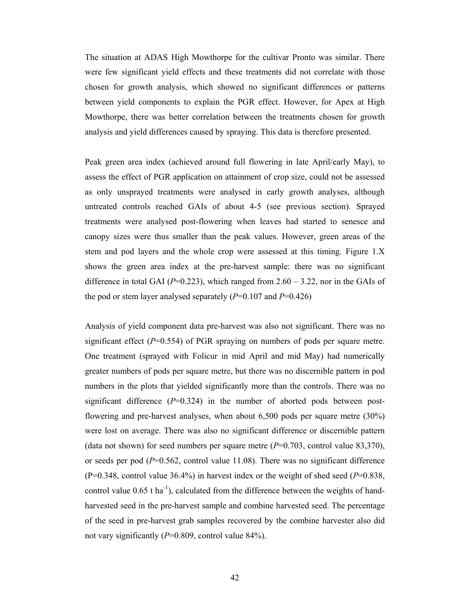The situation at ADAS High Mowthorpe for the cultivar Pronto was similar. There were few significant yield effects and these treatments did not correlate with those chosen for growth analysis, which showed no significant differences or patterns between yield components to explain the PGR effect. However, for Apex at High Mowthorpe, there was better correlation between the treatments chosen for growth analysis and yield differences caused by spraying. This data is therefore presented.

Peak green area index (achieved around full flowering in late April/early May), to assess the effect of PGR application on attainment of crop size, could not be assessed as only unsprayed treatments were analysed in early growth analyses, although untreated controls reached GAIs of about 4-5 (see previous section). Sprayed treatments were analysed post-flowering when leaves had started to senesce and canopy sizes were thus smaller than the peak values. However, green areas of the stem and pod layers and the whole crop were assessed at this timing. Figure 1.X shows the green area index at the pre-harvest sample: there was no significant difference in total GAI ( $P=0.223$ ), which ranged from 2.60 – 3.22, nor in the GAIs of the pod or stem layer analysed separately  $(P=0.107$  and  $P=0.426$ )

Analysis of yield component data pre-harvest was also not significant. There was no significant effect  $(P=0.554)$  of PGR spraying on numbers of pods per square metre. One treatment (sprayed with Folicur in mid April and mid May) had numerically greater numbers of pods per square metre, but there was no discernible pattern in pod numbers in the plots that yielded significantly more than the controls. There was no significant difference  $(P=0.324)$  in the number of aborted pods between postflowering and pre-harvest analyses, when about 6,500 pods per square metre (30%) were lost on average. There was also no significant difference or discernible pattern (data not shown) for seed numbers per square metre  $(P=0.703$ , control value 83,370), or seeds per pod  $(P=0.562$ , control value 11.08). There was no significant difference (P=0.348, control value 36.4%) in harvest index or the weight of shed seed (*P*=0.838, control value  $0.65$  t ha<sup>-1</sup>), calculated from the difference between the weights of handharvested seed in the pre-harvest sample and combine harvested seed. The percentage of the seed in pre-harvest grab samples recovered by the combine harvester also did not vary significantly (*P*=0.809, control value 84%).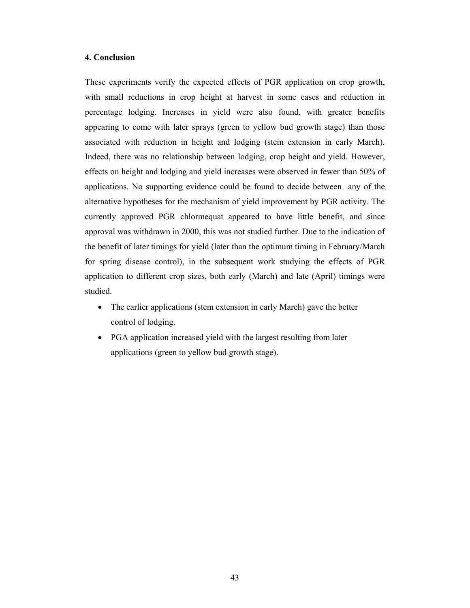## **4. Conclusion**

These experiments verify the expected effects of PGR application on crop growth, with small reductions in crop height at harvest in some cases and reduction in percentage lodging. Increases in yield were also found, with greater benefits appearing to come with later sprays (green to yellow bud growth stage) than those associated with reduction in height and lodging (stem extension in early March). Indeed, there was no relationship between lodging, crop height and yield. However, effects on height and lodging and yield increases were observed in fewer than 50% of applications. No supporting evidence could be found to decide between any of the alternative hypotheses for the mechanism of yield improvement by PGR activity. The currently approved PGR chlormequat appeared to have little benefit, and since approval was withdrawn in 2000, this was not studied further. Due to the indication of the benefit of later timings for yield (later than the optimum timing in February/March for spring disease control), in the subsequent work studying the effects of PGR application to different crop sizes, both early (March) and late (April) timings were studied.

- The earlier applications (stem extension in early March) gave the better control of lodging.
- PGA application increased yield with the largest resulting from later applications (green to yellow bud growth stage).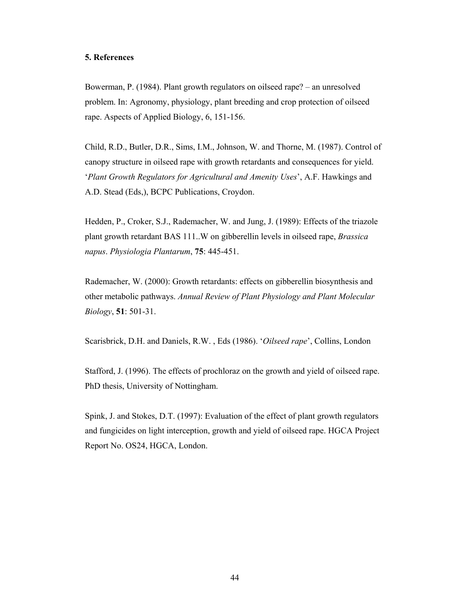### **5. References**

Bowerman, P. (1984). Plant growth regulators on oilseed rape? – an unresolved problem. In: Agronomy, physiology, plant breeding and crop protection of oilseed rape. Aspects of Applied Biology, 6, 151-156.

Child, R.D., Butler, D.R., Sims, I.M., Johnson, W. and Thorne, M. (1987). Control of canopy structure in oilseed rape with growth retardants and consequences for yield. '*Plant Growth Regulators for Agricultural and Amenity Uses*', A.F. Hawkings and A.D. Stead (Eds,), BCPC Publications, Croydon.

Hedden, P., Croker, S.J., Rademacher, W. and Jung, J. (1989): Effects of the triazole plant growth retardant BAS 111..W on gibberellin levels in oilseed rape, *Brassica napus*. *Physiologia Plantarum*, **75**: 445-451.

Rademacher, W. (2000): Growth retardants: effects on gibberellin biosynthesis and other metabolic pathways. *Annual Review of Plant Physiology and Plant Molecular Biology*, **51**: 501-31.

Scarisbrick, D.H. and Daniels, R.W. , Eds (1986). '*Oilseed rape*', Collins, London

Stafford, J. (1996). The effects of prochloraz on the growth and yield of oilseed rape. PhD thesis, University of Nottingham.

Spink, J. and Stokes, D.T. (1997): Evaluation of the effect of plant growth regulators and fungicides on light interception, growth and yield of oilseed rape. HGCA Project Report No. OS24, HGCA, London.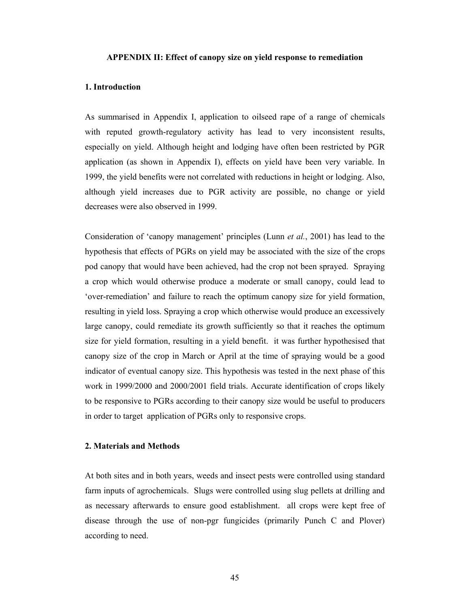#### **APPENDIX II: Effect of canopy size on yield response to remediation**

#### **1. Introduction**

As summarised in Appendix I, application to oilseed rape of a range of chemicals with reputed growth-regulatory activity has lead to very inconsistent results, especially on yield. Although height and lodging have often been restricted by PGR application (as shown in Appendix I), effects on yield have been very variable. In 1999, the yield benefits were not correlated with reductions in height or lodging. Also, although yield increases due to PGR activity are possible, no change or yield decreases were also observed in 1999.

Consideration of 'canopy management' principles (Lunn *et al.*, 2001) has lead to the hypothesis that effects of PGRs on yield may be associated with the size of the crops pod canopy that would have been achieved, had the crop not been sprayed. Spraying a crop which would otherwise produce a moderate or small canopy, could lead to 'over-remediation' and failure to reach the optimum canopy size for yield formation, resulting in yield loss. Spraying a crop which otherwise would produce an excessively large canopy, could remediate its growth sufficiently so that it reaches the optimum size for yield formation, resulting in a yield benefit. it was further hypothesised that canopy size of the crop in March or April at the time of spraying would be a good indicator of eventual canopy size. This hypothesis was tested in the next phase of this work in 1999/2000 and 2000/2001 field trials. Accurate identification of crops likely to be responsive to PGRs according to their canopy size would be useful to producers in order to target application of PGRs only to responsive crops.

#### **2. Materials and Methods**

At both sites and in both years, weeds and insect pests were controlled using standard farm inputs of agrochemicals. Slugs were controlled using slug pellets at drilling and as necessary afterwards to ensure good establishment. all crops were kept free of disease through the use of non-pgr fungicides (primarily Punch C and Plover) according to need.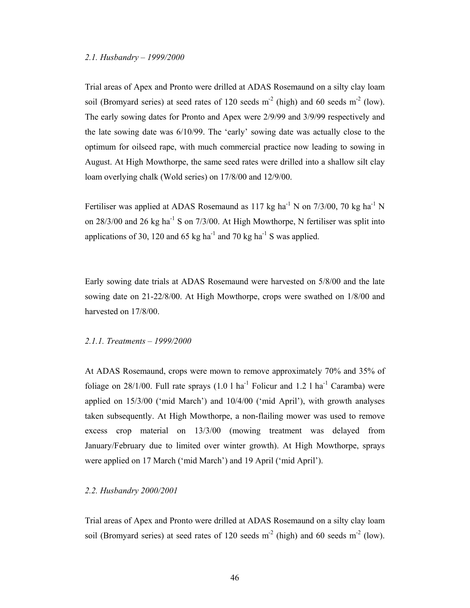#### *2.1. Husbandry – 1999/2000*

Trial areas of Apex and Pronto were drilled at ADAS Rosemaund on a silty clay loam soil (Bromyard series) at seed rates of 120 seeds  $m<sup>2</sup>$  (high) and 60 seeds  $m<sup>2</sup>$  (low). The early sowing dates for Pronto and Apex were 2/9/99 and 3/9/99 respectively and the late sowing date was 6/10/99. The 'early' sowing date was actually close to the optimum for oilseed rape, with much commercial practice now leading to sowing in August. At High Mowthorpe, the same seed rates were drilled into a shallow silt clay loam overlying chalk (Wold series) on 17/8/00 and 12/9/00.

Fertiliser was applied at ADAS Rosemaund as 117 kg ha<sup>-1</sup> N on 7/3/00, 70 kg ha<sup>-1</sup> N on  $28/3/00$  and  $26$  kg ha<sup>-1</sup> S on  $7/3/00$ . At High Mowthorpe, N fertiliser was split into applications of 30, 120 and 65 kg ha<sup>-1</sup> and 70 kg ha<sup>-1</sup> S was applied.

Early sowing date trials at ADAS Rosemaund were harvested on 5/8/00 and the late sowing date on 21-22/8/00. At High Mowthorpe, crops were swathed on 1/8/00 and harvested on 17/8/00.

## *2.1.1. Treatments – 1999/2000*

At ADAS Rosemaund, crops were mown to remove approximately 70% and 35% of foliage on  $28/1/00$ . Full rate sprays  $(1.0 \text{ 1 ha}^{-1}$  Folicur and  $1.2 \text{ 1 ha}^{-1}$  Caramba) were applied on 15/3/00 ('mid March') and 10/4/00 ('mid April'), with growth analyses taken subsequently. At High Mowthorpe, a non-flailing mower was used to remove excess crop material on 13/3/00 (mowing treatment was delayed from January/February due to limited over winter growth). At High Mowthorpe, sprays were applied on 17 March ('mid March') and 19 April ('mid April').

#### *2.2. Husbandry 2000/2001*

Trial areas of Apex and Pronto were drilled at ADAS Rosemaund on a silty clay loam soil (Bromyard series) at seed rates of 120 seeds  $m<sup>2</sup>$  (high) and 60 seeds  $m<sup>2</sup>$  (low).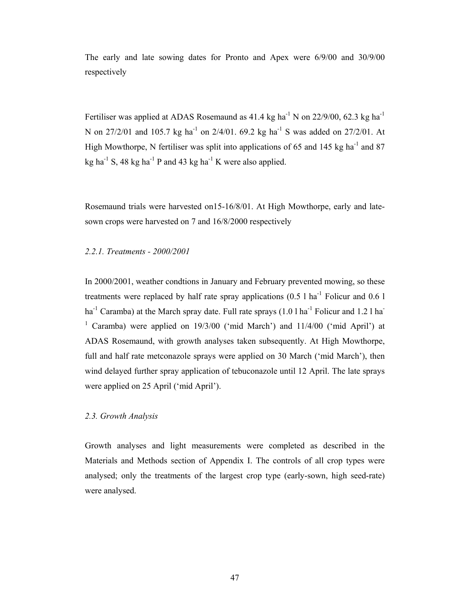The early and late sowing dates for Pronto and Apex were 6/9/00 and 30/9/00 respectively

Fertiliser was applied at ADAS Rosemaund as  $41.4 \text{ kg}$  ha<sup>-1</sup> N on 22/9/00, 62.3 kg ha<sup>-1</sup> N on 27/2/01 and 105.7 kg ha<sup>-1</sup> on 2/4/01. 69.2 kg ha<sup>-1</sup> S was added on 27/2/01. At High Mowthorpe, N fertiliser was split into applications of 65 and 145 kg ha<sup>-1</sup> and 87 kg ha<sup>-1</sup> S, 48 kg ha<sup>-1</sup> P and 43 kg ha<sup>-1</sup> K were also applied.

Rosemaund trials were harvested on15-16/8/01. At High Mowthorpe, early and latesown crops were harvested on 7 and 16/8/2000 respectively

## *2.2.1. Treatments - 2000/2001*

In 2000/2001, weather condtions in January and February prevented mowing, so these treatments were replaced by half rate spray applications  $(0.5 1 \text{ ha}^{-1})$  Folicur and  $(0.6 1)$ ha<sup>-1</sup> Caramba) at the March spray date. Full rate sprays  $(1.0 1 ha<sup>-1</sup>$  Folicur and 1.2 l ha<sup>-1</sup> <sup>1</sup> Caramba) were applied on 19/3/00 ('mid March') and 11/4/00 ('mid April') at ADAS Rosemaund, with growth analyses taken subsequently. At High Mowthorpe, full and half rate metconazole sprays were applied on 30 March ('mid March'), then wind delayed further spray application of tebuconazole until 12 April. The late sprays were applied on 25 April ('mid April').

## *2.3. Growth Analysis*

Growth analyses and light measurements were completed as described in the Materials and Methods section of Appendix I. The controls of all crop types were analysed; only the treatments of the largest crop type (early-sown, high seed-rate) were analysed.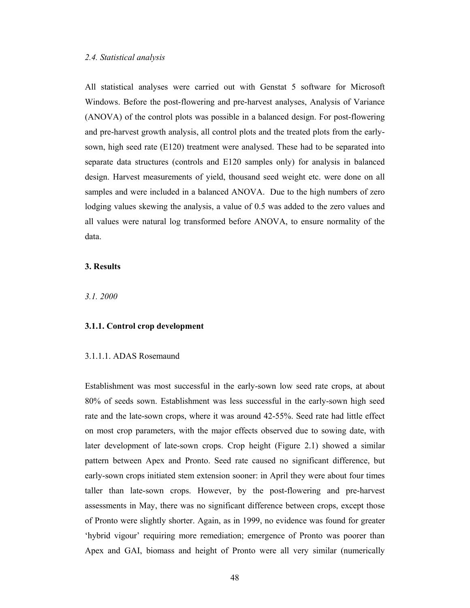All statistical analyses were carried out with Genstat 5 software for Microsoft Windows. Before the post-flowering and pre-harvest analyses, Analysis of Variance (ANOVA) of the control plots was possible in a balanced design. For post-flowering and pre-harvest growth analysis, all control plots and the treated plots from the earlysown, high seed rate (E120) treatment were analysed. These had to be separated into separate data structures (controls and E120 samples only) for analysis in balanced design. Harvest measurements of yield, thousand seed weight etc. were done on all samples and were included in a balanced ANOVA. Due to the high numbers of zero lodging values skewing the analysis, a value of 0.5 was added to the zero values and all values were natural log transformed before ANOVA, to ensure normality of the data.

## **3. Results**

*3.1. 2000* 

### **3.1.1. Control crop development**

#### 3.1.1.1. ADAS Rosemaund

Establishment was most successful in the early-sown low seed rate crops, at about 80% of seeds sown. Establishment was less successful in the early-sown high seed rate and the late-sown crops, where it was around 42-55%. Seed rate had little effect on most crop parameters, with the major effects observed due to sowing date, with later development of late-sown crops. Crop height (Figure 2.1) showed a similar pattern between Apex and Pronto. Seed rate caused no significant difference, but early-sown crops initiated stem extension sooner: in April they were about four times taller than late-sown crops. However, by the post-flowering and pre-harvest assessments in May, there was no significant difference between crops, except those of Pronto were slightly shorter. Again, as in 1999, no evidence was found for greater 'hybrid vigour' requiring more remediation; emergence of Pronto was poorer than Apex and GAI, biomass and height of Pronto were all very similar (numerically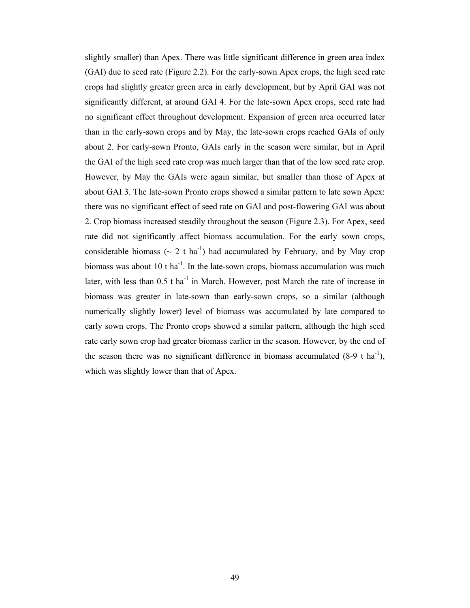slightly smaller) than Apex. There was little significant difference in green area index (GAI) due to seed rate (Figure 2.2). For the early-sown Apex crops, the high seed rate crops had slightly greater green area in early development, but by April GAI was not significantly different, at around GAI 4. For the late-sown Apex crops, seed rate had no significant effect throughout development. Expansion of green area occurred later than in the early-sown crops and by May, the late-sown crops reached GAIs of only about 2. For early-sown Pronto, GAIs early in the season were similar, but in April the GAI of the high seed rate crop was much larger than that of the low seed rate crop. However, by May the GAIs were again similar, but smaller than those of Apex at about GAI 3. The late-sown Pronto crops showed a similar pattern to late sown Apex: there was no significant effect of seed rate on GAI and post-flowering GAI was about 2. Crop biomass increased steadily throughout the season (Figure 2.3). For Apex, seed rate did not significantly affect biomass accumulation. For the early sown crops, considerable biomass ( $\sim 2$  t ha<sup>-1</sup>) had accumulated by February, and by May crop biomass was about 10 t ha<sup>-1</sup>. In the late-sown crops, biomass accumulation was much later, with less than  $0.5$  t ha<sup>-1</sup> in March. However, post March the rate of increase in biomass was greater in late-sown than early-sown crops, so a similar (although numerically slightly lower) level of biomass was accumulated by late compared to early sown crops. The Pronto crops showed a similar pattern, although the high seed rate early sown crop had greater biomass earlier in the season. However, by the end of the season there was no significant difference in biomass accumulated  $(8-9 \text{ t ha}^{-1})$ , which was slightly lower than that of Apex.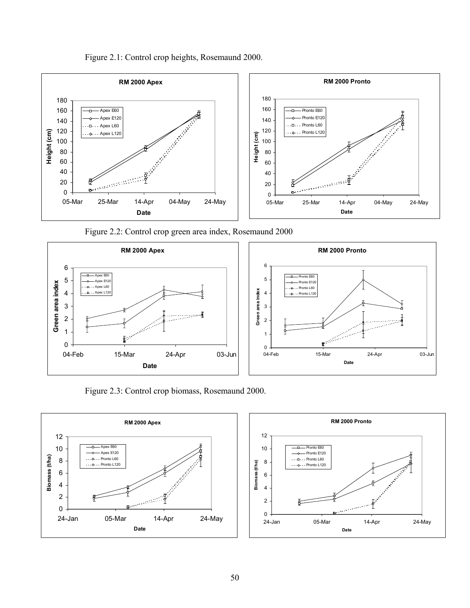Figure 2.1: Control crop heights, Rosemaund 2000.



Figure 2.2: Control crop green area index, Rosemaund 2000





Figure 2.3: Control crop biomass, Rosemaund 2000.



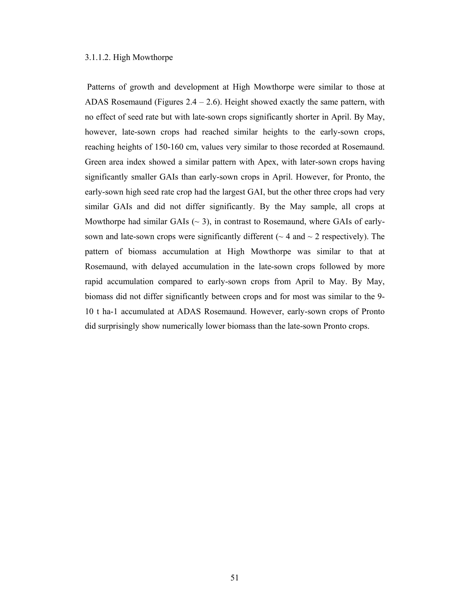### 3.1.1.2. High Mowthorpe

 Patterns of growth and development at High Mowthorpe were similar to those at ADAS Rosemaund (Figures  $2.4 - 2.6$ ). Height showed exactly the same pattern, with no effect of seed rate but with late-sown crops significantly shorter in April. By May, however, late-sown crops had reached similar heights to the early-sown crops, reaching heights of 150-160 cm, values very similar to those recorded at Rosemaund. Green area index showed a similar pattern with Apex, with later-sown crops having significantly smaller GAIs than early-sown crops in April. However, for Pronto, the early-sown high seed rate crop had the largest GAI, but the other three crops had very similar GAIs and did not differ significantly. By the May sample, all crops at Mowthorpe had similar GAIs ( $\sim$  3), in contrast to Rosemaund, where GAIs of earlysown and late-sown crops were significantly different ( $\sim$  4 and  $\sim$  2 respectively). The pattern of biomass accumulation at High Mowthorpe was similar to that at Rosemaund, with delayed accumulation in the late-sown crops followed by more rapid accumulation compared to early-sown crops from April to May. By May, biomass did not differ significantly between crops and for most was similar to the 9- 10 t ha-1 accumulated at ADAS Rosemaund. However, early-sown crops of Pronto did surprisingly show numerically lower biomass than the late-sown Pronto crops.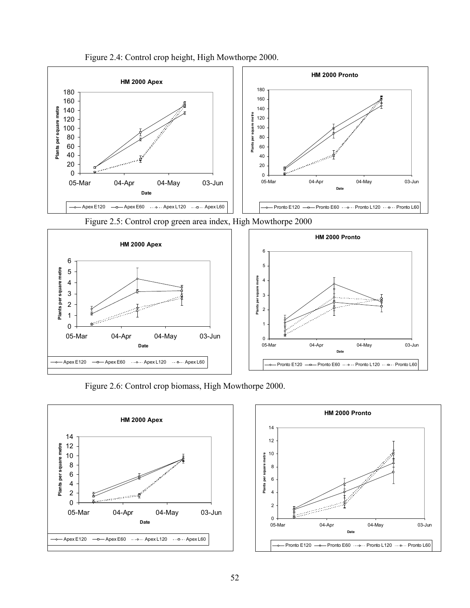

Figure 2.4: Control crop height, High Mowthorpe 2000.



Figure 2.6: Control crop biomass, High Mowthorpe 2000.



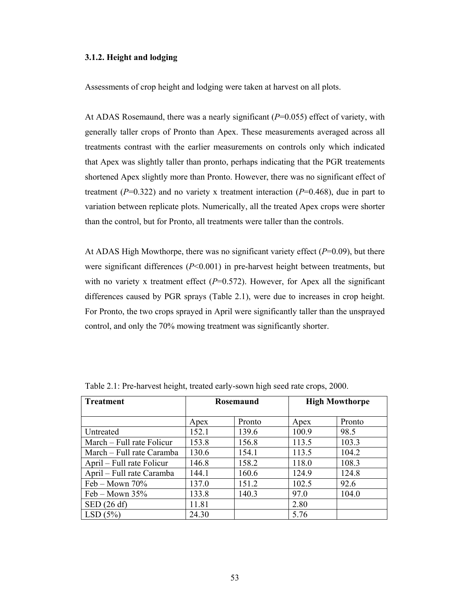## **3.1.2. Height and lodging**

Assessments of crop height and lodging were taken at harvest on all plots.

At ADAS Rosemaund, there was a nearly significant  $(P=0.055)$  effect of variety, with generally taller crops of Pronto than Apex. These measurements averaged across all treatments contrast with the earlier measurements on controls only which indicated that Apex was slightly taller than pronto, perhaps indicating that the PGR treatements shortened Apex slightly more than Pronto. However, there was no significant effect of treatment ( $P=0.322$ ) and no variety x treatment interaction ( $P=0.468$ ), due in part to variation between replicate plots. Numerically, all the treated Apex crops were shorter than the control, but for Pronto, all treatments were taller than the controls.

At ADAS High Mowthorpe, there was no significant variety effect  $(P=0.09)$ , but there were significant differences (*P*<0.001) in pre-harvest height between treatments, but with no variety x treatment effect  $(P=0.572)$ . However, for Apex all the significant differences caused by PGR sprays (Table 2.1), were due to increases in crop height. For Pronto, the two crops sprayed in April were significantly taller than the unsprayed control, and only the 70% mowing treatment was significantly shorter.

| <b>Treatment</b>          | Rosemaund |        |       | <b>High Mowthorpe</b> |  |  |
|---------------------------|-----------|--------|-------|-----------------------|--|--|
|                           | Apex      | Pronto | Apex  | Pronto                |  |  |
| Untreated                 | 152.1     | 139.6  | 100.9 | 98.5                  |  |  |
| March – Full rate Folicur | 153.8     | 156.8  | 113.5 | 103.3                 |  |  |
| March – Full rate Caramba | 130.6     | 154.1  | 113.5 | 104.2                 |  |  |
| April – Full rate Folicur | 146.8     | 158.2  | 118.0 | 108.3                 |  |  |
| April – Full rate Caramba | 144.1     | 160.6  | 124.9 | 124.8                 |  |  |
| Feb – Mown $70\%$         | 137.0     | 151.2  | 102.5 | 92.6                  |  |  |
| Feb – Mown $35%$          | 133.8     | 140.3  | 97.0  | 104.0                 |  |  |
| $\mathrm{SED}$ (26 df)    | 11.81     |        | 2.80  |                       |  |  |
| LSD(5%)                   | 24.30     |        | 5.76  |                       |  |  |

Table 2.1: Pre-harvest height, treated early-sown high seed rate crops, 2000.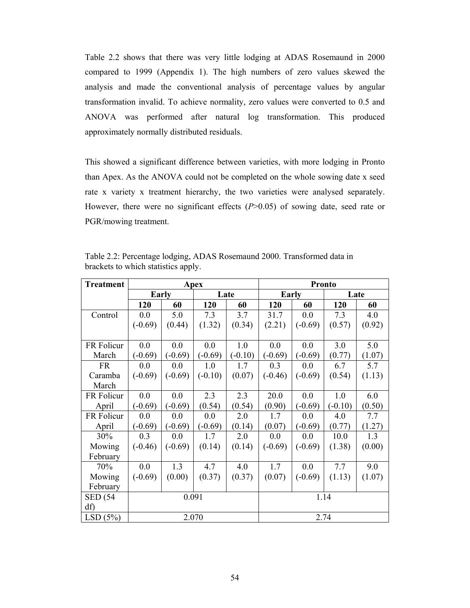Table 2.2 shows that there was very little lodging at ADAS Rosemaund in 2000 compared to 1999 (Appendix 1). The high numbers of zero values skewed the analysis and made the conventional analysis of percentage values by angular transformation invalid. To achieve normality, zero values were converted to 0.5 and ANOVA was performed after natural log transformation. This produced approximately normally distributed residuals.

This showed a significant difference between varieties, with more lodging in Pronto than Apex. As the ANOVA could not be completed on the whole sowing date x seed rate x variety x treatment hierarchy, the two varieties were analysed separately. However, there were no significant effects ( $P > 0.05$ ) of sowing date, seed rate or PGR/mowing treatment.

| <b>Treatment</b> | Apex      |           |           |           | <b>Pronto</b> |           |           |        |
|------------------|-----------|-----------|-----------|-----------|---------------|-----------|-----------|--------|
|                  |           | Early     |           | Late      | <b>Early</b>  |           | Late      |        |
|                  | 120       | 60        | 120       | 60        | 120           | 60        | 120       | 60     |
| Control          | 0.0       | 5.0       | 7.3       | 3.7       | 31.7          | 0.0       | 7.3       | 4.0    |
|                  | $(-0.69)$ | (0.44)    | (1.32)    | (0.34)    | (2.21)        | $(-0.69)$ | (0.57)    | (0.92) |
|                  |           |           |           |           |               |           |           |        |
| FR Folicur       | 0.0       | 0.0       | 0.0       | 1.0       | 0.0           | 0.0       | 3.0       | 5.0    |
| March            | $(-0.69)$ | $(-0.69)$ | $(-0.69)$ | $(-0.10)$ | $(-0.69)$     | $(-0.69)$ | (0.77)    | (1.07) |
| <b>FR</b>        | 0.0       | 0.0       | 1.0       | 1.7       | 0.3           | 0.0       | 6.7       | 5.7    |
| Caramba          | $(-0.69)$ | $(-0.69)$ | $(-0.10)$ | (0.07)    | $(-0.46)$     | $(-0.69)$ | (0.54)    | (1.13) |
| March            |           |           |           |           |               |           |           |        |
| FR Folicur       | 0.0       | 0.0       | 2.3       | 2.3       | 20.0          | 0.0       | 1.0       | 6.0    |
| April            | $(-0.69)$ | $(-0.69)$ | (0.54)    | (0.54)    | (0.90)        | $(-0.69)$ | $(-0.10)$ | (0.50) |
| FR Folicur       | 0.0       | 0.0       | 0.0       | 2.0       | 1.7           | 0.0       | 4.0       | 7.7    |
| April            | $(-0.69)$ | $(-0.69)$ | $(-0.69)$ | (0.14)    | (0.07)        | $(-0.69)$ | (0.77)    | (1.27) |
| 30%              | 0.3       | 0.0       | 1.7       | 2.0       | 0.0           | 0.0       | 10.0      | 1.3    |
| Mowing           | $(-0.46)$ | $(-0.69)$ | (0.14)    | (0.14)    | $(-0.69)$     | $(-0.69)$ | (1.38)    | (0.00) |
| February         |           |           |           |           |               |           |           |        |
| 70%              | 0.0       | 1.3       | 4.7       | 4.0       | 1.7           | 0.0       | 7.7       | 9.0    |
| Mowing           | $(-0.69)$ | (0.00)    | (0.37)    | (0.37)    | (0.07)        | $(-0.69)$ | (1.13)    | (1.07) |
| February         |           |           |           |           |               |           |           |        |
| <b>SED</b> (54   | 0.091     |           |           |           | 1.14          |           |           |        |
| df)              |           |           |           |           |               |           |           |        |
| LSD(5%)          |           |           | 2.070     |           | 2.74          |           |           |        |

Table 2.2: Percentage lodging, ADAS Rosemaund 2000. Transformed data in brackets to which statistics apply.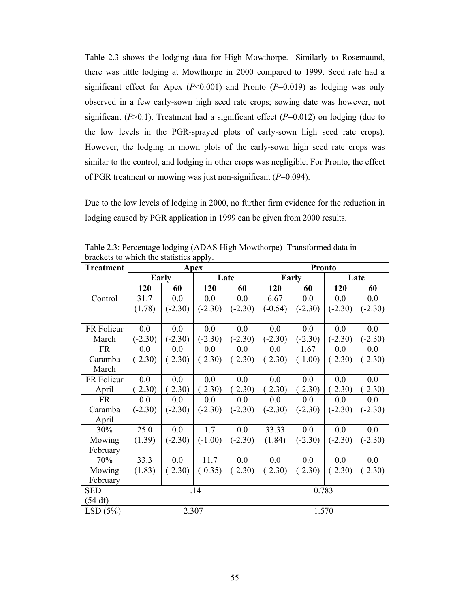Table 2.3 shows the lodging data for High Mowthorpe. Similarly to Rosemaund, there was little lodging at Mowthorpe in 2000 compared to 1999. Seed rate had a significant effect for Apex ( $P<0.001$ ) and Pronto ( $P=0.019$ ) as lodging was only observed in a few early-sown high seed rate crops; sowing date was however, not significant  $(P>0.1)$ . Treatment had a significant effect  $(P=0.012)$  on lodging (due to the low levels in the PGR-sprayed plots of early-sown high seed rate crops). However, the lodging in mown plots of the early-sown high seed rate crops was similar to the control, and lodging in other crops was negligible. For Pronto, the effect of PGR treatment or mowing was just non-significant (*P*=0.094).

Due to the low levels of lodging in 2000, no further firm evidence for the reduction in lodging caused by PGR application in 1999 can be given from 2000 results.

| <b>Treatment</b> | Apex      |                |           |           | <b>Pronto</b> |              |           |           |
|------------------|-----------|----------------|-----------|-----------|---------------|--------------|-----------|-----------|
|                  |           | Early          |           | Late      |               | <b>Early</b> |           | Late      |
|                  | 120       | 60             | 120       | 60        | 120           | 60           | 120       | 60        |
| Control          | 31.7      | 0.0            | 0.0       | 0.0       | 6.67          | 0.0          | 0.0       | 0.0       |
|                  | (1.78)    | $(-2.30)$      | $(-2.30)$ | $(-2.30)$ | $(-0.54)$     | $(-2.30)$    | $(-2.30)$ | $(-2.30)$ |
|                  |           |                |           |           |               |              |           |           |
| FR Folicur       | 0.0       | 0.0            | 0.0       | 0.0       | 0.0           | 0.0          | 0.0       | 0.0       |
| March            | $(-2.30)$ | $(-2.30)$      | $(-2.30)$ | $(-2.30)$ | $(-2.30)$     | $(-2.30)$    | $(-2.30)$ | $(-2.30)$ |
| <b>FR</b>        | 0.0       | 0 <sub>0</sub> | 0.0       | 0.0       | 0.0           | 1.67         | 0.0       | 0.0       |
| Caramba          | $(-2.30)$ | $(-2.30)$      | $(-2.30)$ | $(-2.30)$ | $(-2.30)$     | $(-1.00)$    | $(-2.30)$ | $(-2.30)$ |
| March            |           |                |           |           |               |              |           |           |
| FR Folicur       | 0.0       | 0.0            | 0.0       | 0.0       | 0.0           | 0.0          | 0.0       | 0.0       |
| April            | $(-2.30)$ | $(-2.30)$      | $(-2.30)$ | $(-2.30)$ | $(-2.30)$     | $(-2.30)$    | $(-2.30)$ | $(-2.30)$ |
| <b>FR</b>        | 0.0       | 0.0            | 0.0       | 0.0       | 0.0           | 0.0          | 0.0       | 0.0       |
| Caramba          | $(-2.30)$ | $(-2.30)$      | $(-2.30)$ | $(-2.30)$ | $(-2.30)$     | $(-2.30)$    | $(-2.30)$ | $(-2.30)$ |
| April            |           |                |           |           |               |              |           |           |
| 30%              | 25.0      | 0.0            | 1.7       | 0.0       | 33.33         | 0.0          | 0.0       | 0.0       |
| Mowing           | (1.39)    | $(-2.30)$      | $(-1.00)$ | $(-2.30)$ | (1.84)        | $(-2.30)$    | $(-2.30)$ | $(-2.30)$ |
| February         |           |                |           |           |               |              |           |           |
| 70%              | 33.3      | 0.0            | 11.7      | 0.0       | 0.0           | 0.0          | 0.0       | 0.0       |
| Mowing           | (1.83)    | $(-2.30)$      | $(-0.35)$ | $(-2.30)$ | $(-2.30)$     | $(-2.30)$    | $(-2.30)$ | $(-2.30)$ |
| February         |           |                |           |           |               |              |           |           |
| <b>SED</b>       | 1.14      |                |           |           | 0.783         |              |           |           |
| (54 df)          |           |                |           |           |               |              |           |           |
| LSD(5%)          | 2.307     |                |           |           | 1.570         |              |           |           |
|                  |           |                |           |           |               |              |           |           |

Table 2.3: Percentage lodging (ADAS High Mowthorpe) Transformed data in brackets to which the statistics apply.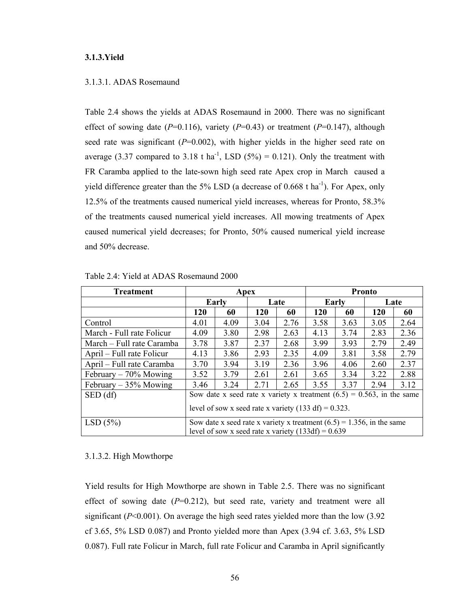### **3.1.3.Yield**

### 3.1.3.1. ADAS Rosemaund

Table 2.4 shows the yields at ADAS Rosemaund in 2000. There was no significant effect of sowing date  $(P=0.116)$ , variety  $(P=0.43)$  or treatment  $(P=0.147)$ , although seed rate was significant  $(P=0.002)$ , with higher yields in the higher seed rate on average (3.37 compared to 3.18 t ha<sup>-1</sup>, LSD (5%) = 0.121). Only the treatment with FR Caramba applied to the late-sown high seed rate Apex crop in March caused a yield difference greater than the  $5\%$  LSD (a decrease of 0.668 t ha<sup>-1</sup>). For Apex, only 12.5% of the treatments caused numerical yield increases, whereas for Pronto, 58.3% of the treatments caused numerical yield increases. All mowing treatments of Apex caused numerical yield decreases; for Pronto, 50% caused numerical yield increase and 50% decrease.

| <b>Treatment</b>          | Apex                                                            |                                                                                                                                  |            |      | <b>Pronto</b> |       |            |      |
|---------------------------|-----------------------------------------------------------------|----------------------------------------------------------------------------------------------------------------------------------|------------|------|---------------|-------|------------|------|
|                           | Early                                                           |                                                                                                                                  |            | Late |               | Early |            | Late |
|                           | 120                                                             | 60                                                                                                                               | <b>120</b> | 60   | 120           | 60    | <b>120</b> | 60   |
| Control                   | 4.01                                                            | 4.09                                                                                                                             | 3.04       | 2.76 | 3.58          | 3.63  | 3.05       | 2.64 |
| March - Full rate Folicur | 4.09                                                            | 3.80                                                                                                                             | 2.98       | 2.63 | 4.13          | 3.74  | 2.83       | 2.36 |
| March – Full rate Caramba | 3.78                                                            | 3.87                                                                                                                             | 2.37       | 2.68 | 3.99          | 3.93  | 2.79       | 2.49 |
| April – Full rate Folicur | 4.13                                                            | 3.86                                                                                                                             | 2.93       | 2.35 | 4.09          | 3.81  | 3.58       | 2.79 |
| April – Full rate Caramba | 3.70                                                            | 3.94                                                                                                                             | 3.19       | 2.36 | 3.96          | 4.06  | 2.60       | 2.37 |
| February $-70\%$ Mowing   | 3.52                                                            | 3.79                                                                                                                             | 2.61       | 2.61 | 3.65          | 3.34  | 3.22       | 2.88 |
| February $-35%$ Mowing    | 3.46                                                            | 3.24                                                                                                                             | 2.71       | 2.65 | 3.55          | 3.37  | 2.94       | 3.12 |
| SED(df)                   |                                                                 | Sow date x seed rate x variety x treatment $(6.5) = 0.563$ , in the same                                                         |            |      |               |       |            |      |
|                           | level of sow x seed rate x variety $(133 \text{ df}) = 0.323$ . |                                                                                                                                  |            |      |               |       |            |      |
| LSD(5%)                   |                                                                 | Sow date x seed rate x variety x treatment $(6.5) = 1.356$ , in the same<br>level of sow x seed rate x variety $(133df) = 0.639$ |            |      |               |       |            |      |

Table 2.4: Yield at ADAS Rosemaund 2000

#### 3.1.3.2. High Mowthorpe

Yield results for High Mowthorpe are shown in Table 2.5. There was no significant effect of sowing date  $(P=0.212)$ , but seed rate, variety and treatment were all significant  $(P<0.001)$ . On average the high seed rates yielded more than the low  $(3.92)$ cf 3.65, 5% LSD 0.087) and Pronto yielded more than Apex (3.94 cf. 3.63, 5% LSD 0.087). Full rate Folicur in March, full rate Folicur and Caramba in April significantly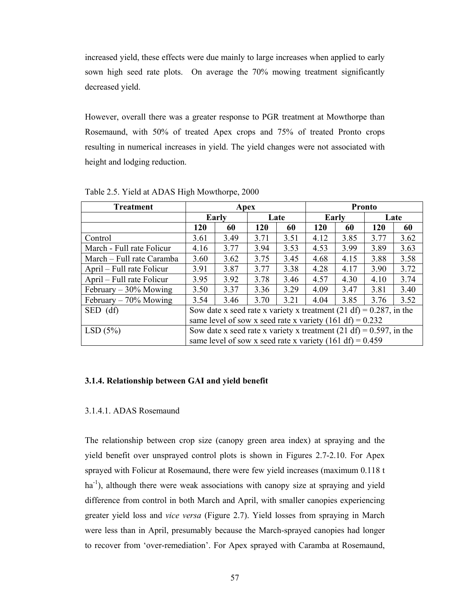increased yield, these effects were due mainly to large increases when applied to early sown high seed rate plots. On average the 70% mowing treatment significantly decreased yield.

However, overall there was a greater response to PGR treatment at Mowthorpe than Rosemaund, with 50% of treated Apex crops and 75% of treated Pronto crops resulting in numerical increases in yield. The yield changes were not associated with height and lodging reduction.

| <b>Treatment</b>          | Apex                                                                  |                                                            |      |      | <b>Pronto</b> |       |            |      |
|---------------------------|-----------------------------------------------------------------------|------------------------------------------------------------|------|------|---------------|-------|------------|------|
|                           |                                                                       | Early                                                      |      | Late |               | Early |            | Late |
|                           | 120                                                                   | 60                                                         | 120  | 60   | 120           | 60    | <b>120</b> | 60   |
| Control                   | 3.61                                                                  | 3.49                                                       | 3.71 | 3.51 | 4.12          | 3.85  | 3.77       | 3.62 |
| March - Full rate Folicur | 4.16                                                                  | 3.77                                                       | 3.94 | 3.53 | 4.53          | 3.99  | 3.89       | 3.63 |
| March – Full rate Caramba | 3.60                                                                  | 3.62                                                       | 3.75 | 3.45 | 4.68          | 4.15  | 3.88       | 3.58 |
| April – Full rate Folicur | 3.91                                                                  | 3.87                                                       | 3.77 | 3.38 | 4.28          | 4.17  | 3.90       | 3.72 |
| April – Full rate Folicur | 3.95                                                                  | 3.92                                                       | 3.78 | 3.46 | 4.57          | 4.30  | 4.10       | 3.74 |
| February $-30\%$ Mowing   | 3.50                                                                  | 3.37                                                       | 3.36 | 3.29 | 4.09          | 3.47  | 3.81       | 3.40 |
| February $-70\%$ Mowing   | 3.54                                                                  | 3.46                                                       | 3.70 | 3.21 | 4.04          | 3.85  | 3.76       | 3.52 |
| $SED$ (df)                | Sow date x seed rate x variety x treatment (21 df) = $0.287$ , in the |                                                            |      |      |               |       |            |      |
|                           | same level of sow x seed rate x variety $(161 df) = 0.232$            |                                                            |      |      |               |       |            |      |
| LSD(5%)                   | Sow date x seed rate x variety x treatment (21 df) = $0.597$ , in the |                                                            |      |      |               |       |            |      |
|                           |                                                                       | same level of sow x seed rate x variety $(161 df) = 0.459$ |      |      |               |       |            |      |

Table 2.5. Yield at ADAS High Mowthorpe, 2000

### **3.1.4. Relationship between GAI and yield benefit**

## 3.1.4.1. ADAS Rosemaund

The relationship between crop size (canopy green area index) at spraying and the yield benefit over unsprayed control plots is shown in Figures 2.7-2.10. For Apex sprayed with Folicur at Rosemaund, there were few yield increases (maximum 0.118 t ha<sup>-1</sup>), although there were weak associations with canopy size at spraying and yield difference from control in both March and April, with smaller canopies experiencing greater yield loss and *vice versa* (Figure 2.7). Yield losses from spraying in March were less than in April, presumably because the March-sprayed canopies had longer to recover from 'over-remediation'. For Apex sprayed with Caramba at Rosemaund,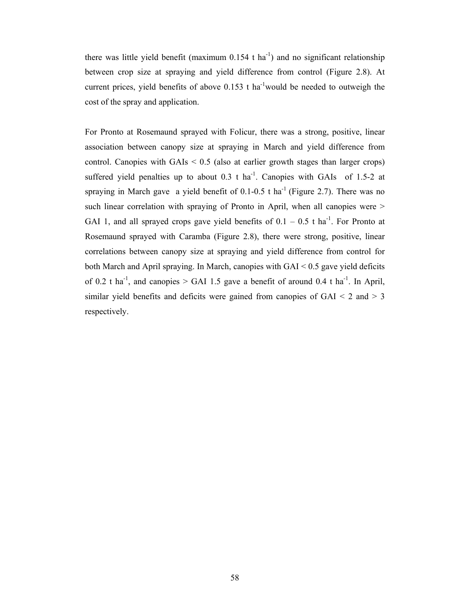there was little yield benefit (maximum  $0.154$  t ha<sup>-1</sup>) and no significant relationship between crop size at spraying and yield difference from control (Figure 2.8). At current prices, yield benefits of above  $0.153$  t ha<sup>-1</sup>would be needed to outweigh the cost of the spray and application.

For Pronto at Rosemaund sprayed with Folicur, there was a strong, positive, linear association between canopy size at spraying in March and yield difference from control. Canopies with  $GAIs < 0.5$  (also at earlier growth stages than larger crops) suffered yield penalties up to about 0.3 t ha<sup>-1</sup>. Canopies with GAIs of 1.5-2 at spraying in March gave a yield benefit of  $0.1$ - $0.5$  t ha<sup>-1</sup> (Figure 2.7). There was no such linear correlation with spraying of Pronto in April, when all canopies were  $>$ GAI 1, and all sprayed crops gave yield benefits of  $0.1 - 0.5$  t ha<sup>-1</sup>. For Pronto at Rosemaund sprayed with Caramba (Figure 2.8), there were strong, positive, linear correlations between canopy size at spraying and yield difference from control for both March and April spraying. In March, canopies with GAI < 0.5 gave yield deficits of 0.2 t ha<sup>-1</sup>, and canopies > GAI 1.5 gave a benefit of around 0.4 t ha<sup>-1</sup>. In April, similar yield benefits and deficits were gained from canopies of  $GAI < 2$  and  $> 3$ respectively.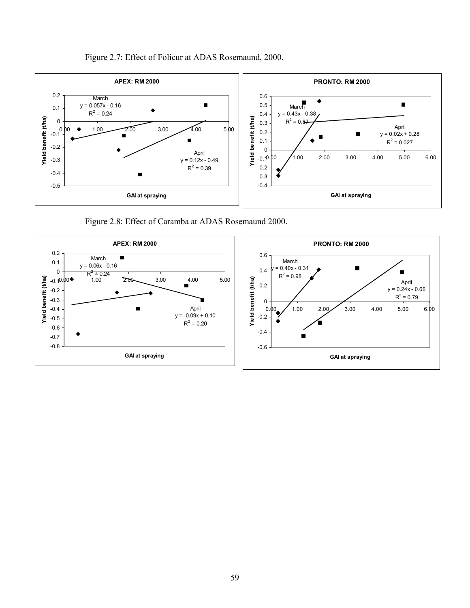



Figure 2.8: Effect of Caramba at ADAS Rosemaund 2000.

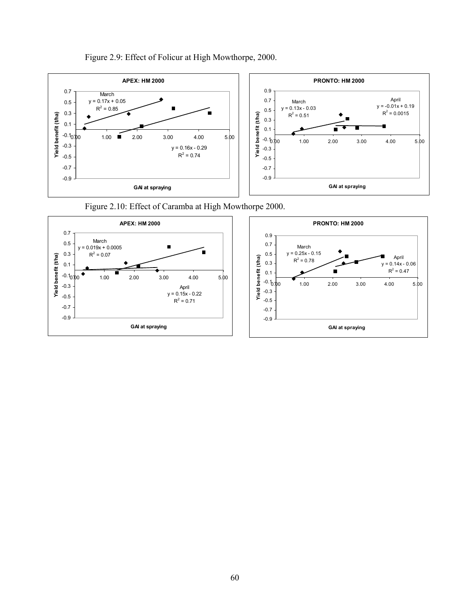

# Figure 2.9: Effect of Folicur at High Mowthorpe, 2000.



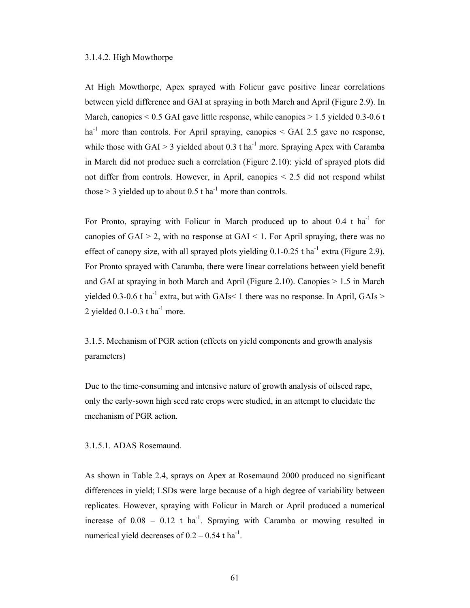#### 3.1.4.2. High Mowthorpe

At High Mowthorpe, Apex sprayed with Folicur gave positive linear correlations between yield difference and GAI at spraying in both March and April (Figure 2.9). In March, canopies  $\leq 0.5$  GAI gave little response, while canopies  $\geq 1.5$  yielded 0.3-0.6 t ha<sup>-1</sup> more than controls. For April spraying, canopies  $\le$  GAI 2.5 gave no response, while those with GAI > 3 yielded about 0.3 t ha<sup>-1</sup> more. Spraying Apex with Caramba in March did not produce such a correlation (Figure 2.10): yield of sprayed plots did not differ from controls. However, in April, canopies < 2.5 did not respond whilst those  $> 3$  yielded up to about 0.5 t ha<sup>-1</sup> more than controls.

For Pronto, spraying with Folicur in March produced up to about  $0.4$  t ha<sup>-1</sup> for canopies of  $GAI > 2$ , with no response at  $GAI < 1$ . For April spraying, there was no effect of canopy size, with all sprayed plots yielding  $0.1$ - $0.25$  t ha<sup>-1</sup> extra (Figure 2.9). For Pronto sprayed with Caramba, there were linear correlations between yield benefit and GAI at spraying in both March and April (Figure 2.10). Canopies > 1.5 in March yielded 0.3-0.6 t ha<sup>-1</sup> extra, but with GAIs  $<$  1 there was no response. In April, GAIs  $>$ 2 yielded  $0.1$ - $0.3$  t ha<sup>-1</sup> more.

3.1.5. Mechanism of PGR action (effects on yield components and growth analysis parameters)

Due to the time-consuming and intensive nature of growth analysis of oilseed rape, only the early-sown high seed rate crops were studied, in an attempt to elucidate the mechanism of PGR action.

#### 3.1.5.1. ADAS Rosemaund.

As shown in Table 2.4, sprays on Apex at Rosemaund 2000 produced no significant differences in yield; LSDs were large because of a high degree of variability between replicates. However, spraying with Folicur in March or April produced a numerical increase of  $0.08 - 0.12$  t ha<sup>-1</sup>. Spraying with Caramba or mowing resulted in numerical yield decreases of  $0.2 - 0.54$  t ha<sup>-1</sup>.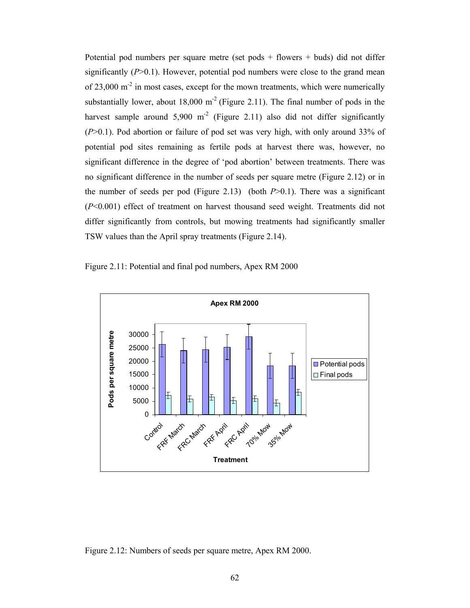Potential pod numbers per square metre (set pods + flowers + buds) did not differ significantly  $(P>0.1)$ . However, potential pod numbers were close to the grand mean of  $23,000 \text{ m}^2$  in most cases, except for the mown treatments, which were numerically substantially lower, about  $18,000 \text{ m}^2$  (Figure 2.11). The final number of pods in the harvest sample around  $5,900 \text{ m}^2$  (Figure 2.11) also did not differ significantly (*P*>0.1). Pod abortion or failure of pod set was very high, with only around 33% of potential pod sites remaining as fertile pods at harvest there was, however, no significant difference in the degree of 'pod abortion' between treatments. There was no significant difference in the number of seeds per square metre (Figure 2.12) or in the number of seeds per pod (Figure 2.13) (both  $P>0.1$ ). There was a significant (*P*<0.001) effect of treatment on harvest thousand seed weight. Treatments did not differ significantly from controls, but mowing treatments had significantly smaller TSW values than the April spray treatments (Figure 2.14).

Figure 2.11: Potential and final pod numbers, Apex RM 2000



Figure 2.12: Numbers of seeds per square metre, Apex RM 2000.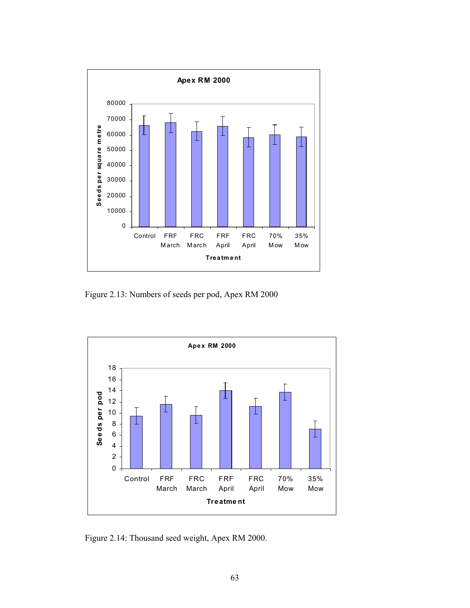

Figure 2.13: Numbers of seeds per pod, Apex RM 2000



Figure 2.14: Thousand seed weight, Apex RM 2000.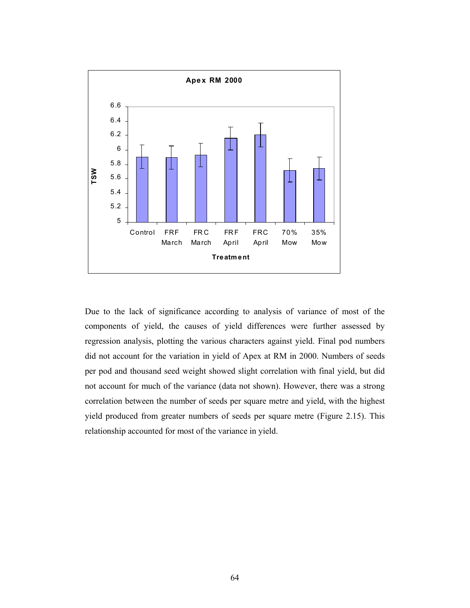

Due to the lack of significance according to analysis of variance of most of the components of yield, the causes of yield differences were further assessed by regression analysis, plotting the various characters against yield. Final pod numbers did not account for the variation in yield of Apex at RM in 2000. Numbers of seeds per pod and thousand seed weight showed slight correlation with final yield, but did not account for much of the variance (data not shown). However, there was a strong correlation between the number of seeds per square metre and yield, with the highest yield produced from greater numbers of seeds per square metre (Figure 2.15). This relationship accounted for most of the variance in yield.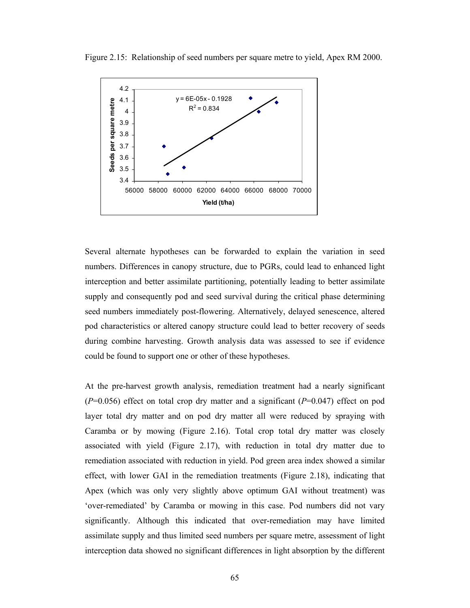



Several alternate hypotheses can be forwarded to explain the variation in seed numbers. Differences in canopy structure, due to PGRs, could lead to enhanced light interception and better assimilate partitioning, potentially leading to better assimilate supply and consequently pod and seed survival during the critical phase determining seed numbers immediately post-flowering. Alternatively, delayed senescence, altered pod characteristics or altered canopy structure could lead to better recovery of seeds during combine harvesting. Growth analysis data was assessed to see if evidence could be found to support one or other of these hypotheses.

At the pre-harvest growth analysis, remediation treatment had a nearly significant (*P*=0.056) effect on total crop dry matter and a significant (*P*=0.047) effect on pod layer total dry matter and on pod dry matter all were reduced by spraying with Caramba or by mowing (Figure 2.16). Total crop total dry matter was closely associated with yield (Figure 2.17), with reduction in total dry matter due to remediation associated with reduction in yield. Pod green area index showed a similar effect, with lower GAI in the remediation treatments (Figure 2.18), indicating that Apex (which was only very slightly above optimum GAI without treatment) was 'over-remediated' by Caramba or mowing in this case. Pod numbers did not vary significantly. Although this indicated that over-remediation may have limited assimilate supply and thus limited seed numbers per square metre, assessment of light interception data showed no significant differences in light absorption by the different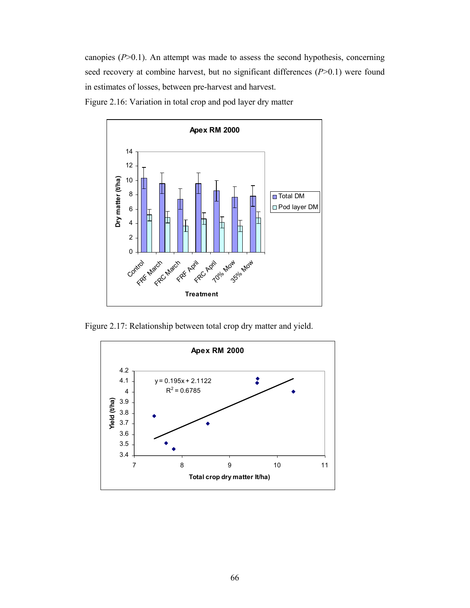canopies (*P*>0.1). An attempt was made to assess the second hypothesis, concerning seed recovery at combine harvest, but no significant differences (*P*>0.1) were found in estimates of losses, between pre-harvest and harvest.

Figure 2.16: Variation in total crop and pod layer dry matter



Figure 2.17: Relationship between total crop dry matter and yield.

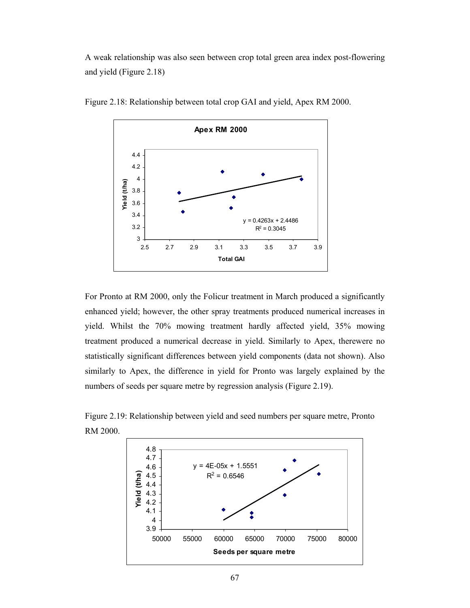A weak relationship was also seen between crop total green area index post-flowering and yield (Figure 2.18)



Figure 2.18: Relationship between total crop GAI and yield, Apex RM 2000.

For Pronto at RM 2000, only the Folicur treatment in March produced a significantly enhanced yield; however, the other spray treatments produced numerical increases in yield. Whilst the 70% mowing treatment hardly affected yield, 35% mowing treatment produced a numerical decrease in yield. Similarly to Apex, therewere no statistically significant differences between yield components (data not shown). Also similarly to Apex, the difference in yield for Pronto was largely explained by the numbers of seeds per square metre by regression analysis (Figure 2.19).



Figure 2.19: Relationship between yield and seed numbers per square metre, Pronto RM 2000.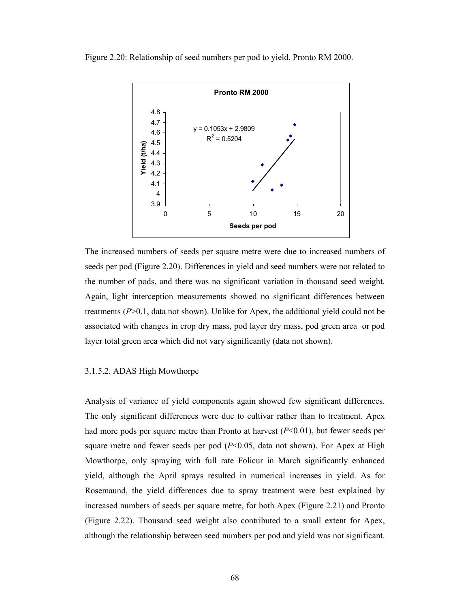Figure 2.20: Relationship of seed numbers per pod to yield, Pronto RM 2000.



The increased numbers of seeds per square metre were due to increased numbers of seeds per pod (Figure 2.20). Differences in yield and seed numbers were not related to the number of pods, and there was no significant variation in thousand seed weight. Again, light interception measurements showed no significant differences between treatments (*P*>0.1, data not shown). Unlike for Apex, the additional yield could not be associated with changes in crop dry mass, pod layer dry mass, pod green area or pod layer total green area which did not vary significantly (data not shown).

#### 3.1.5.2. ADAS High Mowthorpe

Analysis of variance of yield components again showed few significant differences. The only significant differences were due to cultivar rather than to treatment. Apex had more pods per square metre than Pronto at harvest (*P*<0.01), but fewer seeds per square metre and fewer seeds per pod  $(P< 0.05$ , data not shown). For Apex at High Mowthorpe, only spraying with full rate Folicur in March significantly enhanced yield, although the April sprays resulted in numerical increases in yield. As for Rosemaund, the yield differences due to spray treatment were best explained by increased numbers of seeds per square metre, for both Apex (Figure 2.21) and Pronto (Figure 2.22). Thousand seed weight also contributed to a small extent for Apex, although the relationship between seed numbers per pod and yield was not significant.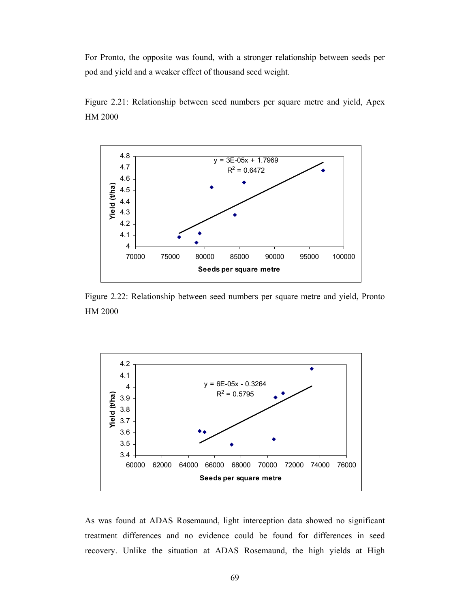For Pronto, the opposite was found, with a stronger relationship between seeds per pod and yield and a weaker effect of thousand seed weight.





Figure 2.22: Relationship between seed numbers per square metre and yield, Pronto HM 2000



As was found at ADAS Rosemaund, light interception data showed no significant treatment differences and no evidence could be found for differences in seed recovery. Unlike the situation at ADAS Rosemaund, the high yields at High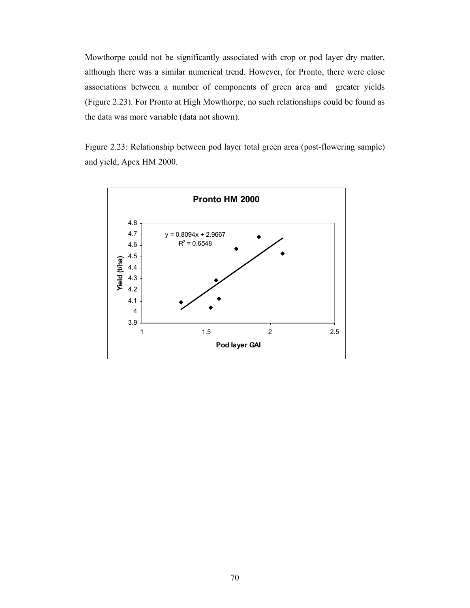Mowthorpe could not be significantly associated with crop or pod layer dry matter, although there was a similar numerical trend. However, for Pronto, there were close associations between a number of components of green area and greater yields (Figure 2.23). For Pronto at High Mowthorpe, no such relationships could be found as the data was more variable (data not shown).

Figure 2.23: Relationship between pod layer total green area (post-flowering sample) and yield, Apex HM 2000.

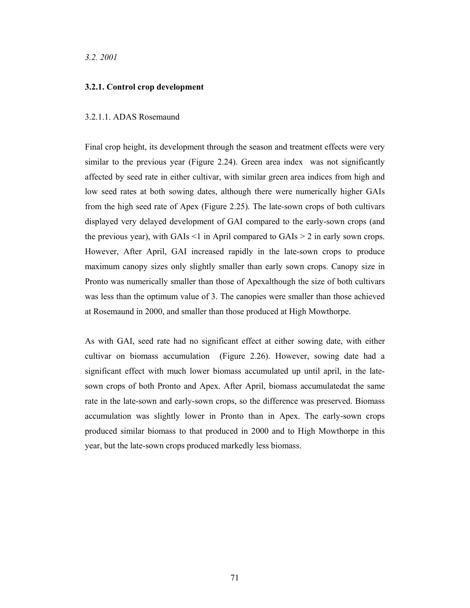*3.2. 2001*

#### **3.2.1. Control crop development**

#### 3.2.1.1. ADAS Rosemaund

Final crop height, its development through the season and treatment effects were very similar to the previous year (Figure 2.24). Green area index was not significantly affected by seed rate in either cultivar, with similar green area indices from high and low seed rates at both sowing dates, although there were numerically higher GAIs from the high seed rate of Apex (Figure 2.25). The late-sown crops of both cultivars displayed very delayed development of GAI compared to the early-sown crops (and the previous year), with GAIs  $\leq 1$  in April compared to GAIs  $\geq 2$  in early sown crops. However, After April, GAI increased rapidly in the late-sown crops to produce maximum canopy sizes only slightly smaller than early sown crops. Canopy size in Pronto was numerically smaller than those of Apexalthough the size of both cultivars was less than the optimum value of 3. The canopies were smaller than those achieved at Rosemaund in 2000, and smaller than those produced at High Mowthorpe.

As with GAI, seed rate had no significant effect at either sowing date, with either cultivar on biomass accumulation (Figure 2.26). However, sowing date had a significant effect with much lower biomass accumulated up until april, in the latesown crops of both Pronto and Apex. After April, biomass accumulatedat the same rate in the late-sown and early-sown crops, so the difference was preserved. Biomass accumulation was slightly lower in Pronto than in Apex. The early-sown crops produced similar biomass to that produced in 2000 and to High Mowthorpe in this year, but the late-sown crops produced markedly less biomass.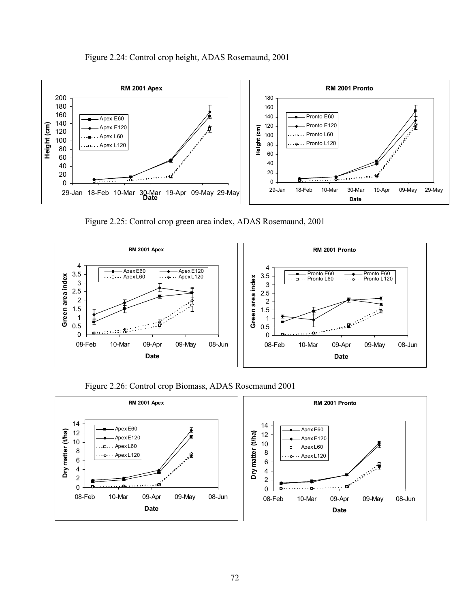

Figure 2.25: Control crop green area index, ADAS Rosemaund, 2001



Figure 2.26: Control crop Biomass, ADAS Rosemaund 2001



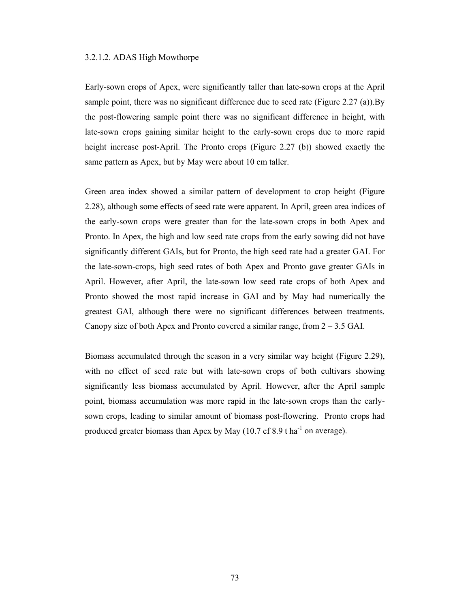#### 3.2.1.2. ADAS High Mowthorpe

Early-sown crops of Apex, were significantly taller than late-sown crops at the April sample point, there was no significant difference due to seed rate (Figure 2.27 (a)).By the post-flowering sample point there was no significant difference in height, with late-sown crops gaining similar height to the early-sown crops due to more rapid height increase post-April. The Pronto crops (Figure 2.27 (b)) showed exactly the same pattern as Apex, but by May were about 10 cm taller.

Green area index showed a similar pattern of development to crop height (Figure 2.28), although some effects of seed rate were apparent. In April, green area indices of the early-sown crops were greater than for the late-sown crops in both Apex and Pronto. In Apex, the high and low seed rate crops from the early sowing did not have significantly different GAIs, but for Pronto, the high seed rate had a greater GAI. For the late-sown-crops, high seed rates of both Apex and Pronto gave greater GAIs in April. However, after April, the late-sown low seed rate crops of both Apex and Pronto showed the most rapid increase in GAI and by May had numerically the greatest GAI, although there were no significant differences between treatments. Canopy size of both Apex and Pronto covered a similar range, from  $2 - 3.5$  GAI.

Biomass accumulated through the season in a very similar way height (Figure 2.29), with no effect of seed rate but with late-sown crops of both cultivars showing significantly less biomass accumulated by April. However, after the April sample point, biomass accumulation was more rapid in the late-sown crops than the earlysown crops, leading to similar amount of biomass post-flowering. Pronto crops had produced greater biomass than Apex by May  $(10.7 \text{ cf } 8.9 \text{ tha}^{-1} \text{ on average})$ .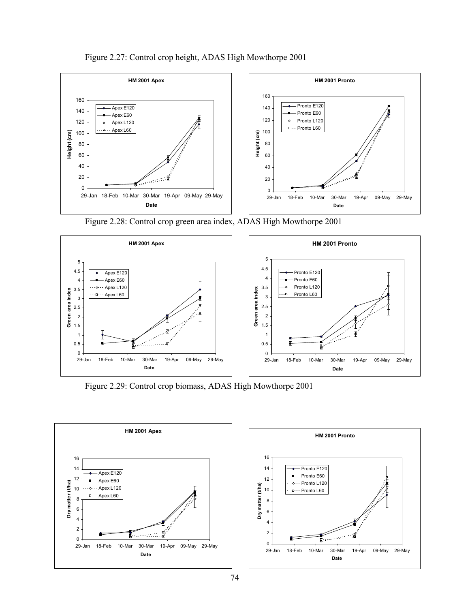



Figure 2.28: Control crop green area index, ADAS High Mowthorpe 2001



Figure 2.29: Control crop biomass, ADAS High Mowthorpe 2001



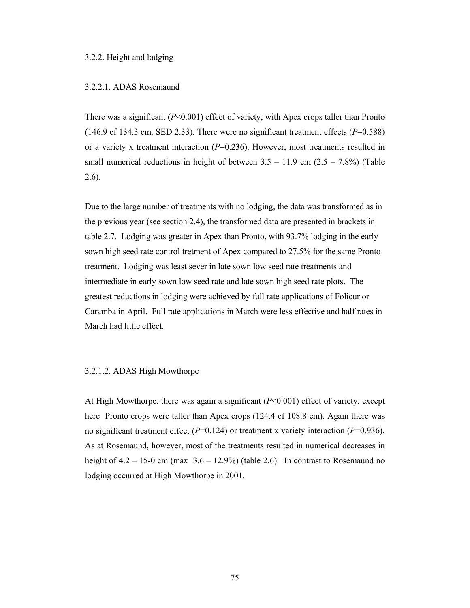## 3.2.2. Height and lodging

#### 3.2.2.1. ADAS Rosemaund

There was a significant (*P*<0.001) effect of variety, with Apex crops taller than Pronto  $(146.9 \text{ cf } 134.3 \text{ cm}$ . SED 2.33). There were no significant treatment effects  $(P=0.588)$ or a variety x treatment interaction  $(P=0.236)$ . However, most treatments resulted in small numerical reductions in height of between  $3.5 - 11.9$  cm  $(2.5 - 7.8%)$  (Table 2.6).

Due to the large number of treatments with no lodging, the data was transformed as in the previous year (see section 2.4), the transformed data are presented in brackets in table 2.7. Lodging was greater in Apex than Pronto, with 93.7% lodging in the early sown high seed rate control tretment of Apex compared to 27.5% for the same Pronto treatment. Lodging was least sever in late sown low seed rate treatments and intermediate in early sown low seed rate and late sown high seed rate plots. The greatest reductions in lodging were achieved by full rate applications of Folicur or Caramba in April. Full rate applications in March were less effective and half rates in March had little effect.

#### 3.2.1.2. ADAS High Mowthorpe

At High Mowthorpe, there was again a significant  $(P<0.001)$  effect of variety, except here Pronto crops were taller than Apex crops (124.4 cf 108.8 cm). Again there was no significant treatment effect (*P*=0.124) or treatment x variety interaction (*P*=0.936). As at Rosemaund, however, most of the treatments resulted in numerical decreases in height of  $4.2 - 15$ -0 cm (max  $3.6 - 12.9\%$ ) (table 2.6). In contrast to Rosemaund no lodging occurred at High Mowthorpe in 2001.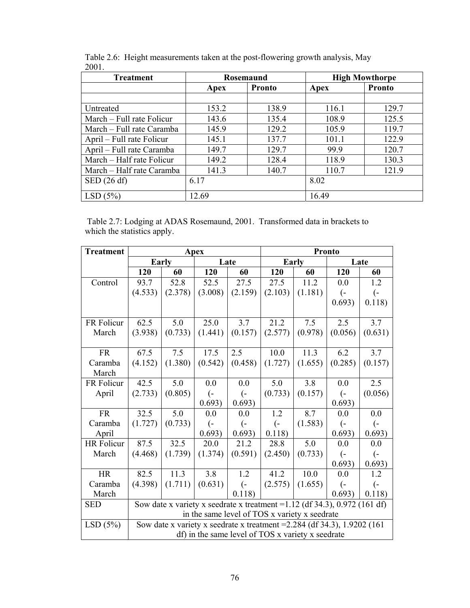| <b>Treatment</b>          | Rosemaund             |       | <b>High Mowthorpe</b> |               |  |
|---------------------------|-----------------------|-------|-----------------------|---------------|--|
|                           | <b>Pronto</b><br>Apex |       | Apex                  | <b>Pronto</b> |  |
|                           |                       |       |                       |               |  |
| Untreated                 | 153.2                 | 138.9 | 116.1                 | 129.7         |  |
| March – Full rate Folicur | 143.6                 | 135.4 | 108.9                 | 125.5         |  |
| March – Full rate Caramba | 145.9                 | 129.2 | 105.9                 | 119.7         |  |
| April – Full rate Folicur | 145.1                 | 137.7 | 101.1                 | 122.9         |  |
| April – Full rate Caramba | 149.7                 | 129.7 | 99.9                  | 120.7         |  |
| March – Half rate Folicur | 149.2                 | 128.4 | 118.9                 | 130.3         |  |
| March – Half rate Caramba | 141.3                 | 140.7 | 110.7                 | 121.9         |  |
| $\mathrm{SED}$ (26 df)    | 6.17                  |       | 8.02                  |               |  |
| LSD(5%)                   | 12.69                 |       | 16.49                 |               |  |

Table 2.6: Height measurements taken at the post-flowering growth analysis, May 2001.

 Table 2.7: Lodging at ADAS Rosemaund, 2001. Transformed data in brackets to which the statistics apply.

| <b>Treatment</b> | Apex                                                                         |         |                   |                   | Pronto            |         |                  |                  |
|------------------|------------------------------------------------------------------------------|---------|-------------------|-------------------|-------------------|---------|------------------|------------------|
|                  | Early                                                                        |         | Late              |                   | Early             |         | Late             |                  |
|                  | 120                                                                          | 60      | 120               | 60                | 120               | 60      | 120              | 60               |
| Control          | 93.7                                                                         | 52.8    | 52.5              | 27.5              | 27.5              | 11.2    | 0.0              | 1.2              |
|                  | (4.533)                                                                      | (2.378) | (3.008)           | (2.159)           | (2.103)           | (1.181) | $\overline{(-)}$ | $\overline{(-)}$ |
|                  |                                                                              |         |                   |                   |                   |         | 0.693)           | 0.118)           |
|                  |                                                                              |         |                   |                   |                   |         |                  |                  |
| FR Folicur       | 62.5                                                                         | 5.0     | 25.0              | 3.7               | 21.2              | 7.5     | 2.5              | 3.7              |
| March            | (3.938)                                                                      | (0.733) | (1.441)           | (0.157)           | (2.577)           | (0.978) | (0.056)          | (0.631)          |
|                  |                                                                              |         |                   |                   |                   |         |                  |                  |
| <b>FR</b>        | 67.5                                                                         | 7.5     | 17.5              | 2.5               | 10.0              | 11.3    | 6.2              | 3.7              |
| Caramba          | (4.152)                                                                      | (1.380) | (0.542)           | (0.458)           | (1.727)           | (1.655) | (0.285)          | (0.157)          |
| March            |                                                                              |         |                   |                   |                   |         |                  |                  |
| FR Folicur       | 42.5                                                                         | 5.0     | 0.0               | 0.0               | 5.0               | 3.8     | 0.0              | 2.5              |
| April            | (2.733)                                                                      | (0.805) | $\left( -\right)$ | $\overline{(-)}$  | (0.733)           | (0.157) | $\left($ =       | (0.056)          |
|                  |                                                                              |         | 0.693)            | 0.693)            |                   |         | 0.693)           |                  |
| <b>FR</b>        | 32.5                                                                         | 5.0     | 0.0               | 0.0               | 1.2               | 8.7     | 0.0              | 0.0              |
| Caramba          | (1.727)                                                                      | (0.733) | $\overline{(-)}$  | $\overline{(-)}$  | $\left( -\right)$ | (1.583) | (−               | (−               |
| April            |                                                                              |         | 0.693)            | 0.693)            | 0.118)            |         | 0.693)           | 0.693)           |
| HR Folicur       | 87.5                                                                         | 32.5    | 20.0              | 21.2              | 28.8              | 5.0     | 0.0              | 0.0              |
| March            | (4.468)                                                                      | (1.739) | (1.374)           | (0.591)           | (2.450)           | (0.733) | (−               | (−               |
|                  |                                                                              |         |                   |                   |                   |         | 0.693)           | 0.693)           |
| <b>HR</b>        | 82.5                                                                         | 11.3    | 3.8               | 1.2               | 41.2              | 10.0    | 0.0              | 1.2              |
| Caramba          | (4.398)                                                                      | (1.711) | (0.631)           | $\left( -\right)$ | (2.575)           | (1.655) | (−               | (−               |
| March            |                                                                              |         |                   | 0.118             |                   |         | 0.693)           | 0.118            |
| <b>SED</b>       | Sow date x variety x seedrate x treatment = $1.12$ (df 34.3), 0.972 (161 df) |         |                   |                   |                   |         |                  |                  |
|                  | in the same level of TOS x variety x seedrate                                |         |                   |                   |                   |         |                  |                  |
| LSD(5%)          | Sow date x variety x seedrate x treatment = $2.284$ (df 34.3), 1.9202 (161)  |         |                   |                   |                   |         |                  |                  |
|                  | df) in the same level of TOS x variety x seedrate                            |         |                   |                   |                   |         |                  |                  |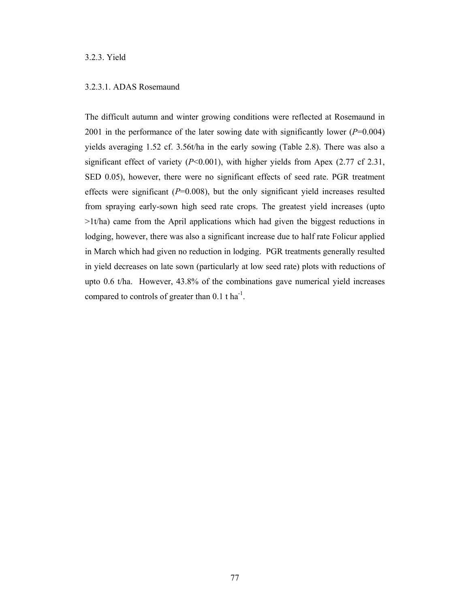# 3.2.3. Yield

# 3.2.3.1. ADAS Rosemaund

The difficult autumn and winter growing conditions were reflected at Rosemaund in 2001 in the performance of the later sowing date with significantly lower (*P*=0.004) yields averaging 1.52 cf. 3.56t/ha in the early sowing (Table 2.8). There was also a significant effect of variety (*P*<0.001), with higher yields from Apex (2.77 cf 2.31, SED 0.05), however, there were no significant effects of seed rate. PGR treatment effects were significant  $(P=0.008)$ , but the only significant yield increases resulted from spraying early-sown high seed rate crops. The greatest yield increases (upto >1t/ha) came from the April applications which had given the biggest reductions in lodging, however, there was also a significant increase due to half rate Folicur applied in March which had given no reduction in lodging. PGR treatments generally resulted in yield decreases on late sown (particularly at low seed rate) plots with reductions of upto 0.6 t/ha. However, 43.8% of the combinations gave numerical yield increases compared to controls of greater than  $0.1$  t ha<sup>-1</sup>.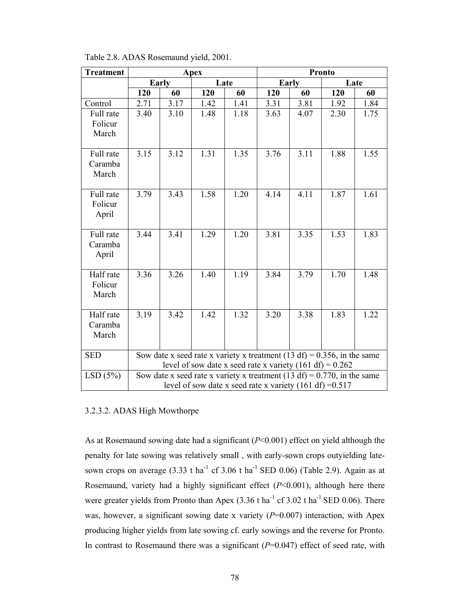| <b>Treatment</b>              |                                                                                                                                          |      | Apex |      | <b>Pronto</b> |      |      |      |
|-------------------------------|------------------------------------------------------------------------------------------------------------------------------------------|------|------|------|---------------|------|------|------|
|                               | Early                                                                                                                                    |      | Late |      | Early         |      | Late |      |
|                               | 120                                                                                                                                      | 60   | 120  | 60   | 120           | 60   | 120  | 60   |
| Control                       | 2.71                                                                                                                                     | 3.17 | 1.42 | 1.41 | 3.31          | 3.81 | 1.92 | 1.84 |
| Full rate                     | 3.40                                                                                                                                     | 3.10 | 1.48 | 1.18 | 3.63          | 4.07 | 2.30 | 1.75 |
| Folicur<br>March              |                                                                                                                                          |      |      |      |               |      |      |      |
| Full rate<br>Caramba<br>March | 3.15                                                                                                                                     | 3.12 | 1.31 | 1.35 | 3.76          | 3.11 | 1.88 | 1.55 |
| Full rate<br>Folicur<br>April | 3.79                                                                                                                                     | 3.43 | 1.58 | 1.20 | 4.14          | 4.11 | 1.87 | 1.61 |
| Full rate<br>Caramba<br>April | 3.44                                                                                                                                     | 3.41 | 1.29 | 1.20 | 3.81          | 3.35 | 1.53 | 1.83 |
| Half rate<br>Folicur<br>March | 3.36                                                                                                                                     | 3.26 | 1.40 | 1.19 | 3.84          | 3.79 | 1.70 | 1.48 |
| Half rate<br>Caramba<br>March | 3.19                                                                                                                                     | 3.42 | 1.42 | 1.32 | 3.20          | 3.38 | 1.83 | 1.22 |
| <b>SED</b>                    | Sow date x seed rate x variety x treatment (13 df) = $0.356$ , in the same<br>level of sow date x seed rate x variety $(161 df) = 0.262$ |      |      |      |               |      |      |      |
| LSD(5%)                       | Sow date x seed rate x variety x treatment (13 df) = 0.770, in the same<br>level of sow date x seed rate x variety (161 df) = $0.517$    |      |      |      |               |      |      |      |

Table 2.8. ADAS Rosemaund yield, 2001.

# 3.2.3.2. ADAS High Mowthorpe

As at Rosemaund sowing date had a significant (*P*<0.001) effect on yield although the penalty for late sowing was relatively small , with early-sown crops outyielding latesown crops on average  $(3.33 \text{ t} \text{ ha}^{-1} \text{ cf } 3.06 \text{ t} \text{ ha}^{-1} \text{ SED } 0.06)$  (Table 2.9). Again as at Rosemaund, variety had a highly significant effect (*P*<0.001), although here there were greater yields from Pronto than Apex  $(3.36 \text{ t} \text{ ha}^{-1} \text{ cf } 3.02 \text{ t} \text{ ha}^{-1} \text{ SED } 0.06)$ . There was, however, a significant sowing date x variety ( $P=0.007$ ) interaction, with Apex producing higher yields from late sowing cf. early sowings and the reverse for Pronto. In contrast to Rosemaund there was a significant (*P*=0.047) effect of seed rate, with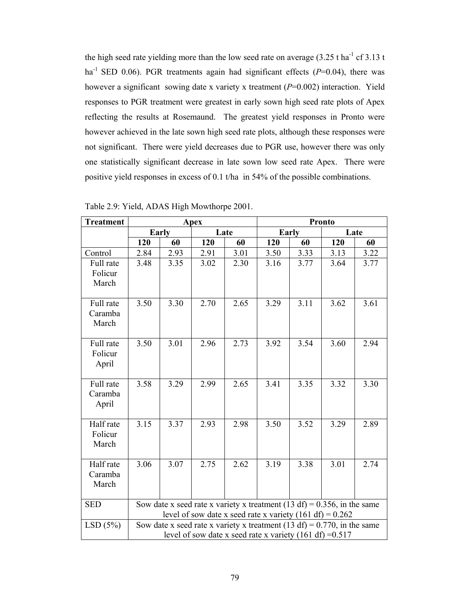the high seed rate yielding more than the low seed rate on average  $(3.25 \text{ tha}^{-1} \text{ cf } 3.13 \text{ t})$ ha<sup>-1</sup> SED 0.06). PGR treatments again had significant effects  $(P=0.04)$ , there was however a significant sowing date x variety x treatment ( $P=0.002$ ) interaction. Yield responses to PGR treatment were greatest in early sown high seed rate plots of Apex reflecting the results at Rosemaund. The greatest yield responses in Pronto were however achieved in the late sown high seed rate plots, although these responses were not significant. There were yield decreases due to PGR use, however there was only one statistically significant decrease in late sown low seed rate Apex. There were positive yield responses in excess of 0.1 t/ha in 54% of the possible combinations.

| <b>Treatment</b>     | <b>Apex</b>                                                                |      |      |      | <b>Pronto</b> |      |                                                                            |      |
|----------------------|----------------------------------------------------------------------------|------|------|------|---------------|------|----------------------------------------------------------------------------|------|
|                      | Early                                                                      |      | Late |      | Early         |      | Late                                                                       |      |
|                      | 120                                                                        | 60   | 120  | 60   | 120           | 60   | 120                                                                        | 60   |
| Control              | 2.84                                                                       | 2.93 | 2.91 | 3.01 | 3.50          | 3.33 | 3.13                                                                       | 3.22 |
| Full rate            | 3.48                                                                       | 3.35 | 3.02 | 2.30 | 3.16          | 3.77 | 3.64                                                                       | 3.77 |
| Folicur              |                                                                            |      |      |      |               |      |                                                                            |      |
| March                |                                                                            |      |      |      |               |      |                                                                            |      |
|                      |                                                                            |      |      |      |               |      |                                                                            |      |
| Full rate            | 3.50                                                                       | 3.30 | 2.70 | 2.65 | 3.29          | 3.11 | 3.62                                                                       | 3.61 |
| Caramba              |                                                                            |      |      |      |               |      |                                                                            |      |
| March                |                                                                            |      |      |      |               |      |                                                                            |      |
|                      |                                                                            |      |      |      |               |      |                                                                            |      |
| Full rate            | 3.50                                                                       | 3.01 | 2.96 | 2.73 | 3.92          | 3.54 | 3.60                                                                       | 2.94 |
| Folicur              |                                                                            |      |      |      |               |      |                                                                            |      |
| April                |                                                                            |      |      |      |               |      |                                                                            |      |
|                      |                                                                            |      |      |      |               |      |                                                                            |      |
| Full rate<br>Caramba | 3.58                                                                       | 3.29 | 2.99 | 2.65 | 3.41          | 3.35 | 3.32                                                                       | 3.30 |
| April                |                                                                            |      |      |      |               |      |                                                                            |      |
|                      |                                                                            |      |      |      |               |      |                                                                            |      |
| Half rate            | 3.15                                                                       | 3.37 | 2.93 | 2.98 | 3.50          | 3.52 | 3.29                                                                       | 2.89 |
| Folicur              |                                                                            |      |      |      |               |      |                                                                            |      |
| March                |                                                                            |      |      |      |               |      |                                                                            |      |
|                      |                                                                            |      |      |      |               |      |                                                                            |      |
| Half rate            | 3.06                                                                       | 3.07 | 2.75 | 2.62 | 3.19          | 3.38 | 3.01                                                                       | 2.74 |
| Caramba              |                                                                            |      |      |      |               |      |                                                                            |      |
| March                |                                                                            |      |      |      |               |      |                                                                            |      |
|                      |                                                                            |      |      |      |               |      |                                                                            |      |
| <b>SED</b>           | Sow date x seed rate x variety x treatment (13 df) = $0.356$ , in the same |      |      |      |               |      |                                                                            |      |
|                      | level of sow date x seed rate x variety $(161 df) = 0.262$                 |      |      |      |               |      |                                                                            |      |
| LSD(5%)              |                                                                            |      |      |      |               |      | Sow date x seed rate x variety x treatment (13 df) = $0.770$ , in the same |      |
|                      | level of sow date x seed rate x variety (161 df) = $0.517$                 |      |      |      |               |      |                                                                            |      |

Table 2.9: Yield, ADAS High Mowthorpe 2001.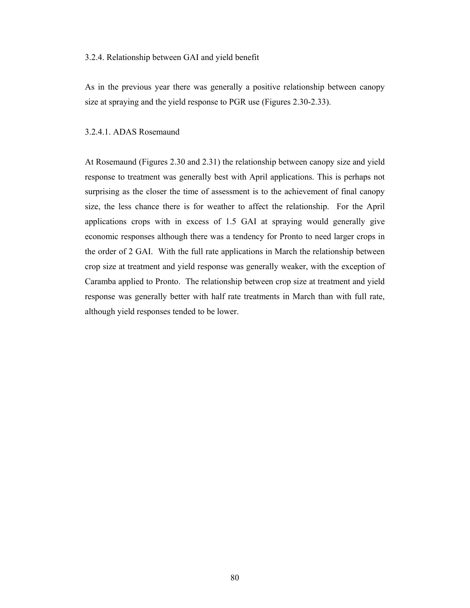#### 3.2.4. Relationship between GAI and yield benefit

As in the previous year there was generally a positive relationship between canopy size at spraying and the yield response to PGR use (Figures 2.30-2.33).

#### 3.2.4.1. ADAS Rosemaund

At Rosemaund (Figures 2.30 and 2.31) the relationship between canopy size and yield response to treatment was generally best with April applications. This is perhaps not surprising as the closer the time of assessment is to the achievement of final canopy size, the less chance there is for weather to affect the relationship. For the April applications crops with in excess of 1.5 GAI at spraying would generally give economic responses although there was a tendency for Pronto to need larger crops in the order of 2 GAI. With the full rate applications in March the relationship between crop size at treatment and yield response was generally weaker, with the exception of Caramba applied to Pronto. The relationship between crop size at treatment and yield response was generally better with half rate treatments in March than with full rate, although yield responses tended to be lower.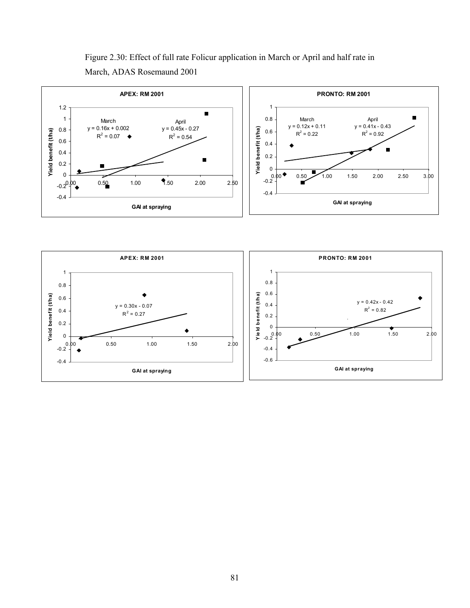

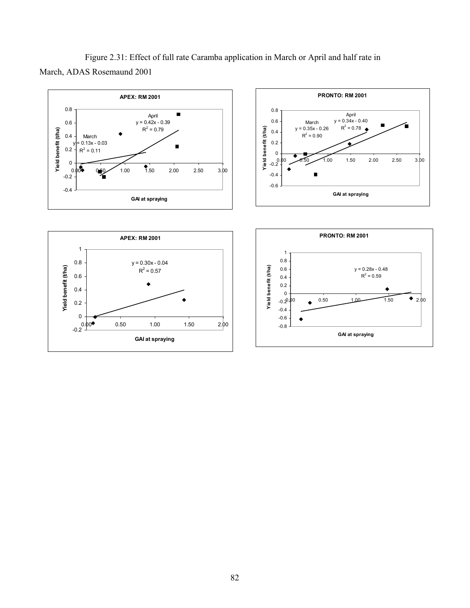Figure 2.31: Effect of full rate Caramba application in March or April and half rate in March, ADAS Rosemaund 2001

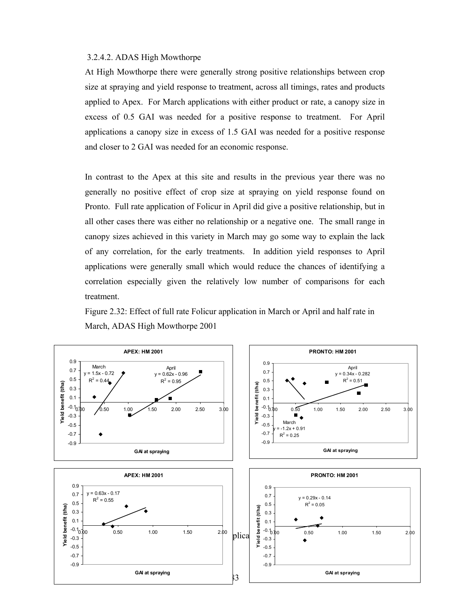#### 3.2.4.2. ADAS High Mowthorpe

At High Mowthorpe there were generally strong positive relationships between crop size at spraying and yield response to treatment, across all timings, rates and products applied to Apex. For March applications with either product or rate, a canopy size in excess of 0.5 GAI was needed for a positive response to treatment. For April applications a canopy size in excess of 1.5 GAI was needed for a positive response and closer to 2 GAI was needed for an economic response.

In contrast to the Apex at this site and results in the previous year there was no generally no positive effect of crop size at spraying on yield response found on Pronto. Full rate application of Folicur in April did give a positive relationship, but in all other cases there was either no relationship or a negative one. The small range in canopy sizes achieved in this variety in March may go some way to explain the lack of any correlation, for the early treatments. In addition yield responses to April applications were generally small which would reduce the chances of identifying a correlation especially given the relatively low number of comparisons for each treatment.

Figure 2.32: Effect of full rate Folicur application in March or April and half rate in March, ADAS High Mowthorpe 2001

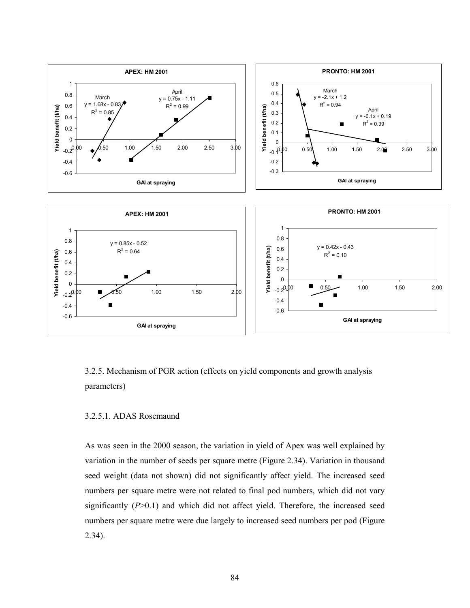

# 3.2.5. Mechanism of PGR action (effects on yield components and growth analysis parameters)

# 3.2.5.1. ADAS Rosemaund

As was seen in the 2000 season, the variation in yield of Apex was well explained by variation in the number of seeds per square metre (Figure 2.34). Variation in thousand seed weight (data not shown) did not significantly affect yield. The increased seed numbers per square metre were not related to final pod numbers, which did not vary significantly  $(P>0.1)$  and which did not affect yield. Therefore, the increased seed numbers per square metre were due largely to increased seed numbers per pod (Figure 2.34).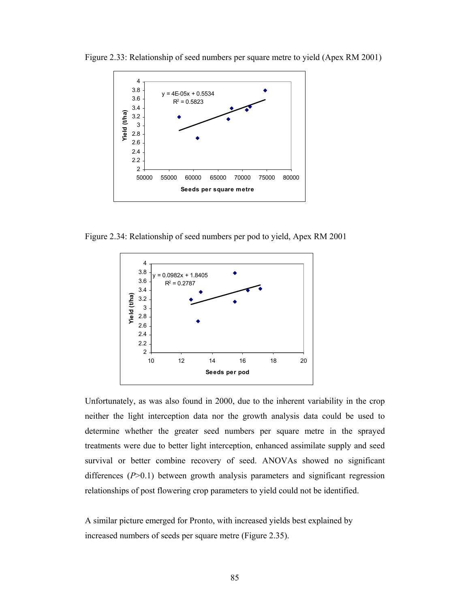

Figure 2.33: Relationship of seed numbers per square metre to yield (Apex RM 2001)

Figure 2.34: Relationship of seed numbers per pod to yield, Apex RM 2001



Unfortunately, as was also found in 2000, due to the inherent variability in the crop neither the light interception data nor the growth analysis data could be used to determine whether the greater seed numbers per square metre in the sprayed treatments were due to better light interception, enhanced assimilate supply and seed survival or better combine recovery of seed. ANOVAs showed no significant differences (*P*>0.1) between growth analysis parameters and significant regression relationships of post flowering crop parameters to yield could not be identified.

A similar picture emerged for Pronto, with increased yields best explained by increased numbers of seeds per square metre (Figure 2.35).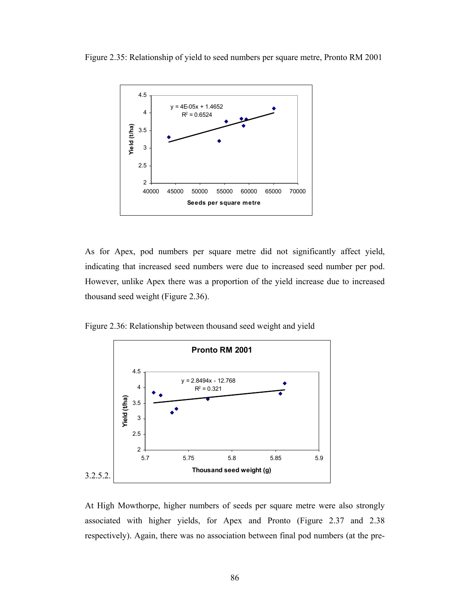Figure 2.35: Relationship of yield to seed numbers per square metre, Pronto RM 2001



As for Apex, pod numbers per square metre did not significantly affect yield, indicating that increased seed numbers were due to increased seed number per pod. However, unlike Apex there was a proportion of the yield increase due to increased thousand seed weight (Figure 2.36).

Figure 2.36: Relationship between thousand seed weight and yield



At High Mowthorpe, higher numbers of seeds per square metre were also strongly associated with higher yields, for Apex and Pronto (Figure 2.37 and 2.38 respectively). Again, there was no association between final pod numbers (at the pre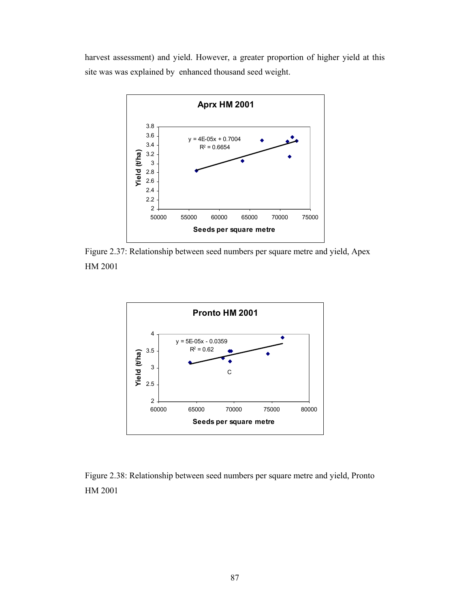harvest assessment) and yield. However, a greater proportion of higher yield at this site was was explained by enhanced thousand seed weight.



Figure 2.37: Relationship between seed numbers per square metre and yield, Apex HM 2001



Figure 2.38: Relationship between seed numbers per square metre and yield, Pronto HM 2001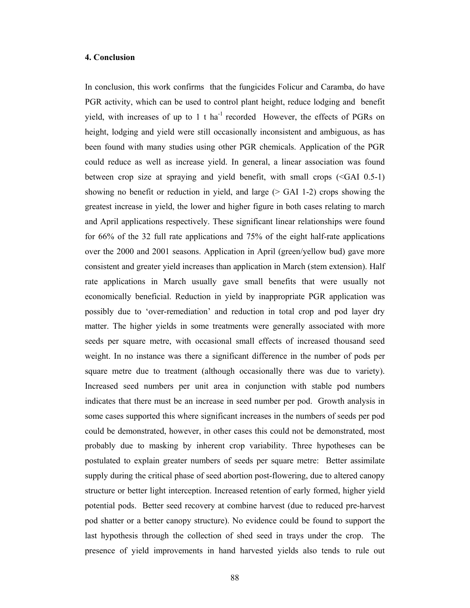#### **4. Conclusion**

In conclusion, this work confirms that the fungicides Folicur and Caramba, do have PGR activity, which can be used to control plant height, reduce lodging and benefit yield, with increases of up to 1 t ha<sup>-1</sup> recorded However, the effects of PGRs on height, lodging and yield were still occasionally inconsistent and ambiguous, as has been found with many studies using other PGR chemicals. Application of the PGR could reduce as well as increase yield. In general, a linear association was found between crop size at spraying and yield benefit, with small crops (<GAI 0.5-1) showing no benefit or reduction in yield, and large  $($  > GAI 1-2) crops showing the greatest increase in yield, the lower and higher figure in both cases relating to march and April applications respectively. These significant linear relationships were found for 66% of the 32 full rate applications and 75% of the eight half-rate applications over the 2000 and 2001 seasons. Application in April (green/yellow bud) gave more consistent and greater yield increases than application in March (stem extension). Half rate applications in March usually gave small benefits that were usually not economically beneficial. Reduction in yield by inappropriate PGR application was possibly due to 'over-remediation' and reduction in total crop and pod layer dry matter. The higher yields in some treatments were generally associated with more seeds per square metre, with occasional small effects of increased thousand seed weight. In no instance was there a significant difference in the number of pods per square metre due to treatment (although occasionally there was due to variety). Increased seed numbers per unit area in conjunction with stable pod numbers indicates that there must be an increase in seed number per pod. Growth analysis in some cases supported this where significant increases in the numbers of seeds per pod could be demonstrated, however, in other cases this could not be demonstrated, most probably due to masking by inherent crop variability. Three hypotheses can be postulated to explain greater numbers of seeds per square metre: Better assimilate supply during the critical phase of seed abortion post-flowering, due to altered canopy structure or better light interception. Increased retention of early formed, higher yield potential pods. Better seed recovery at combine harvest (due to reduced pre-harvest pod shatter or a better canopy structure). No evidence could be found to support the last hypothesis through the collection of shed seed in trays under the crop. The presence of yield improvements in hand harvested yields also tends to rule out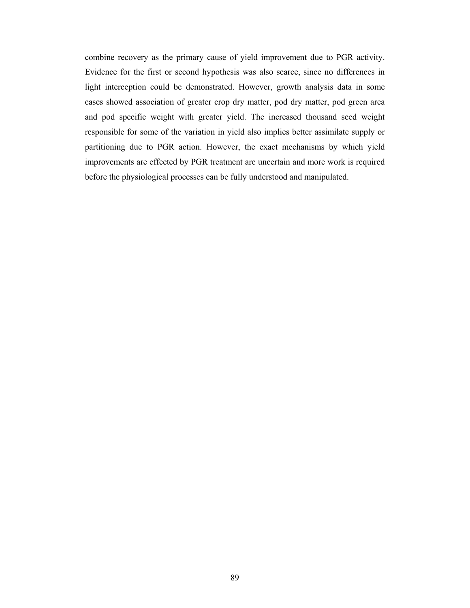combine recovery as the primary cause of yield improvement due to PGR activity. Evidence for the first or second hypothesis was also scarce, since no differences in light interception could be demonstrated. However, growth analysis data in some cases showed association of greater crop dry matter, pod dry matter, pod green area and pod specific weight with greater yield. The increased thousand seed weight responsible for some of the variation in yield also implies better assimilate supply or partitioning due to PGR action. However, the exact mechanisms by which yield improvements are effected by PGR treatment are uncertain and more work is required before the physiological processes can be fully understood and manipulated.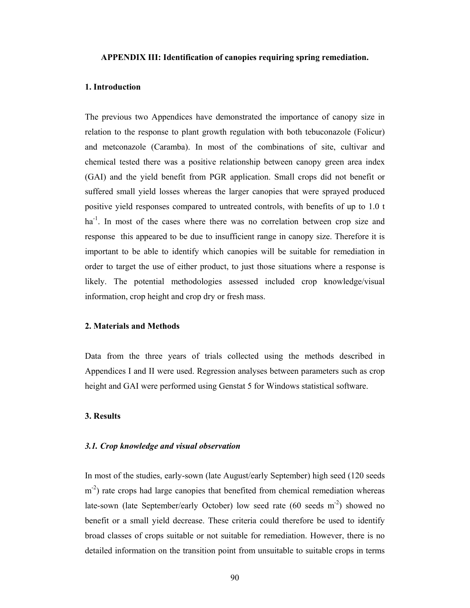#### **APPENDIX III: Identification of canopies requiring spring remediation.**

#### **1. Introduction**

The previous two Appendices have demonstrated the importance of canopy size in relation to the response to plant growth regulation with both tebuconazole (Folicur) and metconazole (Caramba). In most of the combinations of site, cultivar and chemical tested there was a positive relationship between canopy green area index (GAI) and the yield benefit from PGR application. Small crops did not benefit or suffered small yield losses whereas the larger canopies that were sprayed produced positive yield responses compared to untreated controls, with benefits of up to 1.0 t  $ha^{-1}$ . In most of the cases where there was no correlation between crop size and response this appeared to be due to insufficient range in canopy size. Therefore it is important to be able to identify which canopies will be suitable for remediation in order to target the use of either product, to just those situations where a response is likely. The potential methodologies assessed included crop knowledge/visual information, crop height and crop dry or fresh mass.

#### **2. Materials and Methods**

Data from the three years of trials collected using the methods described in Appendices I and II were used. Regression analyses between parameters such as crop height and GAI were performed using Genstat 5 for Windows statistical software.

#### **3. Results**

#### *3.1. Crop knowledge and visual observation*

In most of the studies, early-sown (late August/early September) high seed (120 seeds m<sup>-2</sup>) rate crops had large canopies that benefited from chemical remediation whereas late-sown (late September/early October) low seed rate (60 seeds m<sup>-2</sup>) showed no benefit or a small yield decrease. These criteria could therefore be used to identify broad classes of crops suitable or not suitable for remediation. However, there is no detailed information on the transition point from unsuitable to suitable crops in terms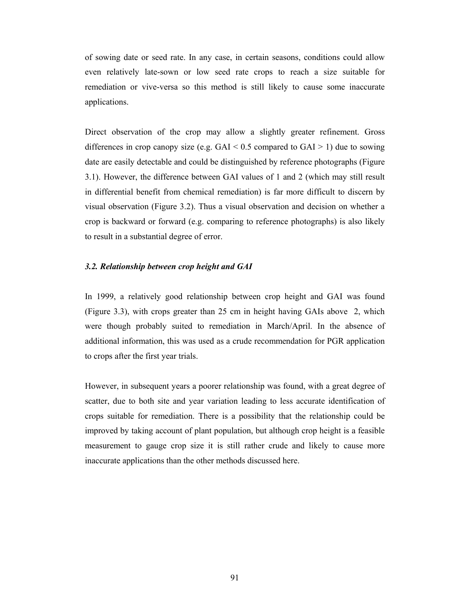of sowing date or seed rate. In any case, in certain seasons, conditions could allow even relatively late-sown or low seed rate crops to reach a size suitable for remediation or vive-versa so this method is still likely to cause some inaccurate applications.

Direct observation of the crop may allow a slightly greater refinement. Gross differences in crop canopy size (e.g.  $GAI < 0.5$  compared to  $GAI > 1$ ) due to sowing date are easily detectable and could be distinguished by reference photographs (Figure 3.1). However, the difference between GAI values of 1 and 2 (which may still result in differential benefit from chemical remediation) is far more difficult to discern by visual observation (Figure 3.2). Thus a visual observation and decision on whether a crop is backward or forward (e.g. comparing to reference photographs) is also likely to result in a substantial degree of error.

#### *3.2. Relationship between crop height and GAI*

In 1999, a relatively good relationship between crop height and GAI was found (Figure 3.3), with crops greater than 25 cm in height having GAIs above 2, which were though probably suited to remediation in March/April. In the absence of additional information, this was used as a crude recommendation for PGR application to crops after the first year trials.

However, in subsequent years a poorer relationship was found, with a great degree of scatter, due to both site and year variation leading to less accurate identification of crops suitable for remediation. There is a possibility that the relationship could be improved by taking account of plant population, but although crop height is a feasible measurement to gauge crop size it is still rather crude and likely to cause more inaccurate applications than the other methods discussed here.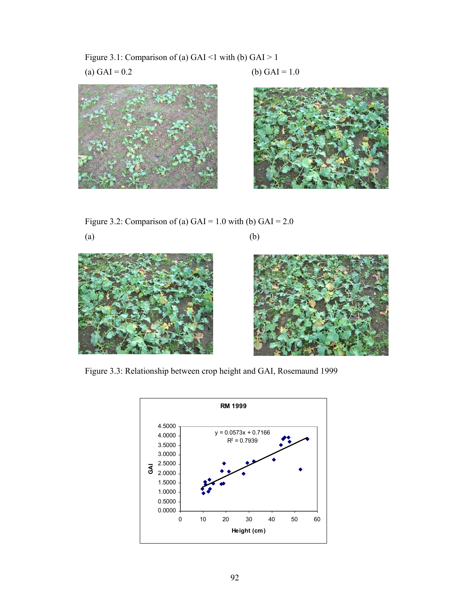Figure 3.1: Comparison of (a) GAI <1 with (b) GAI > 1 (a) GAI =  $0.2$  (b) GAI =  $1.0$ 





Figure 3.2: Comparison of (a)  $GAI = 1.0$  with (b)  $GAI = 2.0$ 









Figure 3.3: Relationship between crop height and GAI, Rosemaund 1999

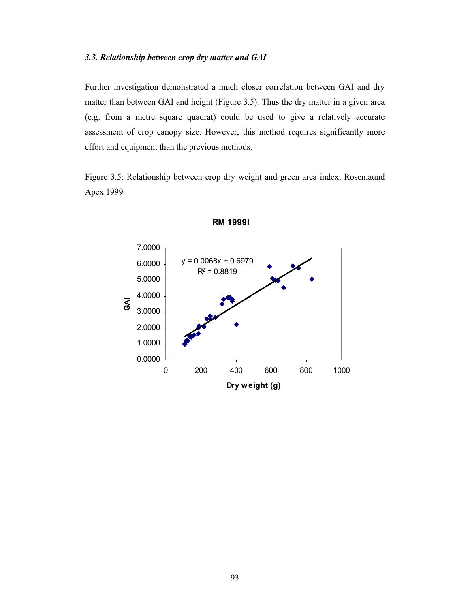# *3.3. Relationship between crop dry matter and GAI*

Further investigation demonstrated a much closer correlation between GAI and dry matter than between GAI and height (Figure 3.5). Thus the dry matter in a given area (e.g. from a metre square quadrat) could be used to give a relatively accurate assessment of crop canopy size. However, this method requires significantly more effort and equipment than the previous methods.

Figure 3.5: Relationship between crop dry weight and green area index, Rosemaund Apex 1999

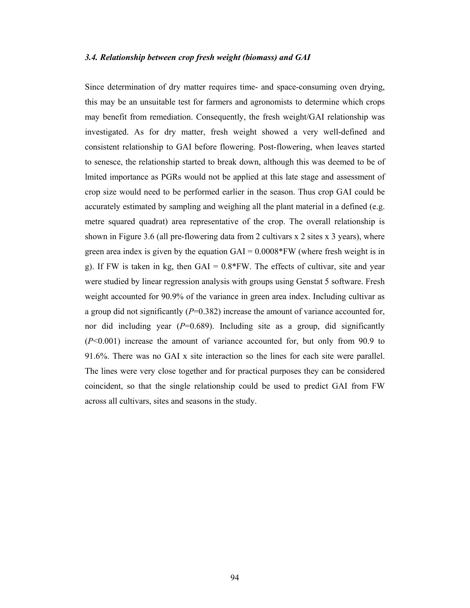#### *3.4. Relationship between crop fresh weight (biomass) and GAI*

Since determination of dry matter requires time- and space-consuming oven drying, this may be an unsuitable test for farmers and agronomists to determine which crops may benefit from remediation. Consequently, the fresh weight/GAI relationship was investigated. As for dry matter, fresh weight showed a very well-defined and consistent relationship to GAI before flowering. Post-flowering, when leaves started to senesce, the relationship started to break down, although this was deemed to be of lmited importance as PGRs would not be applied at this late stage and assessment of crop size would need to be performed earlier in the season. Thus crop GAI could be accurately estimated by sampling and weighing all the plant material in a defined (e.g. metre squared quadrat) area representative of the crop. The overall relationship is shown in Figure 3.6 (all pre-flowering data from 2 cultivars x 2 sites x 3 years), where green area index is given by the equation  $GAI = 0.0008*FW$  (where fresh weight is in g). If FW is taken in kg, then  $GAI = 0.8*FW$ . The effects of cultivar, site and year were studied by linear regression analysis with groups using Genstat 5 software. Fresh weight accounted for 90.9% of the variance in green area index. Including cultivar as a group did not significantly (*P*=0.382) increase the amount of variance accounted for, nor did including year  $(P=0.689)$ . Including site as a group, did significantly (*P*<0.001) increase the amount of variance accounted for, but only from 90.9 to 91.6%. There was no GAI x site interaction so the lines for each site were parallel. The lines were very close together and for practical purposes they can be considered coincident, so that the single relationship could be used to predict GAI from FW across all cultivars, sites and seasons in the study.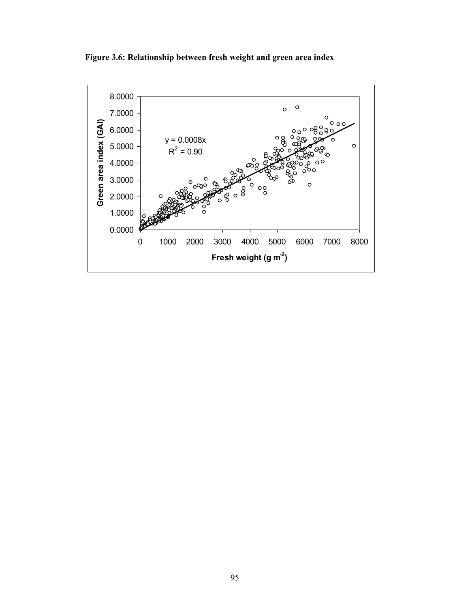**Figure 3.6: Relationship between fresh weight and green area index** 

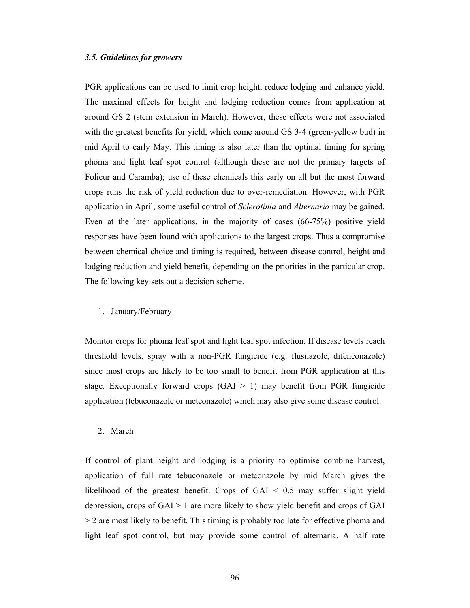## *3.5. Guidelines for growers*

PGR applications can be used to limit crop height, reduce lodging and enhance yield. The maximal effects for height and lodging reduction comes from application at around GS 2 (stem extension in March). However, these effects were not associated with the greatest benefits for yield, which come around GS 3-4 (green-yellow bud) in mid April to early May. This timing is also later than the optimal timing for spring phoma and light leaf spot control (although these are not the primary targets of Folicur and Caramba); use of these chemicals this early on all but the most forward crops runs the risk of yield reduction due to over-remediation. However, with PGR application in April, some useful control of *Sclerotinia* and *Alternaria* may be gained. Even at the later applications, in the majority of cases (66-75%) positive yield responses have been found with applications to the largest crops. Thus a compromise between chemical choice and timing is required, between disease control, height and lodging reduction and yield benefit, depending on the priorities in the particular crop. The following key sets out a decision scheme.

1. January/February

Monitor crops for phoma leaf spot and light leaf spot infection. If disease levels reach threshold levels, spray with a non-PGR fungicide (e.g. flusilazole, difenconazole) since most crops are likely to be too small to benefit from PGR application at this stage. Exceptionally forward crops  $(GAI > 1)$  may benefit from PGR fungicide application (tebuconazole or metconazole) which may also give some disease control.

2. March

If control of plant height and lodging is a priority to optimise combine harvest, application of full rate tebuconazole or metconazole by mid March gives the likelihood of the greatest benefit. Crops of GAI < 0.5 may suffer slight yield depression, crops of GAI > 1 are more likely to show yield benefit and crops of GAI > 2 are most likely to benefit. This timing is probably too late for effective phoma and light leaf spot control, but may provide some control of alternaria. A half rate